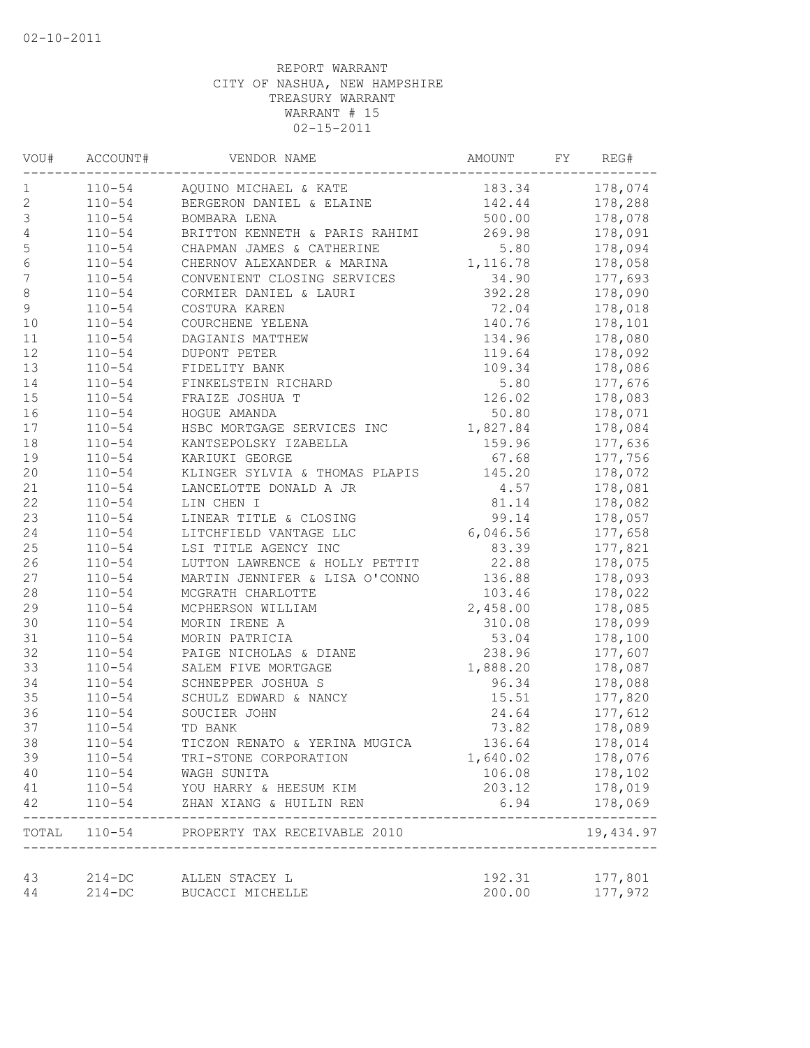| VOU#             | ACCOUNT#   | VENDOR NAME                               | AMOUNT   | FΥ | REG#                  |
|------------------|------------|-------------------------------------------|----------|----|-----------------------|
| 1                | $110 - 54$ | AQUINO MICHAEL & KATE                     | 183.34   |    | 178,074               |
| $\mathbf 2$      | $110 - 54$ | BERGERON DANIEL & ELAINE                  | 142.44   |    | 178,288               |
| $\mathsf 3$      | $110 - 54$ | BOMBARA LENA                              | 500.00   |    | 178,078               |
| $\sqrt{4}$       | $110 - 54$ | BRITTON KENNETH & PARIS RAHIMI            | 269.98   |    | 178,091               |
| 5                | $110 - 54$ | CHAPMAN JAMES & CATHERINE                 | 5.80     |    | 178,094               |
| $\sqrt{6}$       | $110 - 54$ | CHERNOV ALEXANDER & MARINA                | 1,116.78 |    | 178,058               |
| $\boldsymbol{7}$ | $110 - 54$ | CONVENIENT CLOSING SERVICES               | 34.90    |    | 177,693               |
| 8                | $110 - 54$ | CORMIER DANIEL & LAURI                    | 392.28   |    | 178,090               |
| 9                | $110 - 54$ | COSTURA KAREN                             | 72.04    |    | 178,018               |
| 10               | $110 - 54$ | COURCHENE YELENA                          | 140.76   |    | 178,101               |
| $11\,$           | $110 - 54$ | DAGIANIS MATTHEW                          | 134.96   |    | 178,080               |
| 12               | $110 - 54$ | DUPONT PETER                              | 119.64   |    | 178,092               |
| 13               | $110 - 54$ | FIDELITY BANK                             | 109.34   |    | 178,086               |
| 14               | $110 - 54$ | FINKELSTEIN RICHARD                       | 5.80     |    | 177,676               |
| 15               | $110 - 54$ | FRAIZE JOSHUA T                           | 126.02   |    | 178,083               |
| 16               | $110 - 54$ | HOGUE AMANDA                              | 50.80    |    | 178,071               |
| $17$             | $110 - 54$ | HSBC MORTGAGE SERVICES INC                | 1,827.84 |    | 178,084               |
| $18\,$           | $110 - 54$ | KANTSEPOLSKY IZABELLA                     | 159.96   |    | 177,636               |
| 19               | $110 - 54$ | KARIUKI GEORGE                            | 67.68    |    | 177,756               |
| 20               | $110 - 54$ | KLINGER SYLVIA & THOMAS PLAPIS            | 145.20   |    | 178,072               |
| 21               | $110 - 54$ | LANCELOTTE DONALD A JR                    | 4.57     |    | 178,081               |
| 22               | $110 - 54$ | LIN CHEN I                                | 81.14    |    | 178,082               |
| 23               | $110 - 54$ | LINEAR TITLE & CLOSING                    | 99.14    |    | 178,057               |
| 24               | $110 - 54$ | LITCHFIELD VANTAGE LLC                    | 6,046.56 |    | 177,658               |
| 25               | $110 - 54$ | LSI TITLE AGENCY INC                      | 83.39    |    | 177,821               |
| 26               | $110 - 54$ | LUTTON LAWRENCE & HOLLY PETTIT            | 22.88    |    | 178,075               |
| 27               | $110 - 54$ | MARTIN JENNIFER & LISA O'CONNO            | 136.88   |    | 178,093               |
| 28               | $110 - 54$ | MCGRATH CHARLOTTE                         | 103.46   |    | 178,022               |
| 29               | $110 - 54$ | MCPHERSON WILLIAM                         | 2,458.00 |    | 178,085               |
| 30               | $110 - 54$ | MORIN IRENE A                             | 310.08   |    | 178,099               |
| 31               | $110 - 54$ | MORIN PATRICIA                            | 53.04    |    | 178,100               |
| 32               | $110 - 54$ | PAIGE NICHOLAS & DIANE                    | 238.96   |    | 177,607               |
| 33               | $110 - 54$ | SALEM FIVE MORTGAGE                       | 1,888.20 |    | 178,087               |
| 34               | $110 - 54$ | SCHNEPPER JOSHUA S                        | 96.34    |    | 178,088               |
| 35               | $110 - 54$ | SCHULZ EDWARD & NANCY                     | 15.51    |    | 177,820               |
| 36               | $110 - 54$ | SOUCIER JOHN                              | 24.64    |    | 177,612               |
| 37               | $110 - 54$ | TD BANK                                   | 73.82    |    | 178,089               |
| 38               | $110 - 54$ | TICZON RENATO & YERINA MUGICA             | 136.64   |    | 178,014               |
| 39               | $110 - 54$ | TRI-STONE CORPORATION                     | 1,640.02 |    | 178,076               |
| 40               | $110 - 54$ | WAGH SUNITA                               | 106.08   |    | 178,102               |
| 41               | $110 - 54$ | YOU HARRY & HEESUM KIM                    | 203.12   |    | 178,019               |
| 42               | $110 - 54$ | ZHAN XIANG & HUILIN REN                   | 6.94     |    | 178,069               |
|                  |            | TOTAL 110-54 PROPERTY TAX RECEIVABLE 2010 |          |    | --------<br>19,434.97 |
| 43               | $214 - DC$ | ALLEN STACEY L                            | 192.31   |    | 177,801               |
| 44               | $214 - DC$ | BUCACCI MICHELLE                          | 200.00   |    | 177,972               |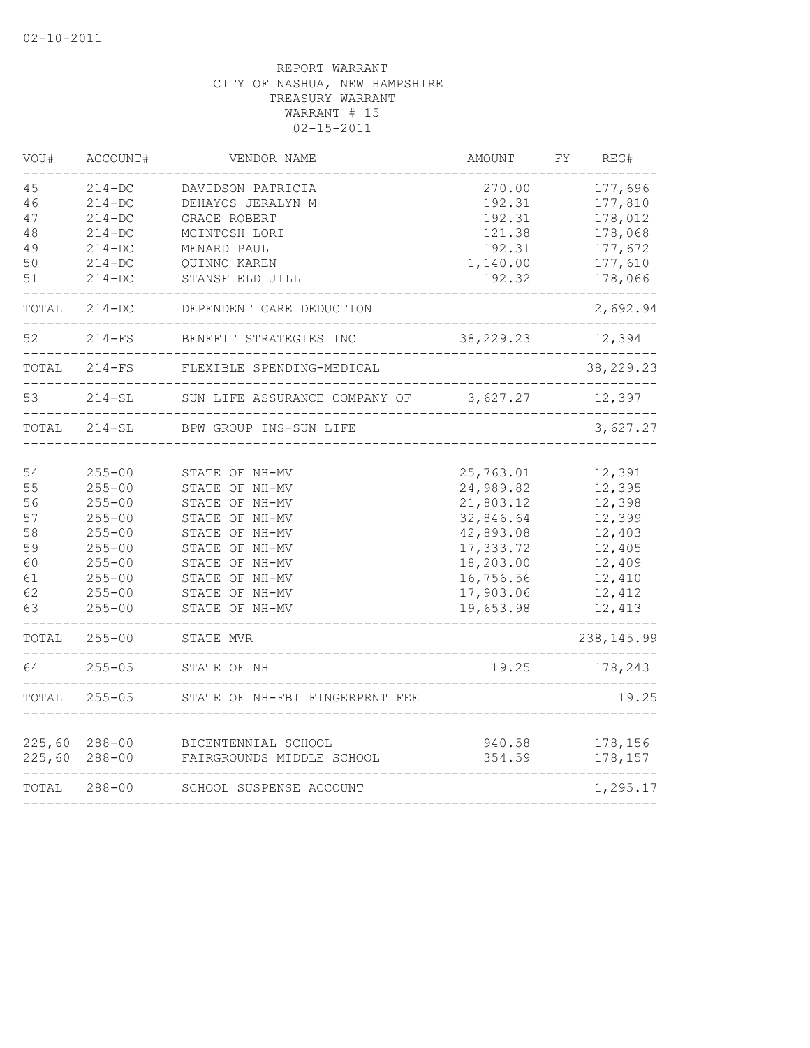| VOU#   | ACCOUNT#     | VENDOR NAME                                       | AMOUNT               | FΥ<br>REG#  |
|--------|--------------|---------------------------------------------------|----------------------|-------------|
| 45     | $214-DC$     | DAVIDSON PATRICIA                                 | 270.00               | 177,696     |
| 46     | $214 - DC$   | DEHAYOS JERALYN M                                 | 192.31               | 177,810     |
| 47     | $214-DC$     | GRACE ROBERT                                      | 192.31               | 178,012     |
| 48     | $214 - DC$   | MCINTOSH LORI                                     | 121.38               | 178,068     |
| 49     | $214-DC$     | MENARD PAUL                                       | 192.31               | 177,672     |
| 50     | $214-DC$     | QUINNO KAREN                                      | 1,140.00             | 177,610     |
| 51     | $214 - DC$   | STANSFIELD JILL                                   | 192.32               | 178,066     |
| TOTAL  | $214 - DC$   | DEPENDENT CARE DEDUCTION                          |                      | 2,692.94    |
| 52     | $214-FS$     | BENEFIT STRATEGIES INC<br>----------------------- | 38,229.23            | 12,394      |
|        | TOTAL 214-FS | FLEXIBLE SPENDING-MEDICAL                         |                      | 38, 229. 23 |
| 53     | $214 - SL$   | SUN LIFE ASSURANCE COMPANY OF                     | 3,627.27             | 12,397      |
| TOTAL  | 214-SL       | BPW GROUP INS-SUN LIFE                            |                      | 3,627.27    |
|        |              |                                                   |                      |             |
| 54     | $255 - 00$   | STATE OF NH-MV                                    | 25,763.01            | 12,391      |
| 55     | $255 - 00$   | STATE OF NH-MV                                    | 24,989.82            | 12,395      |
| 56     | $255 - 00$   | STATE OF NH-MV                                    | 21,803.12            | 12,398      |
| 57     | $255 - 00$   | STATE OF NH-MV                                    | 32,846.64            | 12,399      |
| 58     | $255 - 00$   | STATE OF NH-MV                                    | 42,893.08            | 12,403      |
| 59     | $255 - 00$   | STATE OF NH-MV                                    | 17,333.72            | 12,405      |
| 60     | $255 - 00$   | STATE OF NH-MV                                    | 18,203.00            | 12,409      |
| 61     | $255 - 00$   | STATE OF NH-MV                                    | 16,756.56            | 12,410      |
| 62     | $255 - 00$   | STATE OF NH-MV                                    | 17,903.06            | 12,412      |
| 63     | $255 - 00$   | STATE OF NH-MV                                    | 19,653.98            | 12,413      |
| TOTAL  | $255 - 00$   | STATE MVR<br>------------------------------       |                      | 238, 145.99 |
| 64     | $255 - 05$   | STATE OF NH<br>------------                       | 19.25<br>___________ | 178,243     |
| TOTAL  | $255 - 05$   | STATE OF NH-FBI FINGERPRNT FEE                    |                      | 19.25       |
|        |              |                                                   |                      |             |
| 225,60 | $288 - 00$   | BICENTENNIAL SCHOOL                               | 940.58               | 178,156     |
| 225,60 | $288 - 00$   | FAIRGROUNDS MIDDLE SCHOOL                         | 354.59               | 178,157     |
| TOTAL  | $288 - 00$   | SCHOOL SUSPENSE ACCOUNT                           |                      | 1,295.17    |
|        |              |                                                   |                      |             |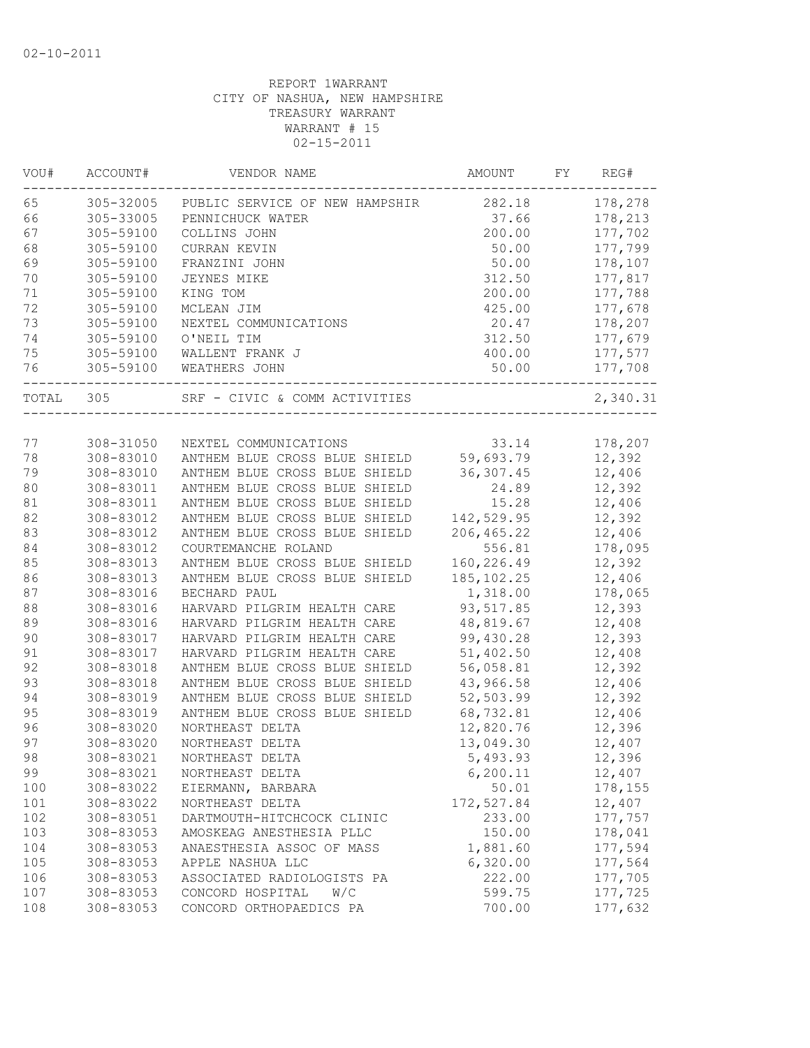| VOU#   | ACCOUNT#  | VENDOR NAME                    | AMOUNT      | FY. | REG#     |
|--------|-----------|--------------------------------|-------------|-----|----------|
| 65     | 305-32005 | PUBLIC SERVICE OF NEW HAMPSHIR | 282.18      |     | 178,278  |
| 66     | 305-33005 | PENNICHUCK WATER               | 37.66       |     | 178,213  |
| 67     | 305-59100 | COLLINS JOHN                   | 200.00      |     | 177,702  |
| 68     | 305-59100 | CURRAN KEVIN                   | 50.00       |     | 177,799  |
| 69     | 305-59100 | FRANZINI JOHN                  | 50.00       |     | 178,107  |
| 70     | 305-59100 | <b>JEYNES MIKE</b>             | 312.50      |     | 177,817  |
| 71     | 305-59100 | KING TOM                       | 200.00      |     | 177,788  |
| 72     | 305-59100 | MCLEAN JIM                     | 425.00      |     | 177,678  |
| 73     | 305-59100 | NEXTEL COMMUNICATIONS          | 20.47       |     | 178,207  |
| 74     | 305-59100 | O'NEIL TIM                     | 312.50      |     | 177,679  |
| 75     | 305-59100 | WALLENT FRANK J                | 400.00      |     | 177,577  |
| 76     | 305-59100 | WEATHERS JOHN                  | 50.00       |     | 177,708  |
| TOTAL  | 305       | SRF - CIVIC & COMM ACTIVITIES  |             |     | 2,340.31 |
|        |           |                                |             |     |          |
| 77     | 308-31050 | NEXTEL COMMUNICATIONS          | 33.14       |     | 178,207  |
| 78     | 308-83010 | ANTHEM BLUE CROSS BLUE SHIELD  | 59,693.79   |     | 12,392   |
| 79     | 308-83010 | ANTHEM BLUE CROSS BLUE SHIELD  | 36, 307.45  |     | 12,406   |
| 80     | 308-83011 | ANTHEM BLUE CROSS BLUE SHIELD  | 24.89       |     | 12,392   |
| $8\,1$ | 308-83011 | ANTHEM BLUE CROSS BLUE SHIELD  | 15.28       |     | 12,406   |
| 82     | 308-83012 | ANTHEM BLUE CROSS BLUE SHIELD  | 142,529.95  |     | 12,392   |
| 83     | 308-83012 | ANTHEM BLUE CROSS BLUE SHIELD  | 206, 465.22 |     | 12,406   |
| 84     | 308-83012 | COURTEMANCHE ROLAND            | 556.81      |     | 178,095  |
| 85     | 308-83013 | ANTHEM BLUE CROSS BLUE SHIELD  | 160,226.49  |     | 12,392   |
| 86     | 308-83013 | ANTHEM BLUE CROSS BLUE SHIELD  | 185, 102.25 |     | 12,406   |
| 87     | 308-83016 | BECHARD PAUL                   | 1,318.00    |     | 178,065  |
| 88     | 308-83016 | HARVARD PILGRIM HEALTH CARE    | 93, 517.85  |     | 12,393   |
| 89     | 308-83016 | HARVARD PILGRIM HEALTH CARE    | 48,819.67   |     | 12,408   |
| 90     | 308-83017 | HARVARD PILGRIM HEALTH CARE    | 99,430.28   |     | 12,393   |
| 91     | 308-83017 | HARVARD PILGRIM HEALTH CARE    | 51,402.50   |     | 12,408   |
| 92     | 308-83018 | ANTHEM BLUE CROSS BLUE SHIELD  | 56,058.81   |     | 12,392   |
| 93     | 308-83018 | ANTHEM BLUE CROSS BLUE SHIELD  | 43,966.58   |     | 12,406   |
| 94     | 308-83019 | ANTHEM BLUE CROSS BLUE SHIELD  | 52,503.99   |     | 12,392   |
| 95     | 308-83019 | ANTHEM BLUE CROSS BLUE SHIELD  | 68,732.81   |     | 12,406   |
| 96     | 308-83020 | NORTHEAST DELTA                | 12,820.76   |     | 12,396   |
| 97     | 308-83020 | NORTHEAST DELTA                | 13,049.30   |     | 12,407   |
| 98     | 308-83021 | NORTHEAST DELTA                | 5,493.93    |     | 12,396   |
| 99     | 308-83021 | NORTHEAST DELTA                | 6, 200.11   |     | 12,407   |
| 100    | 308-83022 | EIERMANN, BARBARA              | 50.01       |     | 178,155  |
| 101    | 308-83022 | NORTHEAST DELTA                | 172,527.84  |     | 12,407   |
| 102    | 308-83051 | DARTMOUTH-HITCHCOCK CLINIC     | 233.00      |     | 177,757  |
| 103    | 308-83053 | AMOSKEAG ANESTHESIA PLLC       | 150.00      |     | 178,041  |
| 104    | 308-83053 | ANAESTHESIA ASSOC OF MASS      | 1,881.60    |     | 177,594  |
| 105    | 308-83053 | APPLE NASHUA LLC               | 6,320.00    |     | 177,564  |
| 106    | 308-83053 | ASSOCIATED RADIOLOGISTS PA     | 222.00      |     | 177,705  |
| 107    | 308-83053 | CONCORD HOSPITAL<br>W/C        | 599.75      |     | 177,725  |
| 108    | 308-83053 | CONCORD ORTHOPAEDICS PA        | 700.00      |     | 177,632  |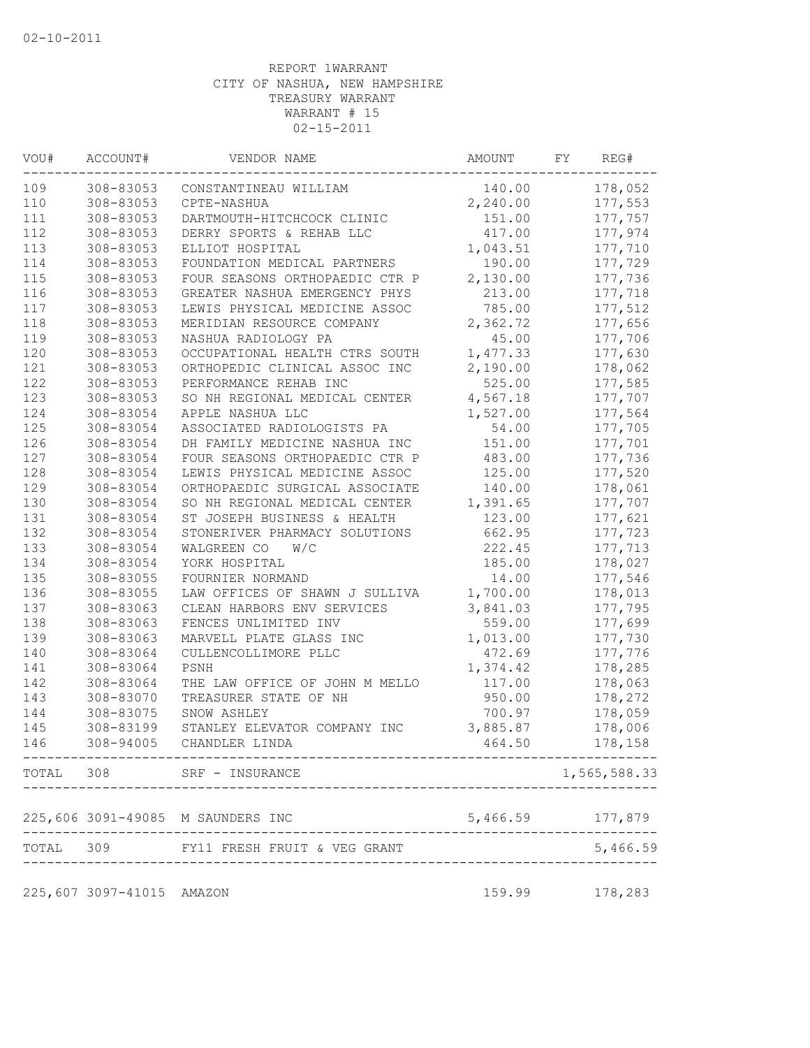| WOU# | ACCOUNT#                  | VENDOR NAME                                                | AMOUNT                   | FY | REG#         |
|------|---------------------------|------------------------------------------------------------|--------------------------|----|--------------|
| 109  | 308-83053                 | CONSTANTINEAU WILLIAM                                      | 140.00                   |    | 178,052      |
| 110  | 308-83053                 | CPTE-NASHUA                                                | 2,240.00                 |    | 177,553      |
| 111  | 308-83053                 | DARTMOUTH-HITCHCOCK CLINIC                                 | 151.00                   |    | 177,757      |
| 112  | 308-83053                 | DERRY SPORTS & REHAB LLC                                   | 417.00                   |    | 177,974      |
| 113  | 308-83053                 | ELLIOT HOSPITAL                                            | 1,043.51                 |    | 177,710      |
| 114  | 308-83053                 | FOUNDATION MEDICAL PARTNERS                                | 190.00                   |    | 177,729      |
| 115  | 308-83053                 | FOUR SEASONS ORTHOPAEDIC CTR P                             | 2,130.00                 |    | 177,736      |
| 116  | 308-83053                 | GREATER NASHUA EMERGENCY PHYS                              | 213.00                   |    | 177,718      |
| 117  | 308-83053                 | LEWIS PHYSICAL MEDICINE ASSOC                              | 785.00                   |    | 177,512      |
| 118  | 308-83053                 | MERIDIAN RESOURCE COMPANY                                  | 2,362.72                 |    | 177,656      |
| 119  | 308-83053                 | NASHUA RADIOLOGY PA                                        | 45.00                    |    | 177,706      |
| 120  | 308-83053                 | OCCUPATIONAL HEALTH CTRS SOUTH                             | 1,477.33                 |    | 177,630      |
| 121  | 308-83053                 | ORTHOPEDIC CLINICAL ASSOC INC                              | 2,190.00                 |    | 178,062      |
| 122  | 308-83053                 | PERFORMANCE REHAB INC                                      | 525.00                   |    | 177,585      |
| 123  | 308-83053                 | SO NH REGIONAL MEDICAL CENTER                              | 4,567.18                 |    | 177,707      |
| 124  | 308-83054                 | APPLE NASHUA LLC                                           | 1,527.00                 |    | 177,564      |
| 125  | 308-83054                 | ASSOCIATED RADIOLOGISTS PA                                 | 54.00                    |    | 177,705      |
| 126  | 308-83054                 | DH FAMILY MEDICINE NASHUA INC                              | 151.00                   |    | 177,701      |
| 127  | 308-83054                 | FOUR SEASONS ORTHOPAEDIC CTR P                             | 483.00                   |    | 177,736      |
| 128  | 308-83054                 | LEWIS PHYSICAL MEDICINE ASSOC                              | 125.00                   |    | 177,520      |
| 129  | 308-83054                 | ORTHOPAEDIC SURGICAL ASSOCIATE                             | 140.00                   |    | 178,061      |
| 130  | 308-83054                 | SO NH REGIONAL MEDICAL CENTER                              | 1,391.65                 |    | 177,707      |
| 131  | 308-83054                 | ST JOSEPH BUSINESS & HEALTH                                | 123.00                   |    | 177,621      |
| 132  | 308-83054                 | STONERIVER PHARMACY SOLUTIONS                              | 662.95                   |    | 177,723      |
| 133  | 308-83054                 | WALGREEN CO W/C                                            | 222.45                   |    | 177,713      |
| 134  | 308-83054                 | YORK HOSPITAL                                              | 185.00                   |    | 178,027      |
| 135  | 308-83055                 | FOURNIER NORMAND                                           | 14.00                    |    | 177,546      |
| 136  | 308-83055                 | LAW OFFICES OF SHAWN J SULLIVA                             | 1,700.00                 |    | 178,013      |
| 137  | 308-83063                 | CLEAN HARBORS ENV SERVICES                                 | 3,841.03                 |    | 177,795      |
| 138  | 308-83063                 | FENCES UNLIMITED INV                                       | 559.00                   |    | 177,699      |
| 139  | 308-83063                 | MARVELL PLATE GLASS INC                                    | 1,013.00                 |    | 177,730      |
| 140  | 308-83064                 | CULLENCOLLIMORE PLLC                                       | 472.69                   |    | 177,776      |
| 141  | 308-83064                 | PSNH                                                       | 1,374.42                 |    | 178,285      |
| 142  | 308-83064                 | THE LAW OFFICE OF JOHN M MELLO                             | 117.00                   |    | 178,063      |
| 143  | 308-83070                 | TREASURER STATE OF NH                                      | 950.00                   |    | 178,272      |
| 144  | 308-83075                 | SNOW ASHLEY                                                | 700.97                   |    | 178,059      |
| 145  | 308-83199                 | STANLEY ELEVATOR COMPANY INC                               | 3,885.87                 |    | 178,006      |
| 146  | 308-94005                 | CHANDLER LINDA<br>----------------------------------       | 464.50                   |    | 178,158      |
|      |                           | TOTAL 308 SRF - INSURANCE<br>----------------------------- |                          |    | 1,565,588.33 |
|      |                           | 225,606 3091-49085 M SAUNDERS INC                          | 5,466.59 177,879         |    |              |
|      |                           | TOTAL 309 FY11 FRESH FRUIT & VEG GRANT                     | ________________________ |    | 5,466.59     |
|      | 225,607 3097-41015 AMAZON |                                                            | 159.99                   |    | 178,283      |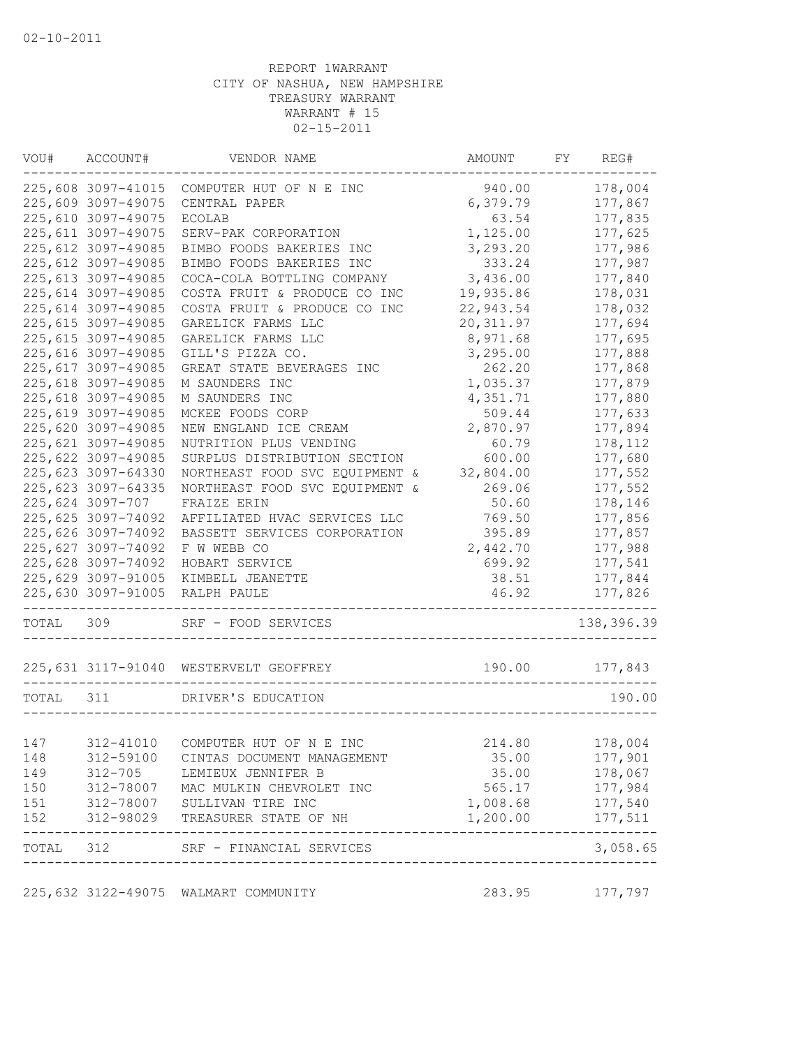| VOU#      | ACCOUNT#            | VENDOR NAME                                                                                 | AMOUNT     | FY | REG#                |
|-----------|---------------------|---------------------------------------------------------------------------------------------|------------|----|---------------------|
|           | 225,608 3097-41015  | COMPUTER HUT OF N E INC                                                                     | 940.00     |    | 178,004             |
|           | 225,609 3097-49075  | CENTRAL PAPER                                                                               | 6,379.79   |    | 177,867             |
|           | 225,610 3097-49075  | <b>ECOLAB</b>                                                                               | 63.54      |    | 177,835             |
|           | 225, 611 3097-49075 | SERV-PAK CORPORATION                                                                        | 1,125.00   |    | 177,625             |
|           | 225, 612 3097-49085 | BIMBO FOODS BAKERIES INC                                                                    | 3,293.20   |    | 177,986             |
|           | 225, 612 3097-49085 | BIMBO FOODS BAKERIES INC                                                                    | 333.24     |    | 177,987             |
|           | 225, 613 3097-49085 | COCA-COLA BOTTLING COMPANY                                                                  | 3,436.00   |    | 177,840             |
|           | 225, 614 3097-49085 | COSTA FRUIT & PRODUCE CO INC                                                                | 19,935.86  |    | 178,031             |
|           | 225,614 3097-49085  | COSTA FRUIT & PRODUCE CO INC                                                                | 22,943.54  |    | 178,032             |
|           | 225,615 3097-49085  | GARELICK FARMS LLC                                                                          | 20, 311.97 |    | 177,694             |
|           | 225, 615 3097-49085 | GARELICK FARMS LLC                                                                          | 8,971.68   |    | 177,695             |
|           | 225,616 3097-49085  | GILL'S PIZZA CO.                                                                            | 3,295.00   |    | 177,888             |
|           | 225, 617 3097-49085 | GREAT STATE BEVERAGES INC                                                                   | 262.20     |    | 177,868             |
|           | 225,618 3097-49085  | M SAUNDERS INC                                                                              | 1,035.37   |    | 177,879             |
|           | 225,618 3097-49085  | M SAUNDERS INC                                                                              | 4,351.71   |    | 177,880             |
|           | 225,619 3097-49085  | MCKEE FOODS CORP                                                                            | 509.44     |    | 177,633             |
|           | 225,620 3097-49085  | NEW ENGLAND ICE CREAM                                                                       | 2,870.97   |    | 177,894             |
|           | 225,621 3097-49085  | NUTRITION PLUS VENDING                                                                      | 60.79      |    | 178,112             |
|           | 225,622 3097-49085  | SURPLUS DISTRIBUTION SECTION                                                                | 600.00     |    | 177,680             |
|           | 225,623 3097-64330  | NORTHEAST FOOD SVC EQUIPMENT &                                                              | 32,804.00  |    | 177,552             |
|           | 225,623 3097-64335  | NORTHEAST FOOD SVC EQUIPMENT &                                                              | 269.06     |    | 177,552             |
|           | 225,624 3097-707    | FRAIZE ERIN                                                                                 | 50.60      |    | 178,146             |
|           | 225,625 3097-74092  | AFFILIATED HVAC SERVICES LLC                                                                | 769.50     |    | 177,856             |
|           | 225,626 3097-74092  | BASSETT SERVICES CORPORATION                                                                | 395.89     |    | 177,857             |
|           | 225,627 3097-74092  | F W WEBB CO                                                                                 | 2,442.70   |    | 177,988             |
|           | 225,628 3097-74092  | HOBART SERVICE                                                                              | 699.92     |    | 177,541             |
|           | 225,629 3097-91005  | KIMBELL JEANETTE                                                                            | 38.51      |    | 177,844             |
|           | 225,630 3097-91005  | RALPH PAULE                                                                                 | 46.92      |    | 177,826             |
| TOTAL     | 309                 | SRF - FOOD SERVICES                                                                         |            |    | 138,396.39          |
|           |                     | 225,631 3117-91040 WESTERVELT GEOFFREY                                                      | 190.00     |    | 177,843             |
| TOTAL 311 |                     | DRIVER'S EDUCATION                                                                          |            |    | 190.00              |
|           |                     |                                                                                             |            |    |                     |
| 147       | 312-41010           | COMPUTER HUT OF N E INC                                                                     | 214.80     |    | 178,004             |
| 148       | 312-59100           | CINTAS DOCUMENT MANAGEMENT                                                                  | 35.00      |    | 177,901             |
| 149       | 312-705             | LEMIEUX JENNIFER B                                                                          | 35.00      |    | 178,067             |
| 150       |                     | 312-78007 MAC MULKIN CHEVROLET INC                                                          | 565.17     |    | 177,984             |
| 151       |                     | 312-78007 MAC MULKIN CHEVROI<br>312-78007 SULLIVAN TIRE INC<br>312-98029 TREASURER STATE OI | 1,008.68   |    | 177,540             |
| 152       |                     | 312-98029 TREASURER STATE OF NH                                                             | 1,200.00   |    | 177,511<br>-------- |
|           |                     | TOTAL 312 SRF - FINANCIAL SERVICES                                                          |            |    | 3,058.65            |
|           |                     | 225,632 3122-49075 WALMART COMMUNITY                                                        | 283.95     |    | 177,797             |
|           |                     |                                                                                             |            |    |                     |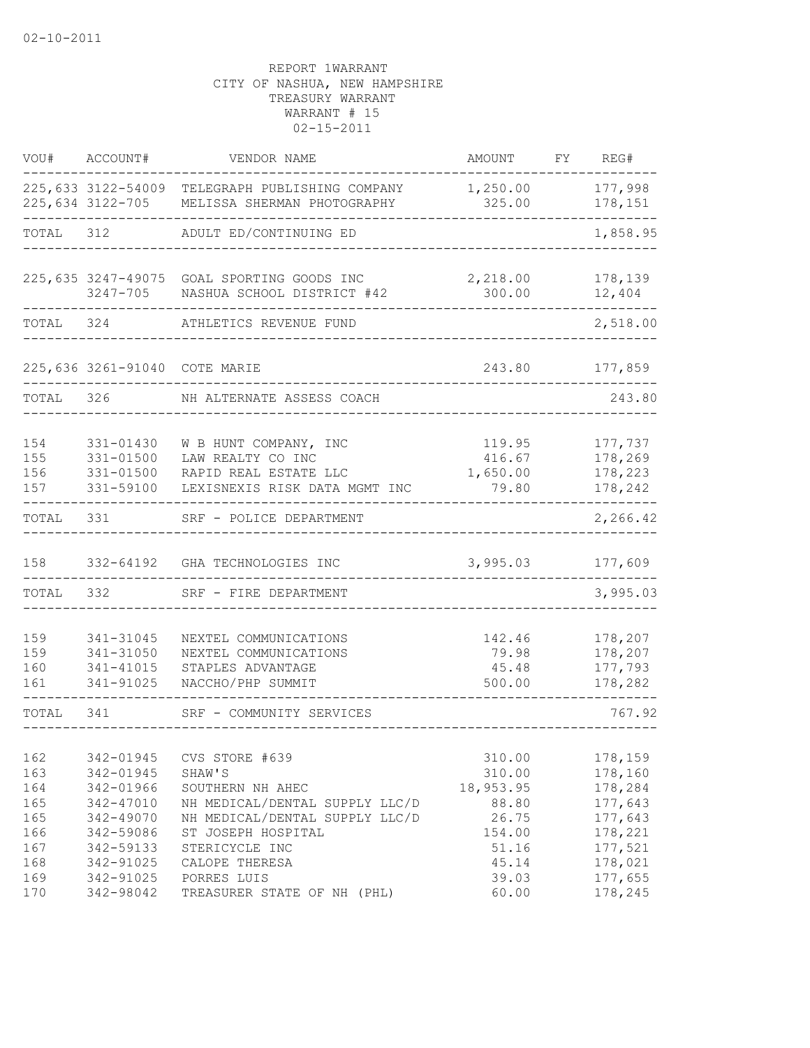| VOU#                                          | ACCOUNT#                                                                                | VENDOR NAME                                                                                                                                              | AMOUNT                                                             | FY. | REG#                                                                      |
|-----------------------------------------------|-----------------------------------------------------------------------------------------|----------------------------------------------------------------------------------------------------------------------------------------------------------|--------------------------------------------------------------------|-----|---------------------------------------------------------------------------|
|                                               | 225,634 3122-705                                                                        | 225,633 3122-54009 TELEGRAPH PUBLISHING COMPANY<br>MELISSA SHERMAN PHOTOGRAPHY                                                                           | 1,250.00<br>325.00                                                 |     | 177,998<br>178,151                                                        |
| TOTAL                                         | 312                                                                                     | ADULT ED/CONTINUING ED                                                                                                                                   |                                                                    |     | 1,858.95                                                                  |
|                                               | 3247-705                                                                                | 225,635 3247-49075 GOAL SPORTING GOODS INC<br>NASHUA SCHOOL DISTRICT #42                                                                                 | 2,218.00<br>300.00                                                 |     | 178,139<br>12,404                                                         |
| TOTAL                                         | 324                                                                                     | ATHLETICS REVENUE FUND                                                                                                                                   |                                                                    |     | 2,518.00                                                                  |
|                                               | 225,636 3261-91040 COTE MARIE                                                           |                                                                                                                                                          | 243.80                                                             |     | 177,859                                                                   |
| TOTAL                                         | 326                                                                                     | NH ALTERNATE ASSESS COACH                                                                                                                                |                                                                    |     | 243.80                                                                    |
| 154<br>155<br>156<br>157                      | 331-01430<br>331-01500<br>331-01500<br>331-59100                                        | W B HUNT COMPANY, INC<br>LAW REALTY CO INC<br>RAPID REAL ESTATE LLC<br>LEXISNEXIS RISK DATA MGMT INC                                                     | 119.95<br>416.67<br>1,650.00<br>79.80                              |     | 177,737<br>178,269<br>178,223<br>178,242                                  |
| TOTAL                                         | 331                                                                                     | SRF - POLICE DEPARTMENT                                                                                                                                  |                                                                    |     | 2,266.42                                                                  |
| 158                                           | 332-64192                                                                               | GHA TECHNOLOGIES INC                                                                                                                                     | 3,995.03                                                           |     | 177,609                                                                   |
| TOTAL                                         | 332                                                                                     | SRF - FIRE DEPARTMENT                                                                                                                                    |                                                                    |     | 3,995.03                                                                  |
| 159<br>159<br>160<br>161                      | 341-31045<br>341-31050<br>341-41015<br>341-91025                                        | NEXTEL COMMUNICATIONS<br>NEXTEL COMMUNICATIONS<br>STAPLES ADVANTAGE<br>NACCHO/PHP SUMMIT                                                                 | 142.46<br>79.98<br>45.48<br>500.00                                 |     | 178,207<br>178,207<br>177,793<br>178,282                                  |
| TOTAL                                         | 341                                                                                     | SRF - COMMUNITY SERVICES                                                                                                                                 |                                                                    |     | 767.92                                                                    |
| 162<br>163<br>164<br>165<br>165<br>166<br>167 | 342-01945<br>342-01945<br>342-01966<br>342-47010<br>342-49070<br>342-59086<br>342-59133 | CVS STORE #639<br>SHAW'S<br>SOUTHERN NH AHEC<br>NH MEDICAL/DENTAL SUPPLY LLC/D<br>NH MEDICAL/DENTAL SUPPLY LLC/D<br>ST JOSEPH HOSPITAL<br>STERICYCLE INC | 310.00<br>310.00<br>18,953.95<br>88.80<br>26.75<br>154.00<br>51.16 |     | 178,159<br>178,160<br>178,284<br>177,643<br>177,643<br>178,221<br>177,521 |
| 168<br>169<br>170                             | 342-91025<br>342-91025<br>342-98042                                                     | CALOPE THERESA<br>PORRES LUIS<br>TREASURER STATE OF NH (PHL)                                                                                             | 45.14<br>39.03<br>60.00                                            |     | 178,021<br>177,655<br>178,245                                             |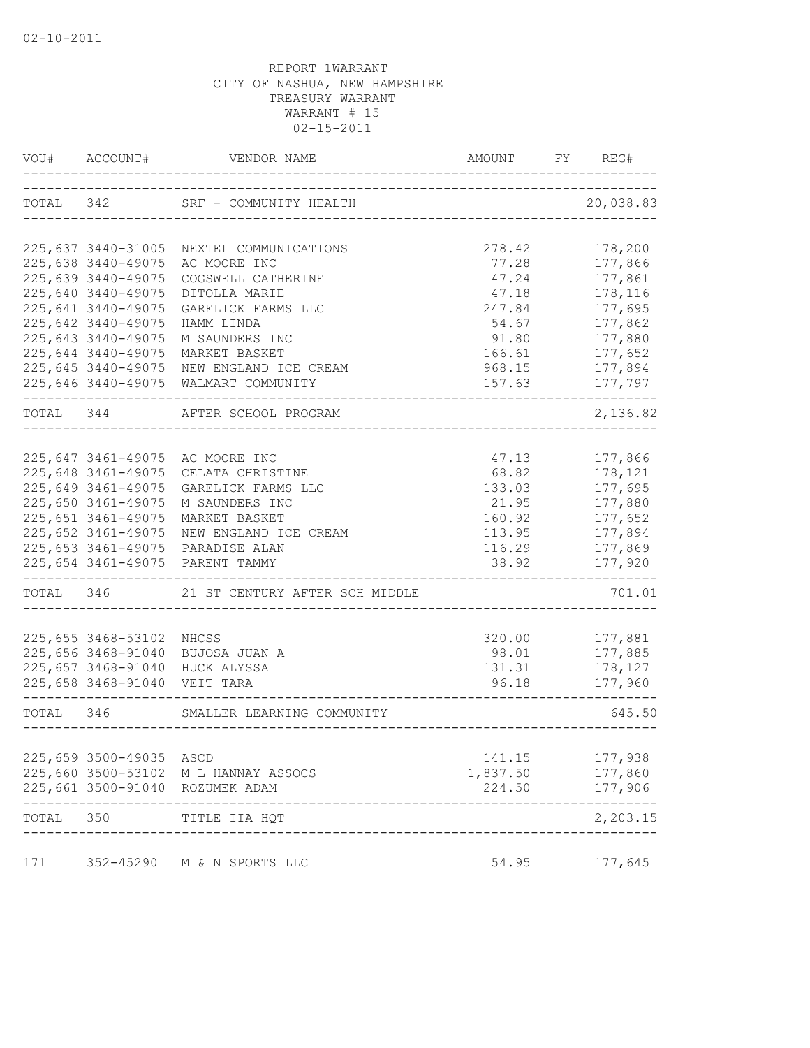| VOU#      | ACCOUNT#                                 | VENDOR NAME                                              | AMOUNT          | FY | REG#               |
|-----------|------------------------------------------|----------------------------------------------------------|-----------------|----|--------------------|
| TOTAL 342 |                                          | SRF - COMMUNITY HEALTH<br>------------------------------ |                 |    | 20,038.83          |
|           | 225,637 3440-31005                       | NEXTEL COMMUNICATIONS                                    | 278.42          |    | 178,200            |
|           | 225,638 3440-49075                       | AC MOORE INC                                             | 77.28           |    | 177,866            |
|           | 225,639 3440-49075                       | COGSWELL CATHERINE                                       | 47.24           |    | 177,861            |
|           | 225,640 3440-49075                       | DITOLLA MARIE                                            | 47.18           |    | 178,116            |
|           | 225,641 3440-49075                       | GARELICK FARMS LLC                                       | 247.84          |    | 177,695            |
|           | 225,642 3440-49075                       | HAMM LINDA                                               | 54.67           |    | 177,862            |
|           | 225,643 3440-49075                       | M SAUNDERS INC                                           | 91.80           |    | 177,880            |
|           | 225,644 3440-49075                       | MARKET BASKET                                            | 166.61          |    | 177,652            |
|           | 225,645 3440-49075                       | NEW ENGLAND ICE CREAM                                    | 968.15          |    | 177,894            |
|           | 225,646 3440-49075                       | WALMART COMMUNITY                                        | 157.63          |    | 177,797            |
| TOTAL 344 |                                          | AFTER SCHOOL PROGRAM                                     |                 |    | 2,136.82           |
|           |                                          |                                                          |                 |    |                    |
|           | 225,647 3461-49075                       | AC MOORE INC                                             | 47.13           |    | 177,866            |
|           | 225,648 3461-49075                       | CELATA CHRISTINE                                         | 68.82           |    | 178,121            |
|           | 225,649 3461-49075                       | GARELICK FARMS LLC                                       | 133.03          |    | 177,695            |
|           | 225,650 3461-49075                       | M SAUNDERS INC                                           | 21.95           |    | 177,880            |
|           | 225,651 3461-49075                       | MARKET BASKET                                            | 160.92          |    | 177,652            |
|           | 225,652 3461-49075                       | NEW ENGLAND ICE CREAM                                    | 113.95          |    | 177,894            |
|           | 225,653 3461-49075                       | PARADISE ALAN                                            | 116.29          |    | 177,869            |
|           |                                          | 225,654 3461-49075 PARENT TAMMY                          | 38.92           |    | 177,920            |
|           |                                          | TOTAL 346 21 ST CENTURY AFTER SCH MIDDLE                 |                 |    | 701.01             |
|           |                                          |                                                          |                 |    |                    |
|           | 225,655 3468-53102<br>225,656 3468-91040 | NHCSS                                                    | 320.00<br>98.01 |    | 177,881<br>177,885 |
|           | 225,657 3468-91040                       | BUJOSA JUAN A<br>HUCK ALYSSA                             | 131.31          |    | 178,127            |
|           | 225,658 3468-91040 VEIT TARA             |                                                          | 96.18           |    | 177,960            |
|           |                                          |                                                          |                 |    |                    |
|           |                                          | TOTAL 346 SMALLER LEARNING COMMUNITY                     |                 |    | 645.50             |
|           |                                          |                                                          |                 |    |                    |
|           | 225,659 3500-49035                       | ASCD                                                     | 141.15          |    | 177,938            |
|           | 225,660 3500-53102                       | M L HANNAY ASSOCS                                        | 1,837.50        |    | 177,860            |
|           | 225,661 3500-91040                       | ROZUMEK ADAM                                             | 224.50          |    | 177,906            |
| TOTAL     | 350                                      | TITLE IIA HQT                                            |                 |    | 2,203.15           |
| 171       |                                          | 352-45290 M & N SPORTS LLC                               | 54.95           |    | 177,645            |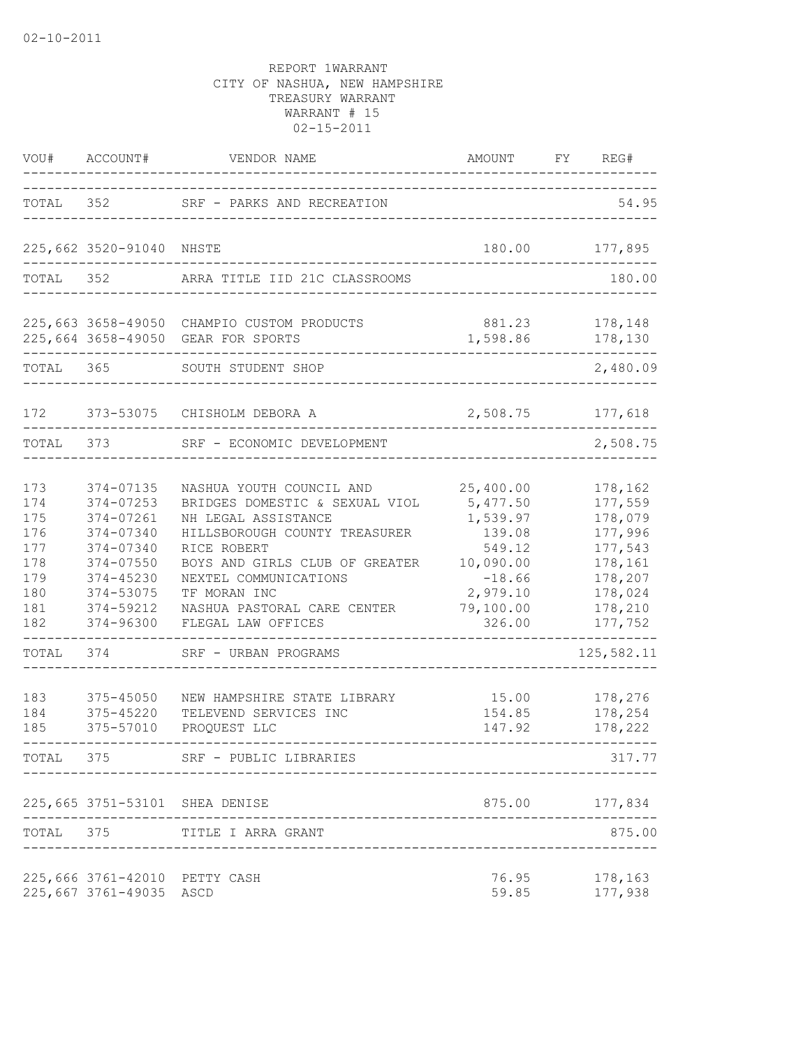| VOU#                                                               | ACCOUNT#                                                                                                                       | VENDOR NAME                                                                                                                                                                                                                                                       | AMOUNT                                                                                                            | FY | REG#                                                                                                       |
|--------------------------------------------------------------------|--------------------------------------------------------------------------------------------------------------------------------|-------------------------------------------------------------------------------------------------------------------------------------------------------------------------------------------------------------------------------------------------------------------|-------------------------------------------------------------------------------------------------------------------|----|------------------------------------------------------------------------------------------------------------|
| TOTAL                                                              | 352                                                                                                                            | SRF - PARKS AND RECREATION                                                                                                                                                                                                                                        |                                                                                                                   |    | 54.95                                                                                                      |
|                                                                    | 225,662 3520-91040                                                                                                             | NHSTE                                                                                                                                                                                                                                                             | 180.00                                                                                                            |    | 177,895                                                                                                    |
| TOTAL                                                              | 352                                                                                                                            | ARRA TITLE IID 21C CLASSROOMS                                                                                                                                                                                                                                     |                                                                                                                   |    | 180.00                                                                                                     |
|                                                                    |                                                                                                                                | 225,663 3658-49050 CHAMPIO CUSTOM PRODUCTS<br>225,664 3658-49050 GEAR FOR SPORTS                                                                                                                                                                                  | 881.23<br>1,598.86                                                                                                |    | 178,148<br>178,130                                                                                         |
| TOTAL                                                              | 365                                                                                                                            | SOUTH STUDENT SHOP                                                                                                                                                                                                                                                |                                                                                                                   |    | 2,480.09                                                                                                   |
| 172                                                                | 373-53075                                                                                                                      | CHISHOLM DEBORA A                                                                                                                                                                                                                                                 | 2,508.75                                                                                                          |    | 177,618                                                                                                    |
| TOTAL                                                              | 373                                                                                                                            | SRF - ECONOMIC DEVELOPMENT                                                                                                                                                                                                                                        |                                                                                                                   |    | 2,508.75                                                                                                   |
| 173<br>174<br>175<br>176<br>177<br>178<br>179<br>180<br>181<br>182 | 374-07135<br>374-07253<br>374-07261<br>374-07340<br>374-07340<br>374-07550<br>374-45230<br>374-53075<br>374-59212<br>374-96300 | NASHUA YOUTH COUNCIL AND<br>BRIDGES DOMESTIC & SEXUAL VIOL<br>NH LEGAL ASSISTANCE<br>HILLSBOROUGH COUNTY TREASURER<br>RICE ROBERT<br>BOYS AND GIRLS CLUB OF GREATER<br>NEXTEL COMMUNICATIONS<br>TF MORAN INC<br>NASHUA PASTORAL CARE CENTER<br>FLEGAL LAW OFFICES | 25,400.00<br>5,477.50<br>1,539.97<br>139.08<br>549.12<br>10,090.00<br>$-18.66$<br>2,979.10<br>79,100.00<br>326.00 |    | 178,162<br>177,559<br>178,079<br>177,996<br>177,543<br>178,161<br>178,207<br>178,024<br>178,210<br>177,752 |
| TOTAL                                                              | 374                                                                                                                            | SRF - URBAN PROGRAMS                                                                                                                                                                                                                                              |                                                                                                                   |    | 125,582.11                                                                                                 |
| 183<br>184<br>185                                                  | $375 - 45050$<br>375-45220<br>375-57010                                                                                        | NEW HAMPSHIRE STATE LIBRARY<br>TELEVEND SERVICES INC<br>PROQUEST LLC                                                                                                                                                                                              | 15.00<br>154.85<br>147.92                                                                                         |    | 178,276<br>178,254<br>178,222<br>$---$                                                                     |
| TOTAL                                                              | 375                                                                                                                            | SRF - PUBLIC LIBRARIES                                                                                                                                                                                                                                            |                                                                                                                   |    | 317.77                                                                                                     |
|                                                                    |                                                                                                                                | 225,665 3751-53101 SHEA DENISE                                                                                                                                                                                                                                    | 875.00 177,834                                                                                                    |    |                                                                                                            |
| TOTAL                                                              | 375                                                                                                                            | TITLE I ARRA GRANT                                                                                                                                                                                                                                                |                                                                                                                   |    | 875.00                                                                                                     |
|                                                                    | 225,666 3761-42010 PETTY CASH<br>225,667 3761-49035                                                                            | ASCD                                                                                                                                                                                                                                                              | 76.95<br>59.85                                                                                                    |    | 178,163<br>177,938                                                                                         |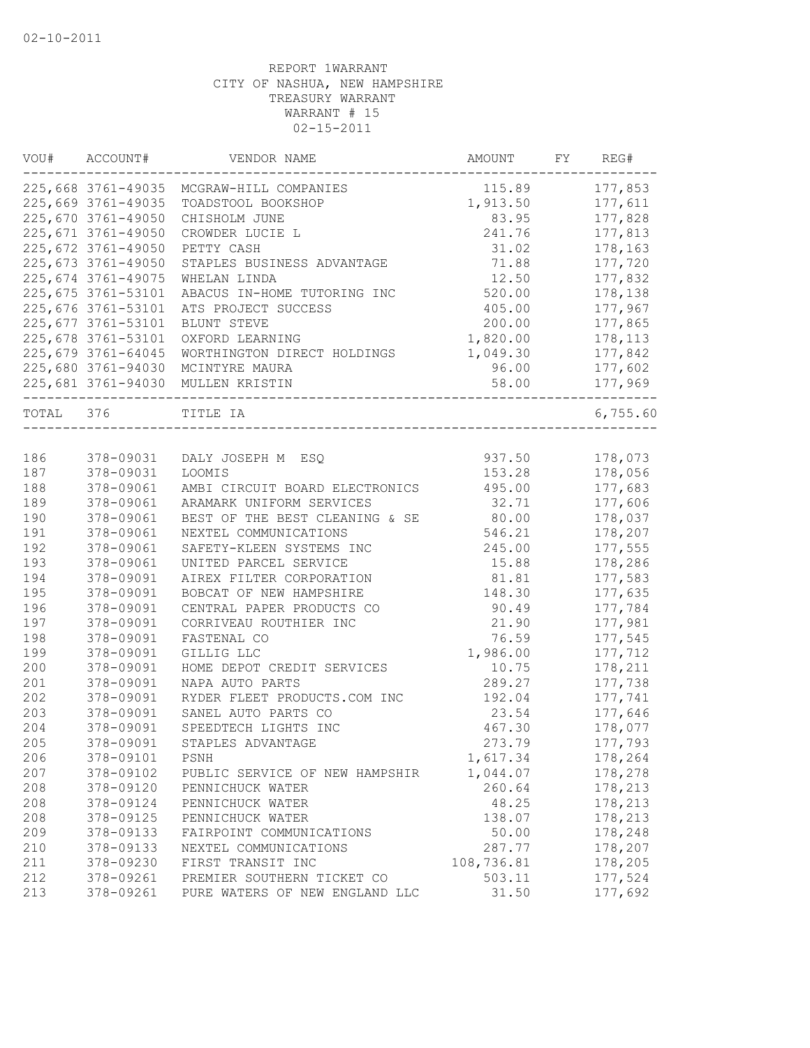| VOU#      | ACCOUNT#           | VENDOR NAME                              | AMOUNT     | FY | REG#     |
|-----------|--------------------|------------------------------------------|------------|----|----------|
|           |                    | 225,668 3761-49035 MCGRAW-HILL COMPANIES | 115.89     |    | 177,853  |
|           | 225,669 3761-49035 | TOADSTOOL BOOKSHOP                       | 1,913.50   |    | 177,611  |
|           | 225,670 3761-49050 | CHISHOLM JUNE                            | 83.95      |    | 177,828  |
|           | 225,671 3761-49050 | CROWDER LUCIE L                          | 241.76     |    | 177,813  |
|           | 225,672 3761-49050 | PETTY CASH                               | 31.02      |    | 178,163  |
|           | 225,673 3761-49050 | STAPLES BUSINESS ADVANTAGE               | 71.88      |    | 177,720  |
|           | 225,674 3761-49075 | WHELAN LINDA                             | 12.50      |    | 177,832  |
|           | 225,675 3761-53101 | ABACUS IN-HOME TUTORING INC              | 520.00     |    | 178,138  |
|           | 225,676 3761-53101 | ATS PROJECT SUCCESS                      | 405.00     |    | 177,967  |
|           | 225,677 3761-53101 | BLUNT STEVE                              | 200.00     |    | 177,865  |
|           | 225,678 3761-53101 | OXFORD LEARNING                          | 1,820.00   |    | 178,113  |
|           | 225,679 3761-64045 | WORTHINGTON DIRECT HOLDINGS              | 1,049.30   |    | 177,842  |
|           | 225,680 3761-94030 | MCINTYRE MAURA                           | 96.00      |    | 177,602  |
|           |                    | 225,681 3761-94030 MULLEN KRISTIN        | 58.00      |    | 177,969  |
| TOTAL 376 |                    | TITLE IA                                 |            |    | 6,755.60 |
|           |                    |                                          |            |    |          |
| 186       | 378-09031          | DALY JOSEPH M ESQ                        | 937.50     |    | 178,073  |
| 187       | 378-09031          | LOOMIS                                   | 153.28     |    | 178,056  |
| 188       | 378-09061          | AMBI CIRCUIT BOARD ELECTRONICS           | 495.00     |    | 177,683  |
| 189       | 378-09061          | ARAMARK UNIFORM SERVICES                 | 32.71      |    | 177,606  |
| 190       | 378-09061          | BEST OF THE BEST CLEANING & SE           | 80.00      |    | 178,037  |
| 191       | 378-09061          | NEXTEL COMMUNICATIONS                    | 546.21     |    | 178,207  |
| 192       | 378-09061          | SAFETY-KLEEN SYSTEMS INC                 | 245.00     |    | 177,555  |
| 193       | 378-09061          | UNITED PARCEL SERVICE                    | 15.88      |    | 178,286  |
| 194       | 378-09091          | AIREX FILTER CORPORATION                 | 81.81      |    | 177,583  |
| 195       | 378-09091          | BOBCAT OF NEW HAMPSHIRE                  | 148.30     |    | 177,635  |
| 196       | 378-09091          | CENTRAL PAPER PRODUCTS CO                | 90.49      |    | 177,784  |
| 197       | 378-09091          | CORRIVEAU ROUTHIER INC                   | 21.90      |    | 177,981  |
| 198       | 378-09091          | FASTENAL CO                              | 76.59      |    | 177,545  |
| 199       | 378-09091          | GILLIG LLC                               | 1,986.00   |    | 177,712  |
| 200       | 378-09091          | HOME DEPOT CREDIT SERVICES               | 10.75      |    | 178,211  |
| 201       | 378-09091          | NAPA AUTO PARTS                          | 289.27     |    | 177,738  |
| 202       | 378-09091          | RYDER FLEET PRODUCTS.COM INC             | 192.04     |    | 177,741  |
| 203       | 378-09091          | SANEL AUTO PARTS CO                      | 23.54      |    | 177,646  |
| 204       | 378-09091          | SPEEDTECH LIGHTS INC                     | 467.30     |    | 178,077  |
| 205       | 378-09091          | STAPLES ADVANTAGE                        | 273.79     |    | 177,793  |
| 206       | 378-09101          | PSNH                                     | 1,617.34   |    | 178,264  |
| 207       | 378-09102          | PUBLIC SERVICE OF NEW HAMPSHIR           | 1,044.07   |    | 178,278  |
| 208       | 378-09120          | PENNICHUCK WATER                         | 260.64     |    | 178,213  |
| 208       | 378-09124          | PENNICHUCK WATER                         | 48.25      |    | 178,213  |
| 208       | 378-09125          | PENNICHUCK WATER                         | 138.07     |    | 178,213  |
| 209       | 378-09133          | FAIRPOINT COMMUNICATIONS                 | 50.00      |    | 178,248  |
| 210       | 378-09133          | NEXTEL COMMUNICATIONS                    | 287.77     |    | 178,207  |
| 211       | 378-09230          | FIRST TRANSIT INC                        | 108,736.81 |    | 178,205  |
| 212       | 378-09261          | PREMIER SOUTHERN TICKET CO               | 503.11     |    | 177,524  |
| 213       | 378-09261          | PURE WATERS OF NEW ENGLAND LLC           | 31.50      |    | 177,692  |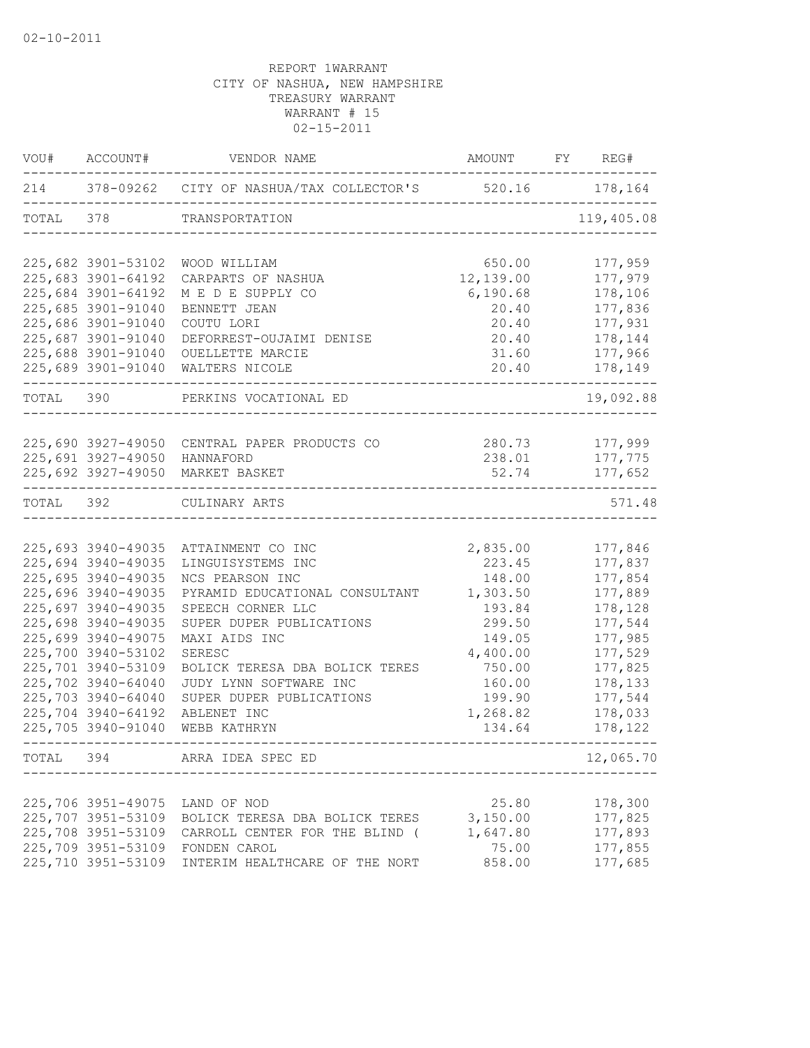| VOU#      | ACCOUNT#           | VENDOR NAME                                                 | AMOUNT FY REG# |                |
|-----------|--------------------|-------------------------------------------------------------|----------------|----------------|
|           |                    | 214 378-09262 CITY OF NASHUA/TAX COLLECTOR'S 520.16 178,164 |                |                |
| TOTAL 378 |                    | TRANSPORTATION                                              |                | 119,405.08     |
|           | 225,682 3901-53102 | WOOD WILLIAM                                                | 650.00         | 177,959        |
|           | 225,683 3901-64192 | CARPARTS OF NASHUA                                          | 12,139.00      | 177,979        |
|           | 225,684 3901-64192 | M E D E SUPPLY CO                                           | 6,190.68       | 178,106        |
|           | 225,685 3901-91040 | BENNETT JEAN                                                | 20.40          | 177,836        |
|           | 225,686 3901-91040 | COUTU LORI                                                  | 20.40          | 177,931        |
|           | 225,687 3901-91040 | DEFORREST-OUJAIMI DENISE                                    | 20.40          | 178,144        |
|           | 225,688 3901-91040 | OUELLETTE MARCIE                                            | 31.60          | 177,966        |
|           | 225,689 3901-91040 | WALTERS NICOLE                                              | 20.40          | 178,149        |
| TOTAL     | 390                | PERKINS VOCATIONAL ED                                       |                | 19,092.88      |
|           |                    |                                                             |                |                |
|           |                    | 225,690 3927-49050 CENTRAL PAPER PRODUCTS CO                |                | 280.73 177,999 |
|           | 225,691 3927-49050 | HANNAFORD                                                   | 238.01         | 177,775        |
|           |                    | 225,692 3927-49050 MARKET BASKET                            | 52.74          | 177,652        |
| TOTAL 392 |                    | CULINARY ARTS                                               |                | 571.48         |
|           |                    |                                                             |                |                |
|           | 225,693 3940-49035 | ATTAINMENT CO INC                                           | 2,835.00       | 177,846        |
|           | 225,694 3940-49035 | LINGUISYSTEMS INC                                           | 223.45         | 177,837        |
|           | 225,695 3940-49035 | NCS PEARSON INC                                             | 148.00         | 177,854        |
|           | 225,696 3940-49035 | PYRAMID EDUCATIONAL CONSULTANT                              | 1,303.50       | 177,889        |
|           | 225,697 3940-49035 | SPEECH CORNER LLC                                           | 193.84         | 178,128        |
|           | 225,698 3940-49035 | SUPER DUPER PUBLICATIONS                                    | 299.50         | 177,544        |
|           | 225,699 3940-49075 | MAXI AIDS INC                                               | 149.05         | 177,985        |
|           | 225,700 3940-53102 | SERESC                                                      | 4,400.00       | 177,529        |
|           | 225,701 3940-53109 | BOLICK TERESA DBA BOLICK TERES                              | 750.00         | 177,825        |
|           | 225,702 3940-64040 | JUDY LYNN SOFTWARE INC                                      | 160.00         | 178,133        |
|           | 225,703 3940-64040 | SUPER DUPER PUBLICATIONS                                    | 199.90         | 177,544        |
|           | 225,704 3940-64192 | ABLENET INC                                                 | 1,268.82       | 178,033        |
|           | 225,705 3940-91040 | WEBB KATHRYN                                                | 134.64         | 178,122        |
| TOTAL     | 394                | ARRA IDEA SPEC ED                                           |                | 12,065.70      |
|           |                    |                                                             |                |                |
|           | 225,706 3951-49075 | LAND OF NOD                                                 | 25.80          | 178,300        |
|           | 225,707 3951-53109 | BOLICK TERESA DBA BOLICK TERES                              | 3,150.00       | 177,825        |
|           | 225,708 3951-53109 | CARROLL CENTER FOR THE BLIND (                              | 1,647.80       | 177,893        |
|           | 225,709 3951-53109 | FONDEN CAROL                                                | 75.00          | 177,855        |
|           | 225,710 3951-53109 | INTERIM HEALTHCARE OF THE NORT                              | 858.00         | 177,685        |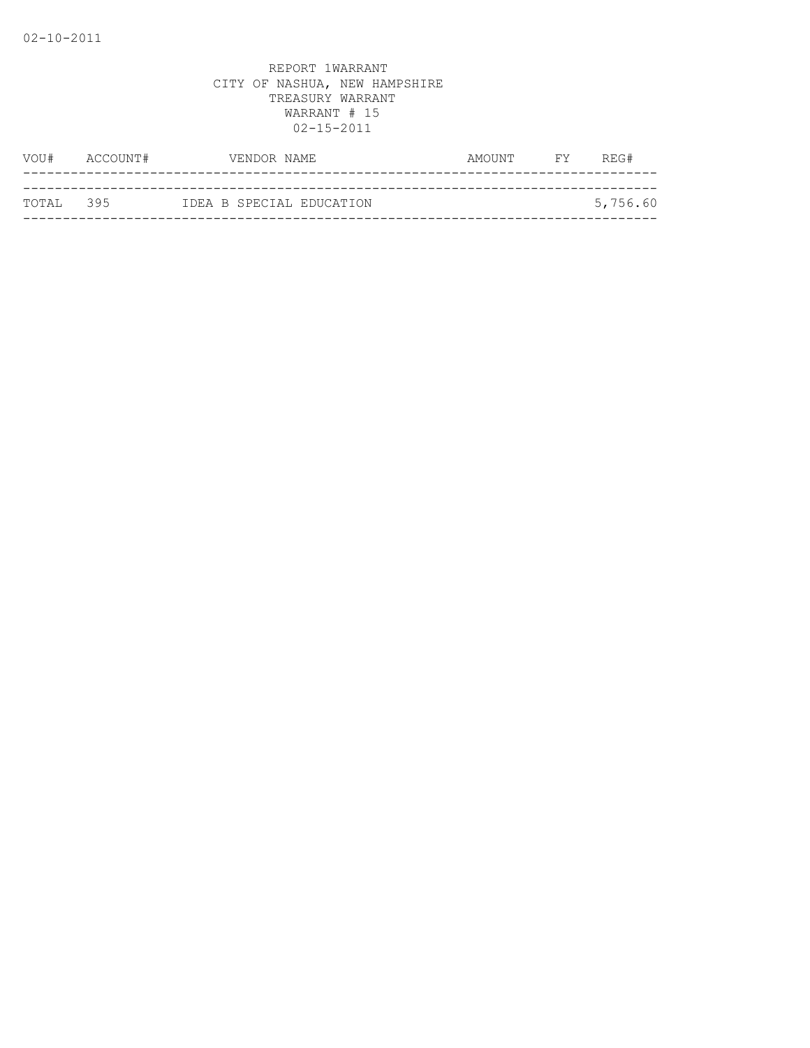| VOU#       | ACCOUNT# | VENDOR NAME |                          | AMOUNT | <b>EXECUTE</b> | REG#     |
|------------|----------|-------------|--------------------------|--------|----------------|----------|
|            |          |             |                          |        |                |          |
| ТОТАІ. 395 |          |             | IDEA B SPECIAL EDUCATION |        |                | 5,756.60 |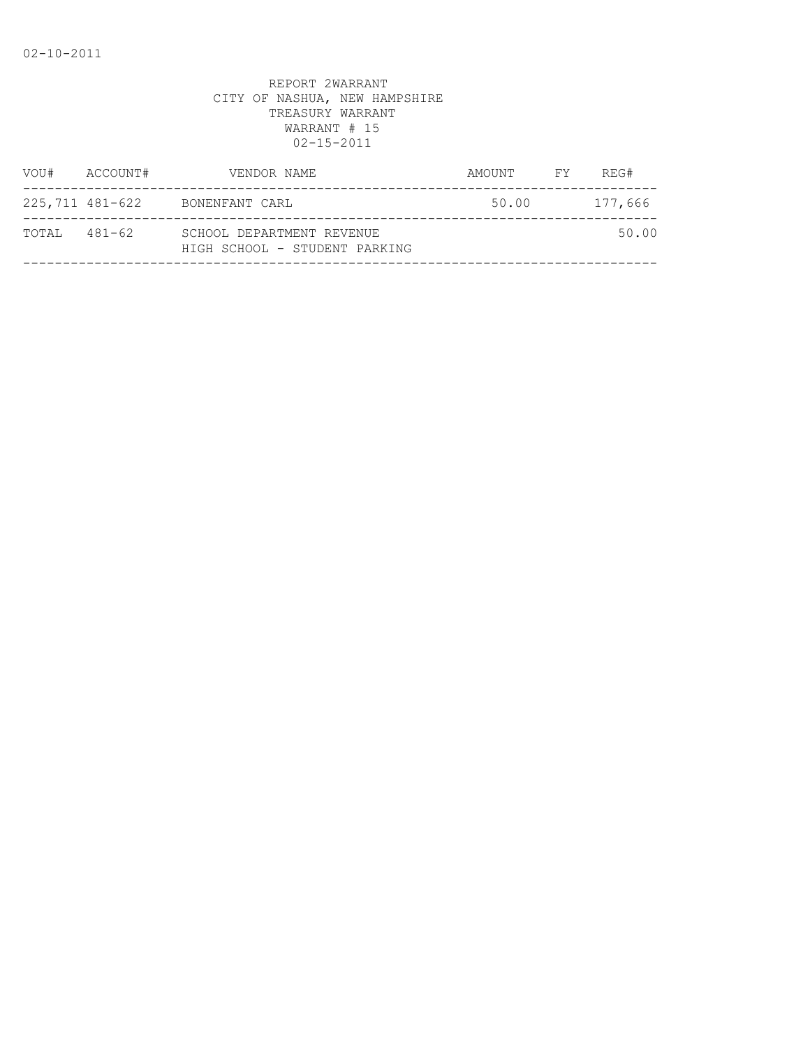| VOU#         | ACCOUNT#        | VENDOR NAME                                                | AMOUNT FY | REG#    |
|--------------|-----------------|------------------------------------------------------------|-----------|---------|
|              | 225,711 481-622 | BONENFANT CARL                                             | 50.00     | 177,666 |
| TOTAL 481-62 |                 | SCHOOL DEPARTMENT REVENUE<br>HIGH SCHOOL - STUDENT PARKING |           | 50.00   |
|              |                 |                                                            |           |         |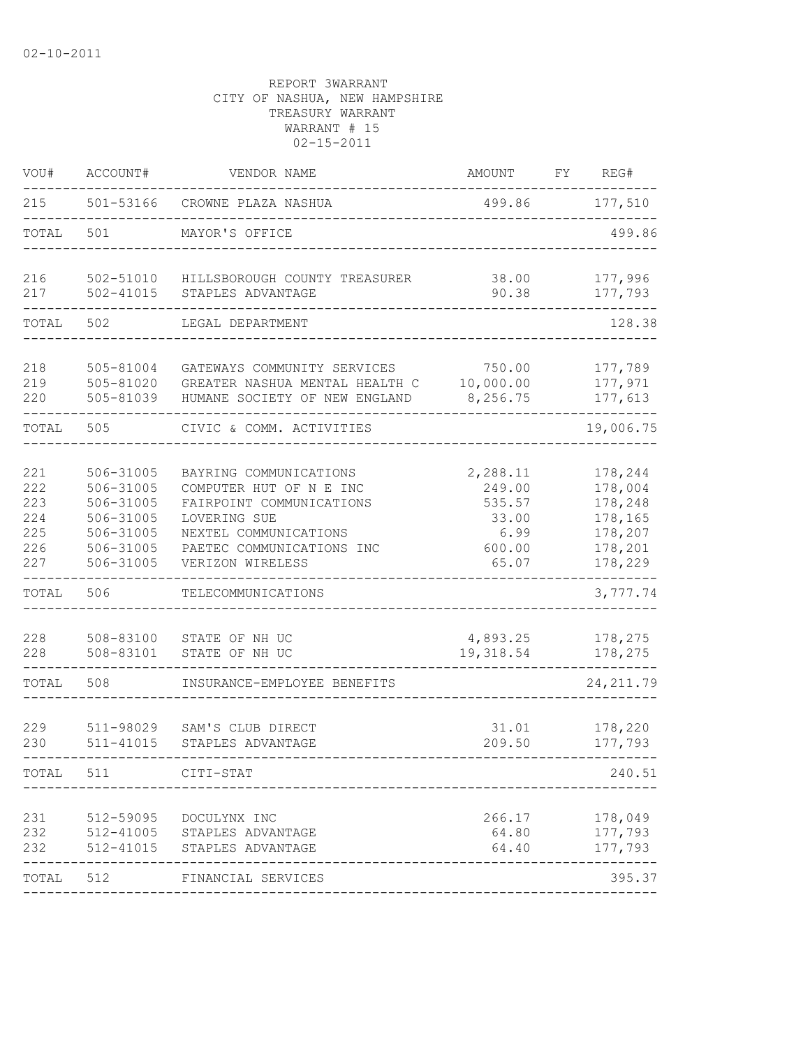| VOU#                                          | ACCOUNT#                                                                                | VENDOR NAME                                                                                                                                                             | AMOUNT                                                           | FY | REG#                                                                      |
|-----------------------------------------------|-----------------------------------------------------------------------------------------|-------------------------------------------------------------------------------------------------------------------------------------------------------------------------|------------------------------------------------------------------|----|---------------------------------------------------------------------------|
| 215                                           | 501-53166                                                                               | CROWNE PLAZA NASHUA                                                                                                                                                     | 499.86                                                           |    | 177,510                                                                   |
| TOTAL                                         | 501                                                                                     | MAYOR'S OFFICE                                                                                                                                                          |                                                                  |    | 499.86                                                                    |
| 216<br>217                                    | 502-51010<br>$502 - 41015$                                                              | HILLSBOROUGH COUNTY TREASURER<br>STAPLES ADVANTAGE                                                                                                                      | 38.00<br>90.38                                                   |    | 177,996<br>177,793                                                        |
| TOTAL                                         | 502                                                                                     | LEGAL DEPARTMENT                                                                                                                                                        |                                                                  |    | 128.38                                                                    |
| 218<br>219<br>220                             | 505-81004<br>505-81020<br>505-81039                                                     | GATEWAYS COMMUNITY SERVICES<br>GREATER NASHUA MENTAL HEALTH C<br>HUMANE SOCIETY OF NEW ENGLAND                                                                          | 750.00<br>10,000.00<br>8,256.75                                  |    | 177,789<br>177,971<br>177,613                                             |
| TOTAL                                         | 505                                                                                     | CIVIC & COMM. ACTIVITIES                                                                                                                                                |                                                                  |    | 19,006.75                                                                 |
| 221<br>222<br>223<br>224<br>225<br>226<br>227 | 506-31005<br>506-31005<br>506-31005<br>506-31005<br>506-31005<br>506-31005<br>506-31005 | BAYRING COMMUNICATIONS<br>COMPUTER HUT OF N E INC<br>FAIRPOINT COMMUNICATIONS<br>LOVERING SUE<br>NEXTEL COMMUNICATIONS<br>PAETEC COMMUNICATIONS INC<br>VERIZON WIRELESS | 2,288.11<br>249.00<br>535.57<br>33.00<br>6.99<br>600.00<br>65.07 |    | 178,244<br>178,004<br>178,248<br>178,165<br>178,207<br>178,201<br>178,229 |
| TOTAL                                         | 506                                                                                     | TELECOMMUNICATIONS                                                                                                                                                      |                                                                  |    | 3,777.74                                                                  |
| 228<br>228                                    | 508-83100<br>508-83101                                                                  | STATE OF NH UC<br>STATE OF NH UC                                                                                                                                        | 4,893.25<br>19,318.54                                            |    | 178,275<br>178,275                                                        |
| TOTAL                                         | 508                                                                                     | INSURANCE-EMPLOYEE BENEFITS                                                                                                                                             |                                                                  |    | 24, 211.79                                                                |
| 229<br>230                                    | 511-98029<br>511-41015                                                                  | SAM'S CLUB DIRECT<br>STAPLES ADVANTAGE                                                                                                                                  | 31.01<br>209.50                                                  |    | 178,220<br>177,793                                                        |
| TOTAL                                         | 511                                                                                     | CITI-STAT                                                                                                                                                               |                                                                  |    | 240.51                                                                    |
| 231<br>232<br>232                             | 512-59095<br>512-41005<br>512-41015                                                     | DOCULYNX INC<br>STAPLES ADVANTAGE<br>STAPLES ADVANTAGE                                                                                                                  | 266.17<br>64.80<br>64.40                                         |    | 178,049<br>177,793<br>177,793                                             |
| TOTAL                                         | 512                                                                                     | FINANCIAL SERVICES                                                                                                                                                      |                                                                  |    | 395.37                                                                    |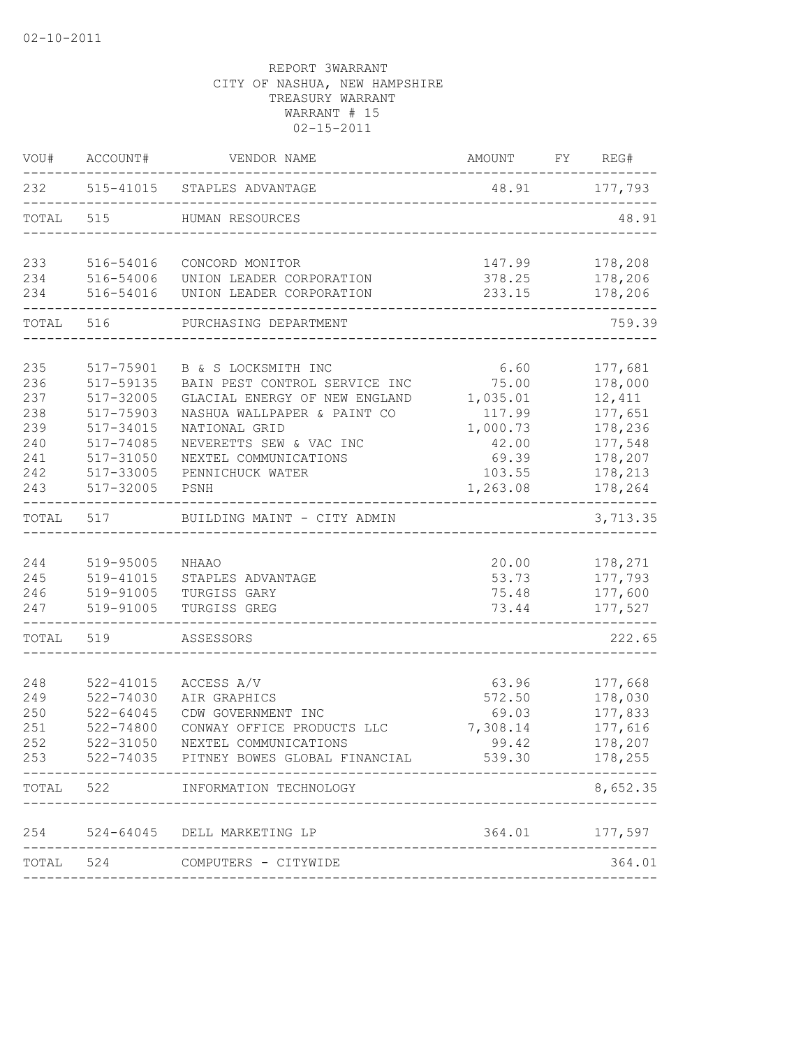| VOU#                                                        | ACCOUNT#                                                                                                          | VENDOR NAME                                                                                                                                                                                                           | AMOUNT                                                                                  | FY | REG#                                                                                           |
|-------------------------------------------------------------|-------------------------------------------------------------------------------------------------------------------|-----------------------------------------------------------------------------------------------------------------------------------------------------------------------------------------------------------------------|-----------------------------------------------------------------------------------------|----|------------------------------------------------------------------------------------------------|
| 232                                                         |                                                                                                                   | 515-41015 STAPLES ADVANTAGE                                                                                                                                                                                           | 48.91                                                                                   |    | 177,793                                                                                        |
| TOTAL                                                       | 515                                                                                                               | HUMAN RESOURCES                                                                                                                                                                                                       |                                                                                         |    | 48.91                                                                                          |
| 233<br>234                                                  | 516-54016<br>516-54006                                                                                            | CONCORD MONITOR<br>UNION LEADER CORPORATION                                                                                                                                                                           | 147.99<br>378.25                                                                        |    | 178,208<br>178,206                                                                             |
| 234                                                         | 516-54016                                                                                                         | UNION LEADER CORPORATION                                                                                                                                                                                              | 233.15                                                                                  |    | 178,206                                                                                        |
| TOTAL 516                                                   |                                                                                                                   | PURCHASING DEPARTMENT                                                                                                                                                                                                 |                                                                                         |    | 759.39                                                                                         |
| 235<br>236<br>237<br>238<br>239<br>240<br>241<br>242<br>243 | 517-75901<br>517-59135<br>517-32005<br>517-75903<br>517-34015<br>517-74085<br>517-31050<br>517-33005<br>517-32005 | B & S LOCKSMITH INC<br>BAIN PEST CONTROL SERVICE INC<br>GLACIAL ENERGY OF NEW ENGLAND<br>NASHUA WALLPAPER & PAINT CO<br>NATIONAL GRID<br>NEVERETTS SEW & VAC INC<br>NEXTEL COMMUNICATIONS<br>PENNICHUCK WATER<br>PSNH | 6.60<br>75.00<br>1,035.01<br>117.99<br>1,000.73<br>42.00<br>69.39<br>103.55<br>1,263.08 |    | 177,681<br>178,000<br>12,411<br>177,651<br>178,236<br>177,548<br>178,207<br>178,213<br>178,264 |
| TOTAL                                                       | 517                                                                                                               | BUILDING MAINT - CITY ADMIN                                                                                                                                                                                           |                                                                                         |    | 3,713.35                                                                                       |
| 244<br>245<br>246<br>247                                    | 519-95005<br>519-41015<br>519-91005<br>519-91005                                                                  | NHAAO<br>STAPLES ADVANTAGE<br>TURGISS GARY<br>TURGISS GREG                                                                                                                                                            | 20.00<br>53.73<br>75.48<br>73.44                                                        |    | 178,271<br>177,793<br>177,600<br>177,527                                                       |
| TOTAL                                                       | 519                                                                                                               | ASSESSORS                                                                                                                                                                                                             |                                                                                         |    | 222.65                                                                                         |
| 248<br>249<br>250<br>251<br>252<br>253                      | 522-41015<br>522-74030<br>$522 - 64045$<br>522-74800<br>522-31050                                                 | ACCESS A/V<br>AIR GRAPHICS<br>CDW GOVERNMENT INC<br>CONWAY OFFICE PRODUCTS LLC<br>NEXTEL COMMUNICATIONS<br>522-74035 PITNEY BOWES GLOBAL FINANCIAL                                                                    | 63.96<br>572.50<br>69.03<br>7,308.14<br>99.42<br>539.30                                 |    | 177,668<br>178,030<br>177,833<br>177,616<br>178,207<br>178,255                                 |
| TOTAL                                                       | 522                                                                                                               | INFORMATION TECHNOLOGY                                                                                                                                                                                                |                                                                                         |    | 8,652.35                                                                                       |
| 254                                                         |                                                                                                                   | 524-64045 DELL MARKETING LP                                                                                                                                                                                           | 364.01                                                                                  |    | 177,597                                                                                        |
| TOTAL                                                       |                                                                                                                   | 524 COMPUTERS - CITYWIDE                                                                                                                                                                                              |                                                                                         |    | 364.01                                                                                         |
|                                                             |                                                                                                                   |                                                                                                                                                                                                                       |                                                                                         |    |                                                                                                |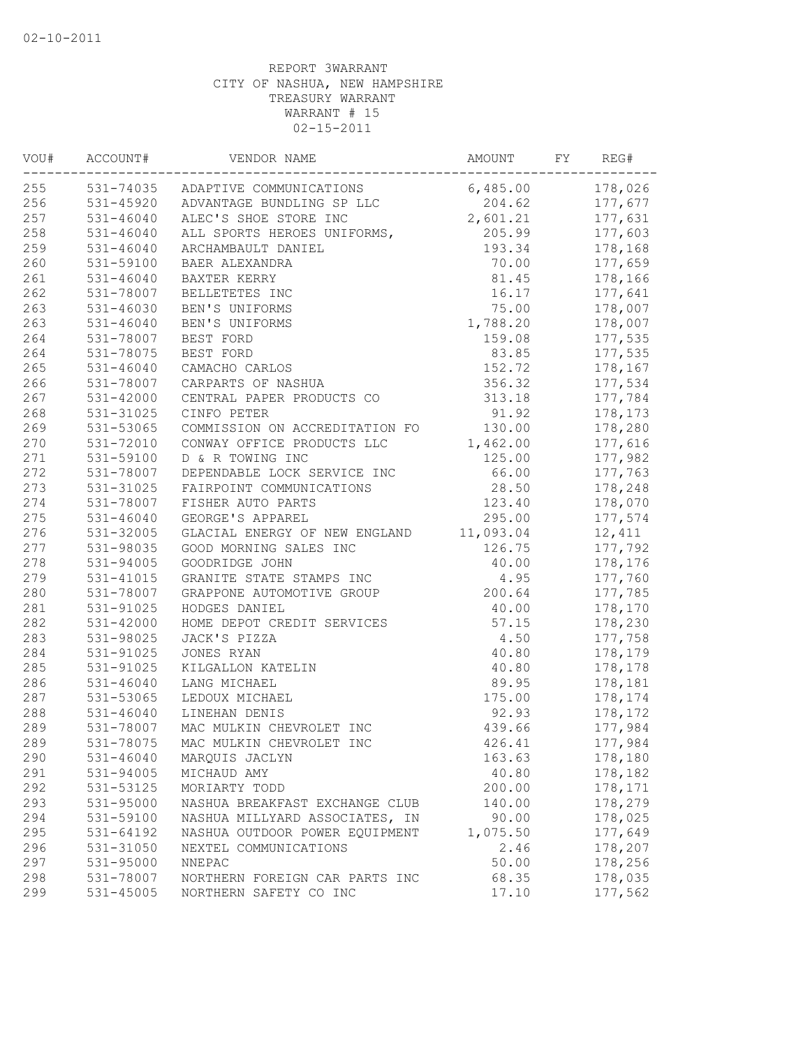| VOU# | ACCOUNT#      | VENDOR NAME                         | AMOUNT    | FY | REG#    |
|------|---------------|-------------------------------------|-----------|----|---------|
| 255  |               | 531-74035 ADAPTIVE COMMUNICATIONS   | 6,485.00  |    | 178,026 |
| 256  |               | 531-45920 ADVANTAGE BUNDLING SP LLC | 204.62    |    | 177,677 |
| 257  | 531-46040     | ALEC'S SHOE STORE INC               | 2,601.21  |    | 177,631 |
| 258  | 531-46040     | ALL SPORTS HEROES UNIFORMS,         | 205.99    |    | 177,603 |
| 259  | 531-46040     | ARCHAMBAULT DANIEL                  | 193.34    |    | 178,168 |
| 260  | 531-59100     | BAER ALEXANDRA                      | 70.00     |    | 177,659 |
| 261  | $531 - 46040$ | BAXTER KERRY                        | 81.45     |    | 178,166 |
| 262  | 531-78007     | BELLETETES INC                      | 16.17     |    | 177,641 |
| 263  | 531-46030     | BEN'S UNIFORMS                      | 75.00     |    | 178,007 |
| 263  | $531 - 46040$ | BEN'S UNIFORMS                      | 1,788.20  |    | 178,007 |
| 264  | 531-78007     | BEST FORD                           | 159.08    |    | 177,535 |
| 264  | 531-78075     | BEST FORD                           | 83.85     |    | 177,535 |
| 265  | $531 - 46040$ | CAMACHO CARLOS                      | 152.72    |    | 178,167 |
| 266  | 531-78007     | CARPARTS OF NASHUA                  | 356.32    |    | 177,534 |
| 267  | 531-42000     | CENTRAL PAPER PRODUCTS CO           | 313.18    |    | 177,784 |
| 268  | 531-31025     | CINFO PETER                         | 91.92     |    | 178,173 |
| 269  | 531-53065     | COMMISSION ON ACCREDITATION FO      | 130.00    |    | 178,280 |
| 270  | 531-72010     | CONWAY OFFICE PRODUCTS LLC          | 1,462.00  |    | 177,616 |
| 271  | 531-59100     | D & R TOWING INC                    | 125.00    |    | 177,982 |
| 272  | 531-78007     | DEPENDABLE LOCK SERVICE INC         | 66.00     |    | 177,763 |
| 273  | 531-31025     | FAIRPOINT COMMUNICATIONS            | 28.50     |    | 178,248 |
| 274  | 531-78007     | FISHER AUTO PARTS                   | 123.40    |    | 178,070 |
| 275  | 531-46040     | GEORGE'S APPAREL                    | 295.00    |    | 177,574 |
| 276  | 531-32005     | GLACIAL ENERGY OF NEW ENGLAND       | 11,093.04 |    | 12,411  |
| 277  | 531-98035     | GOOD MORNING SALES INC              | 126.75    |    | 177,792 |
| 278  | 531-94005     | GOODRIDGE JOHN                      | 40.00     |    | 178,176 |
| 279  | 531-41015     | GRANITE STATE STAMPS INC            | 4.95      |    | 177,760 |
| 280  | 531-78007     | GRAPPONE AUTOMOTIVE GROUP           | 200.64    |    | 177,785 |
| 281  | 531-91025     | HODGES DANIEL                       | 40.00     |    | 178,170 |
| 282  | 531-42000     | HOME DEPOT CREDIT SERVICES          | 57.15     |    | 178,230 |
| 283  | 531-98025     | JACK'S PIZZA                        | 4.50      |    | 177,758 |
| 284  | 531-91025     | JONES RYAN                          | 40.80     |    | 178,179 |
| 285  | 531-91025     | KILGALLON KATELIN                   | 40.80     |    | 178,178 |
| 286  | $531 - 46040$ | LANG MICHAEL                        | 89.95     |    | 178,181 |
| 287  | 531-53065     | LEDOUX MICHAEL                      | 175.00    |    | 178,174 |
| 288  | $531 - 46040$ | LINEHAN DENIS                       | 92.93     |    | 178,172 |
| 289  | 531-78007     | MAC MULKIN CHEVROLET INC            | 439.66    |    | 177,984 |
| 289  | 531-78075     | MAC MULKIN CHEVROLET INC            | 426.41    |    | 177,984 |
| 290  | $531 - 46040$ | MARQUIS JACLYN                      | 163.63    |    | 178,180 |
| 291  | 531-94005     | MICHAUD AMY                         | 40.80     |    | 178,182 |
| 292  | 531-53125     | MORIARTY TODD                       | 200.00    |    | 178,171 |
| 293  | 531-95000     | NASHUA BREAKFAST EXCHANGE CLUB      | 140.00    |    | 178,279 |
| 294  | 531-59100     | NASHUA MILLYARD ASSOCIATES, IN      | 90.00     |    | 178,025 |
| 295  | $531 - 64192$ | NASHUA OUTDOOR POWER EQUIPMENT      | 1,075.50  |    | 177,649 |
| 296  | 531-31050     | NEXTEL COMMUNICATIONS               | 2.46      |    | 178,207 |
| 297  | 531-95000     | NNEPAC                              | 50.00     |    | 178,256 |
| 298  | 531-78007     | NORTHERN FOREIGN CAR PARTS INC      | 68.35     |    | 178,035 |
| 299  | 531-45005     | NORTHERN SAFETY CO INC              | 17.10     |    | 177,562 |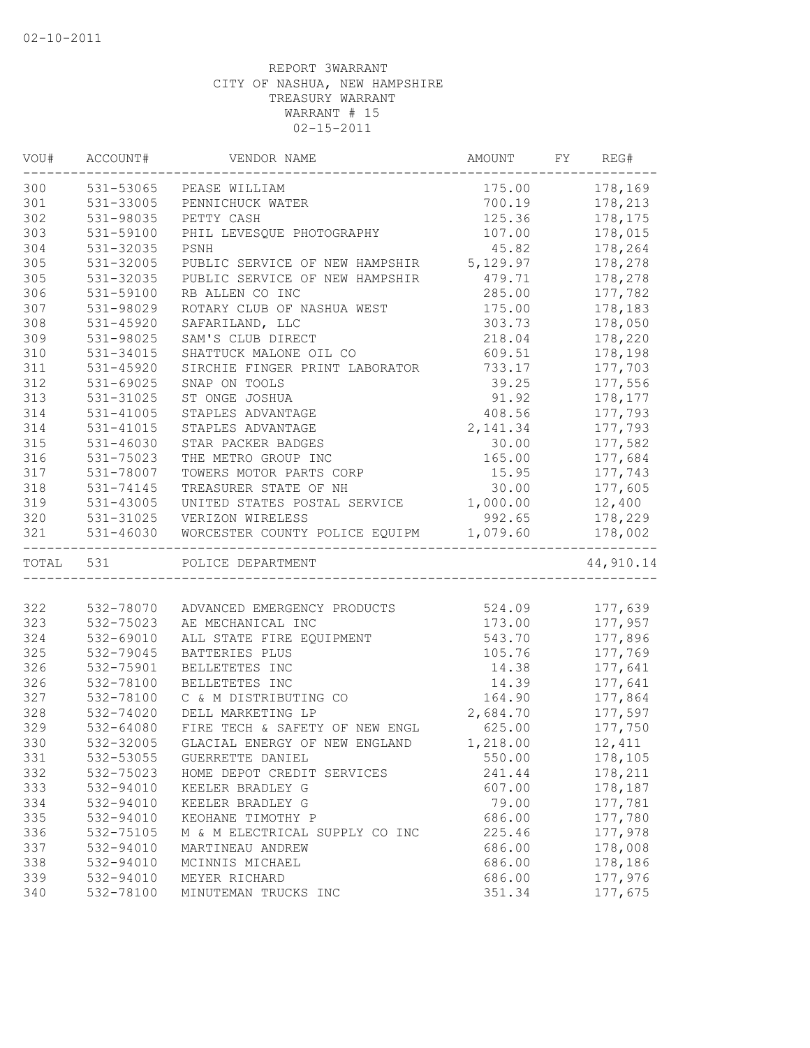| VOU# | ACCOUNT#  | VENDOR NAME                             | AMOUNT   | FY | REG#      |
|------|-----------|-----------------------------------------|----------|----|-----------|
| 300  |           | 531-53065 PEASE WILLIAM                 | 175.00   |    | 178,169   |
| 301  | 531-33005 | PENNICHUCK WATER                        | 700.19   |    | 178,213   |
| 302  | 531-98035 | PETTY CASH                              | 125.36   |    | 178,175   |
| 303  | 531-59100 | PHIL LEVESQUE PHOTOGRAPHY               | 107.00   |    | 178,015   |
| 304  | 531-32035 | PSNH                                    | 45.82    |    | 178,264   |
| 305  | 531-32005 | PUBLIC SERVICE OF NEW HAMPSHIR 5,129.97 |          |    | 178,278   |
| 305  | 531-32035 | PUBLIC SERVICE OF NEW HAMPSHIR          | 479.71   |    | 178,278   |
| 306  | 531-59100 | RB ALLEN CO INC                         | 285.00   |    | 177,782   |
| 307  | 531-98029 | ROTARY CLUB OF NASHUA WEST              | 175.00   |    | 178,183   |
| 308  | 531-45920 | SAFARILAND, LLC                         | 303.73   |    | 178,050   |
| 309  | 531-98025 | SAM'S CLUB DIRECT                       | 218.04   |    | 178,220   |
| 310  | 531-34015 | SHATTUCK MALONE OIL CO                  | 609.51   |    | 178,198   |
| 311  | 531-45920 | SIRCHIE FINGER PRINT LABORATOR          | 733.17   |    | 177,703   |
| 312  | 531-69025 | SNAP ON TOOLS                           | 39.25    |    | 177,556   |
| 313  | 531-31025 | ST ONGE JOSHUA                          | 91.92    |    | 178,177   |
| 314  | 531-41005 | STAPLES ADVANTAGE                       | 408.56   |    | 177,793   |
| 314  | 531-41015 | STAPLES ADVANTAGE                       | 2,141.34 |    | 177,793   |
| 315  | 531-46030 | STAR PACKER BADGES                      | 30.00    |    | 177,582   |
| 316  | 531-75023 | THE METRO GROUP INC                     | 165.00   |    | 177,684   |
| 317  | 531-78007 | TOWERS MOTOR PARTS CORP                 | 15.95    |    | 177,743   |
| 318  | 531-74145 | TREASURER STATE OF NH                   | 30.00    |    | 177,605   |
| 319  | 531-43005 | UNITED STATES POSTAL SERVICE            | 1,000.00 |    | 12,400    |
| 320  |           | 531-31025 VERIZON WIRELESS              | 992.65   |    | 178,229   |
| 321  | 531-46030 | WORCESTER COUNTY POLICE EQUIPM 1,079.60 |          |    | 178,002   |
|      | TOTAL 531 | POLICE DEPARTMENT                       |          |    | 44,910.14 |
|      |           |                                         |          |    |           |
| 322  | 532-78070 | ADVANCED EMERGENCY PRODUCTS 524.09      |          |    | 177,639   |
| 323  | 532-75023 | AE MECHANICAL INC                       | 173.00   |    | 177,957   |
| 324  | 532-69010 | ALL STATE FIRE EQUIPMENT                | 543.70   |    | 177,896   |
| 325  | 532-79045 | BATTERIES PLUS                          | 105.76   |    | 177,769   |
| 326  | 532-75901 | BELLETETES INC                          | 14.38    |    | 177,641   |
| 326  | 532-78100 | BELLETETES INC                          | 14.39    |    | 177,641   |
| 327  | 532-78100 | C & M DISTRIBUTING CO                   | 164.90   |    | 177,864   |
| 328  | 532-74020 | DELL MARKETING LP                       | 2,684.70 |    | 177,597   |
| 329  | 532-64080 | FIRE TECH & SAFETY OF NEW ENGL          | 625.00   |    | 177,750   |
| 330  | 532-32005 | GLACIAL ENERGY OF NEW ENGLAND           | 1,218.00 |    | 12,411    |
| 331  | 532-53055 | GUERRETTE DANIEL                        | 550.00   |    | 178,105   |
| 332  | 532-75023 | HOME DEPOT CREDIT SERVICES              | 241.44   |    | 178,211   |
| 333  | 532-94010 | KEELER BRADLEY G                        | 607.00   |    | 178,187   |
| 334  | 532-94010 | KEELER BRADLEY G                        | 79.00    |    | 177,781   |
| 335  | 532-94010 | KEOHANE TIMOTHY P                       | 686.00   |    | 177,780   |
| 336  | 532-75105 | M & M ELECTRICAL SUPPLY CO INC          | 225.46   |    | 177,978   |
| 337  | 532-94010 | MARTINEAU ANDREW                        | 686.00   |    | 178,008   |
| 338  | 532-94010 | MCINNIS MICHAEL                         | 686.00   |    | 178,186   |
| 339  | 532-94010 | MEYER RICHARD                           | 686.00   |    | 177,976   |
| 340  | 532-78100 | MINUTEMAN TRUCKS INC                    | 351.34   |    | 177,675   |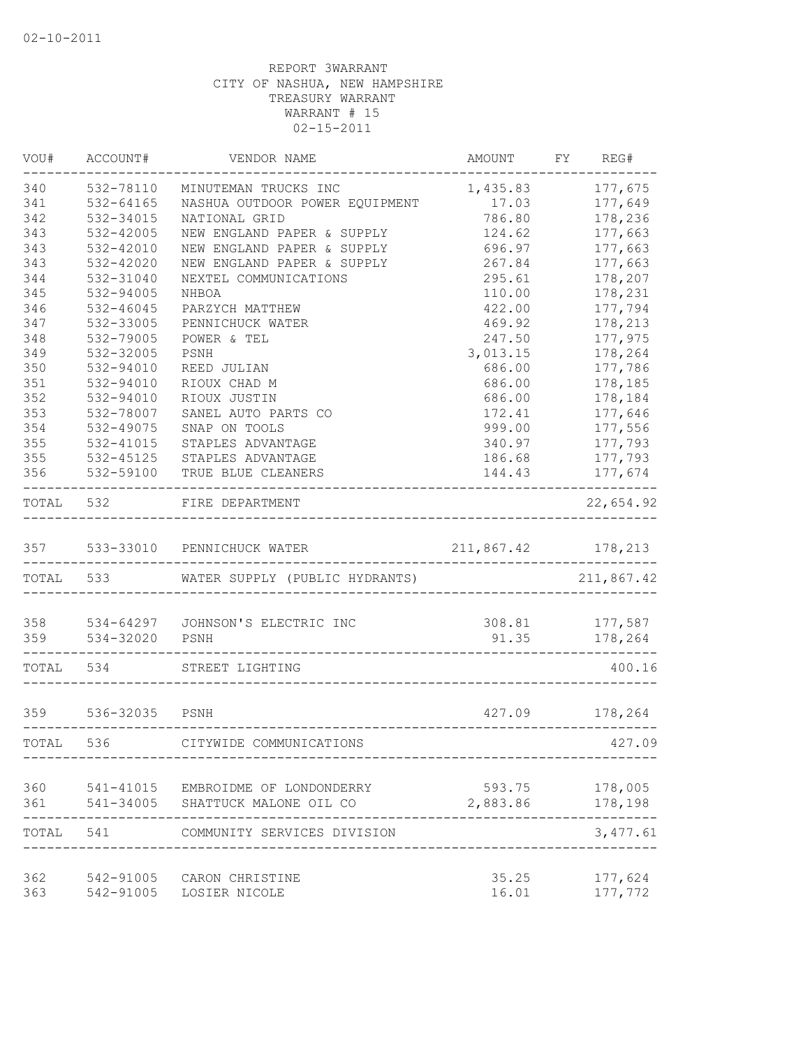| VOU#      | ACCOUNT#       | VENDOR NAME                        | AMOUNT                                | FY | REG#       |
|-----------|----------------|------------------------------------|---------------------------------------|----|------------|
| 340       | 532-78110      | MINUTEMAN TRUCKS INC               | 1,435.83                              |    | 177,675    |
| 341       | 532-64165      | NASHUA OUTDOOR POWER EQUIPMENT     | 17.03                                 |    | 177,649    |
| 342       | 532-34015      | NATIONAL GRID                      | 786.80                                |    | 178,236    |
| 343       | 532-42005      | NEW ENGLAND PAPER & SUPPLY         | 124.62                                |    | 177,663    |
| 343       | 532-42010      | NEW ENGLAND PAPER & SUPPLY         | 696.97                                |    | 177,663    |
| 343       | 532-42020      | NEW ENGLAND PAPER & SUPPLY         | 267.84                                |    | 177,663    |
| 344       | 532-31040      | NEXTEL COMMUNICATIONS              | 295.61                                |    | 178,207    |
| 345       | 532-94005      | NHBOA                              | 110.00                                |    | 178,231    |
| 346       | 532-46045      | PARZYCH MATTHEW                    | 422.00                                |    | 177,794    |
| 347       | 532-33005      | PENNICHUCK WATER                   | 469.92                                |    | 178,213    |
| 348       | 532-79005      | POWER & TEL                        | 247.50                                |    | 177,975    |
| 349       | 532-32005      | PSNH                               | 3,013.15                              |    | 178,264    |
| 350       | 532-94010      | REED JULIAN                        | 686.00                                |    | 177,786    |
| 351       | 532-94010      | RIOUX CHAD M                       | 686.00                                |    | 178,185    |
| 352       | 532-94010      | RIOUX JUSTIN                       | 686.00                                |    | 178,184    |
| 353       | 532-78007      | SANEL AUTO PARTS CO                | 172.41                                |    | 177,646    |
| 354       | 532-49075      | SNAP ON TOOLS                      | 999.00                                |    | 177,556    |
| 355       | 532-41015      | STAPLES ADVANTAGE                  | 340.97                                |    | 177,793    |
| 355       | 532-45125      | STAPLES ADVANTAGE                  | 186.68                                |    | 177,793    |
| 356       | 532-59100      | TRUE BLUE CLEANERS<br>----------   | 144.43                                |    | 177,674    |
| TOTAL     | 532            | FIRE DEPARTMENT                    |                                       |    | 22,654.92  |
| 357       | 533-33010      | PENNICHUCK WATER                   | 211,867.42                            |    | 178,213    |
| TOTAL 533 |                | WATER SUPPLY (PUBLIC HYDRANTS)     |                                       |    | 211,867.42 |
|           |                |                                    |                                       |    |            |
| 358       | 534-64297      | JOHNSON'S ELECTRIC INC             | 308.81                                |    | 177,587    |
| 359       | 534-32020      | PSNH                               | 91.35<br>____________________________ |    | 178,264    |
| TOTAL     | 534            | STREET LIGHTING                    |                                       |    | 400.16     |
| 359       | 536-32035 PSNH |                                    | 427.09                                |    | 178,264    |
| TOTAL     | 536            | CITYWIDE COMMUNICATIONS            |                                       |    | 427.09     |
|           |                |                                    |                                       |    |            |
| 360       |                | 541-41015 EMBROIDME OF LONDONDERRY | 593.75                                |    | 178,005    |
| 361       | 541-34005      | SHATTUCK MALONE OIL CO             | 2,883.86                              |    | 178,198    |
| TOTAL     | 541            | COMMUNITY SERVICES DIVISION        |                                       |    | 3, 477.61  |
| 362       | 542-91005      | CARON CHRISTINE                    | 35.25                                 |    | 177,624    |
| 363       | 542-91005      | LOSIER NICOLE                      | 16.01                                 |    | 177,772    |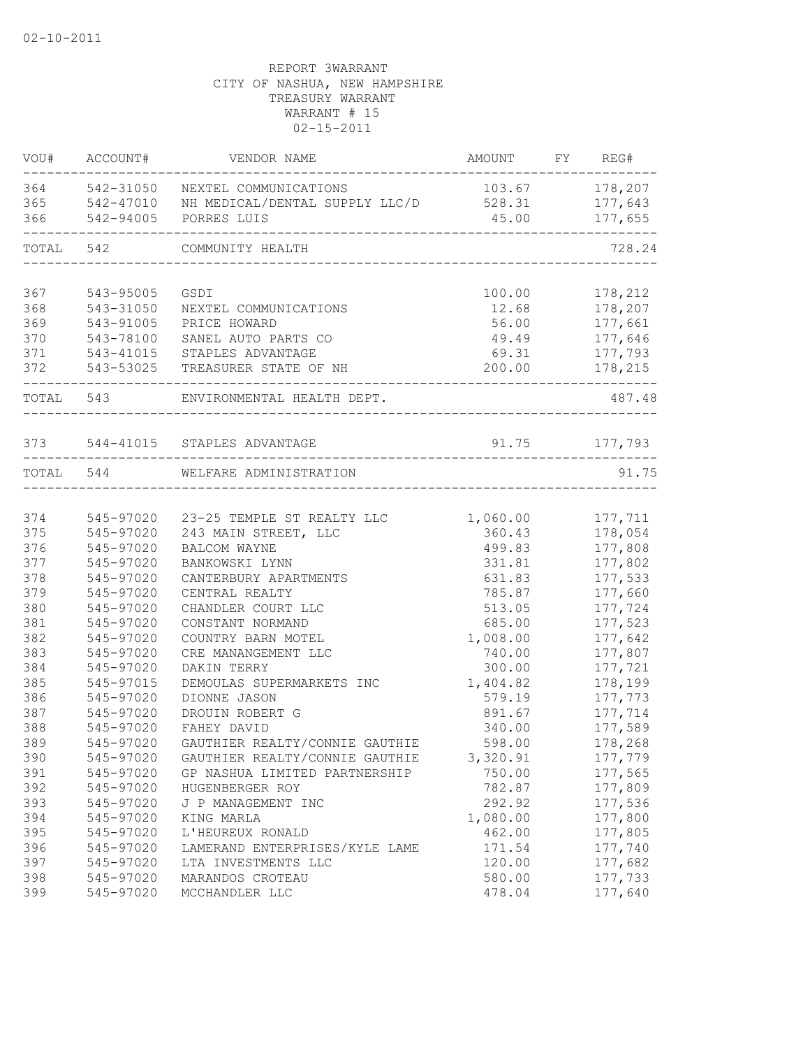| VOU#       | ACCOUNT#               | VENDOR NAME                              | AMOUNT FY REG# |                    |
|------------|------------------------|------------------------------------------|----------------|--------------------|
| 364        |                        | 542-31050 NEXTEL COMMUNICATIONS          | 103.67         | 178,207            |
| 365        |                        | 542-47010 NH MEDICAL/DENTAL SUPPLY LLC/D | 528.31         | 177,643            |
| 366        | 542-94005              | PORRES LUIS                              | 45.00          | 177,655            |
| TOTAL 542  |                        | COMMUNITY HEALTH                         |                | 728.24             |
|            |                        |                                          |                |                    |
| 367<br>368 | 543-95005              | GSDI                                     | 100.00         | 178,212<br>178,207 |
|            | 543-31050              | NEXTEL COMMUNICATIONS                    | 12.68          |                    |
| 369<br>370 | 543-91005<br>543-78100 | PRICE HOWARD<br>SANEL AUTO PARTS CO      | 56.00          | 177,661            |
| 371        |                        | STAPLES ADVANTAGE                        | 49.49<br>69.31 | 177,646            |
| 372        | 543-41015              | 543-53025 TREASURER STATE OF NH          | 200.00         | 177,793            |
|            |                        |                                          |                | 178,215            |
| TOTAL 543  |                        | ENVIRONMENTAL HEALTH DEPT.               |                | 487.48             |
|            |                        |                                          |                |                    |
|            |                        | 373 544-41015 STAPLES ADVANTAGE          |                | 91.75 177,793      |
| TOTAL 544  |                        | WELFARE ADMINISTRATION                   |                | 91.75              |
|            |                        |                                          |                |                    |
| 374        | 545-97020              | 23-25 TEMPLE ST REALTY LLC               | 1,060.00       | 177,711            |
| 375        | 545-97020              | 243 MAIN STREET, LLC                     | 360.43         | 178,054            |
| 376        | 545-97020              | BALCOM WAYNE                             | 499.83         | 177,808            |
| 377        | 545-97020              | BANKOWSKI LYNN                           | 331.81         | 177,802            |
| 378        | 545-97020              | CANTERBURY APARTMENTS                    | 631.83         | 177,533            |
| 379        | 545-97020              | CENTRAL REALTY                           | 785.87         | 177,660            |
| 380        | 545-97020              | CHANDLER COURT LLC                       | 513.05         | 177,724            |
| 381        | 545-97020              | CONSTANT NORMAND                         | 685.00         | 177,523            |
| 382        | 545-97020              | COUNTRY BARN MOTEL                       | 1,008.00       | 177,642            |
| 383        | 545-97020              | CRE MANANGEMENT LLC                      | 740.00         | 177,807            |
| 384        | 545-97020              | DAKIN TERRY                              | 300.00         | 177,721            |
| 385        | 545-97015              | DEMOULAS SUPERMARKETS INC                | 1,404.82       | 178,199            |
| 386        | 545-97020              | DIONNE JASON                             | 579.19         | 177,773            |
| 387        | 545-97020              | DROUIN ROBERT G                          | 891.67         | 177,714            |
| 388        | 545-97020              | FAHEY DAVID                              | 340.00         | 177,589            |
| 389        | 545-97020              | GAUTHIER REALTY/CONNIE GAUTHIE           | 598.00         | 178,268            |
| 390        | 545-97020              | GAUTHIER REALTY/CONNIE GAUTHIE           | 3,320.91       | 177,779            |
| 391        | 545-97020              | GP NASHUA LIMITED PARTNERSHIP            | 750.00         | 177,565            |
| 392        | 545-97020              | HUGENBERGER ROY                          | 782.87         | 177,809            |
| 393        | 545-97020              | J P MANAGEMENT INC                       | 292.92         | 177,536            |
| 394        | 545-97020              | KING MARLA                               | 1,080.00       | 177,800            |
| 395        | 545-97020              | L'HEUREUX RONALD                         | 462.00         | 177,805            |
| 396        | 545-97020              | LAMERAND ENTERPRISES/KYLE LAME           | 171.54         | 177,740            |
| 397        | 545-97020              | LTA INVESTMENTS LLC                      | 120.00         | 177,682            |
| 398        | 545-97020              | MARANDOS CROTEAU                         | 580.00         | 177,733            |
| 399        | 545-97020              | MCCHANDLER LLC                           | 478.04         | 177,640            |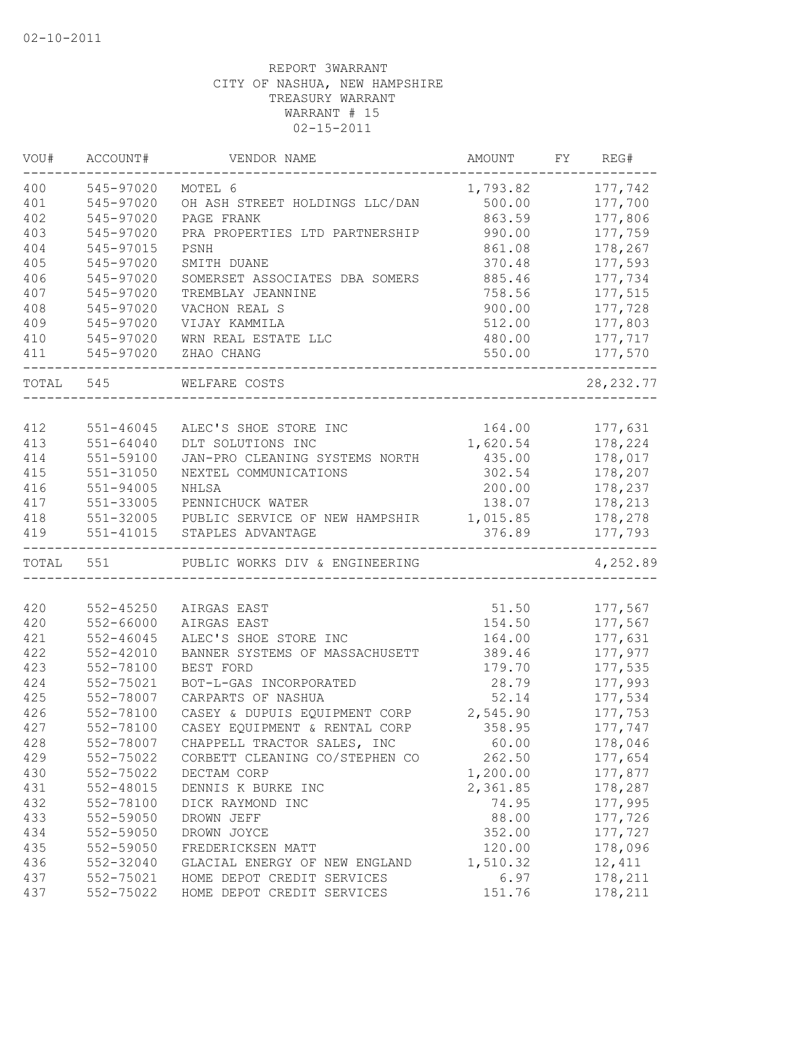| VOU#  | ACCOUNT#      | VENDOR NAME                    | AMOUNT   | FY | REG#       |
|-------|---------------|--------------------------------|----------|----|------------|
| 400   | 545-97020     | MOTEL 6                        | 1,793.82 |    | 177,742    |
| 401   | 545-97020     | OH ASH STREET HOLDINGS LLC/DAN | 500.00   |    | 177,700    |
| 402   | 545-97020     | PAGE FRANK                     | 863.59   |    | 177,806    |
| 403   | 545-97020     | PRA PROPERTIES LTD PARTNERSHIP | 990.00   |    | 177,759    |
| 404   | 545-97015     | $_{\rm{PSNH}}$                 | 861.08   |    | 178,267    |
| 405   | 545-97020     | SMITH DUANE                    | 370.48   |    | 177,593    |
| 406   | 545-97020     | SOMERSET ASSOCIATES DBA SOMERS | 885.46   |    | 177,734    |
| 407   | 545-97020     | TREMBLAY JEANNINE              | 758.56   |    | 177,515    |
| 408   | 545-97020     | VACHON REAL S                  | 900.00   |    | 177,728    |
| 409   | 545-97020     | VIJAY KAMMILA                  | 512.00   |    | 177,803    |
| 410   | 545-97020     | WRN REAL ESTATE LLC            | 480.00   |    | 177,717    |
| 411   | 545-97020     | ZHAO CHANG                     | 550.00   |    | 177,570    |
| TOTAL | 545           | WELFARE COSTS                  |          |    | 28, 232.77 |
|       |               |                                |          |    |            |
| 412   | $551 - 46045$ | ALEC'S SHOE STORE INC          | 164.00   |    | 177,631    |
| 413   | $551 - 64040$ | DLT SOLUTIONS INC              | 1,620.54 |    | 178,224    |
| 414   | 551-59100     | JAN-PRO CLEANING SYSTEMS NORTH | 435.00   |    | 178,017    |
| 415   | 551-31050     | NEXTEL COMMUNICATIONS          | 302.54   |    | 178,207    |
| 416   | 551-94005     | NHLSA                          | 200.00   |    | 178,237    |
| 417   | 551-33005     | PENNICHUCK WATER               | 138.07   |    | 178,213    |
| 418   | 551-32005     | PUBLIC SERVICE OF NEW HAMPSHIR | 1,015.85 |    | 178,278    |
| 419   | $551 - 41015$ | STAPLES ADVANTAGE              | 376.89   |    | 177,793    |
|       | TOTAL 551     | PUBLIC WORKS DIV & ENGINEERING |          |    | 4,252.89   |
|       |               |                                |          |    |            |
| 420   | 552-45250     | AIRGAS EAST                    | 51.50    |    | 177,567    |
| 420   | 552-66000     | AIRGAS EAST                    | 154.50   |    | 177,567    |
| 421   | $552 - 46045$ | ALEC'S SHOE STORE INC          | 164.00   |    | 177,631    |
| 422   | 552-42010     | BANNER SYSTEMS OF MASSACHUSETT | 389.46   |    | 177,977    |
| 423   | 552-78100     | BEST FORD                      | 179.70   |    | 177,535    |
| 424   | 552-75021     | BOT-L-GAS INCORPORATED         | 28.79    |    | 177,993    |
| 425   | 552-78007     | CARPARTS OF NASHUA             | 52.14    |    | 177,534    |
| 426   | 552-78100     | CASEY & DUPUIS EQUIPMENT CORP  | 2,545.90 |    | 177,753    |
| 427   | 552-78100     | CASEY EQUIPMENT & RENTAL CORP  | 358.95   |    | 177,747    |
| 428   | 552-78007     | CHAPPELL TRACTOR SALES, INC    | 60.00    |    | 178,046    |
| 429   | 552-75022     | CORBETT CLEANING CO/STEPHEN CO | 262.50   |    | 177,654    |
| 430   | 552-75022     | DECTAM CORP                    | 1,200.00 |    | 177,877    |
| 431   | 552-48015     | DENNIS K BURKE INC             | 2,361.85 |    | 178,287    |
| 432   | 552-78100     | DICK RAYMOND INC               | 74.95    |    | 177,995    |
| 433   | 552-59050     | DROWN JEFF                     | 88.00    |    | 177,726    |
| 434   | 552-59050     | DROWN JOYCE                    | 352.00   |    | 177,727    |
| 435   | 552-59050     | FREDERICKSEN MATT              | 120.00   |    | 178,096    |
| 436   | 552-32040     | GLACIAL ENERGY OF NEW ENGLAND  | 1,510.32 |    | 12,411     |
| 437   | 552-75021     | HOME DEPOT CREDIT SERVICES     | 6.97     |    | 178,211    |
| 437   | 552-75022     | HOME DEPOT CREDIT SERVICES     | 151.76   |    | 178,211    |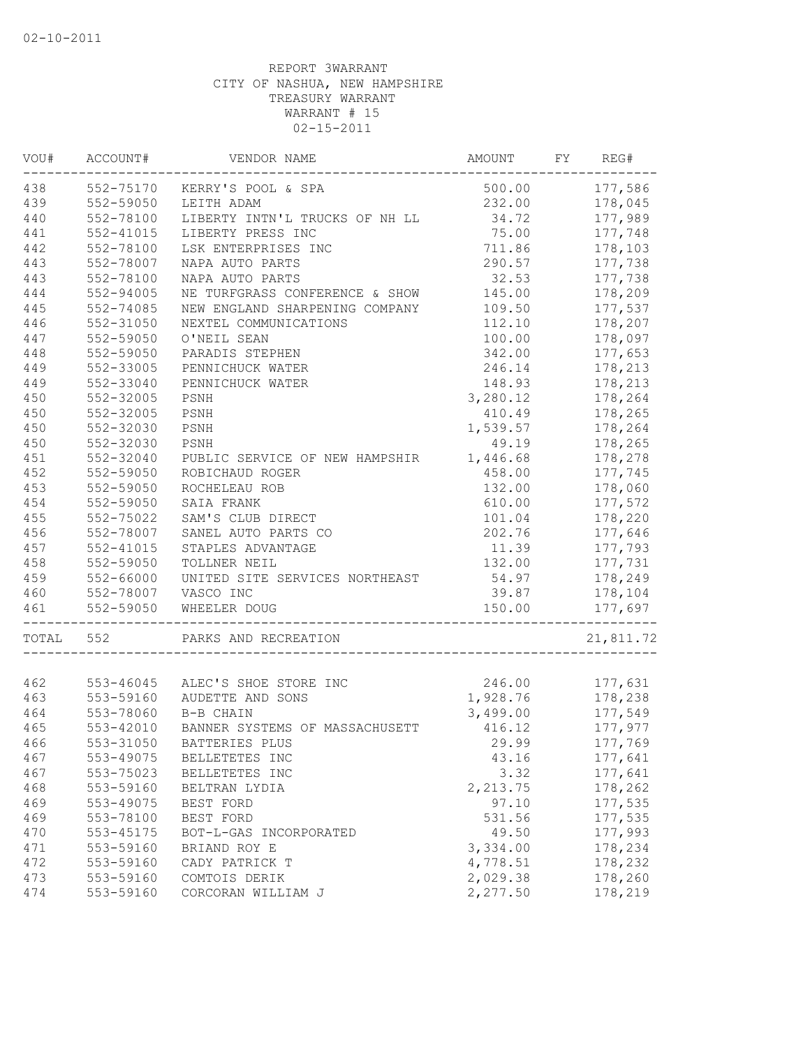| VOU#  | ACCOUNT#      | VENDOR NAME                     | AMOUNT          | FY. | REG#      |
|-------|---------------|---------------------------------|-----------------|-----|-----------|
| 438   | 552-75170     | KERRY'S POOL & SPA              | 500.00          |     | 177,586   |
| 439   | 552-59050     | LEITH ADAM                      | 232.00          |     | 178,045   |
| 440   | 552-78100     | LIBERTY INTN'L TRUCKS OF NH LL  | 34.72           |     | 177,989   |
| 441   | 552-41015     | LIBERTY PRESS INC               | 75.00           |     | 177,748   |
| 442   | 552-78100     | LSK ENTERPRISES INC             | 711.86          |     | 178,103   |
| 443   | 552-78007     | NAPA AUTO PARTS                 | 290.57          |     | 177,738   |
| 443   | 552-78100     | NAPA AUTO PARTS                 | 32.53           |     | 177,738   |
| 444   | $552 - 94005$ | NE TURFGRASS CONFERENCE & SHOW  | 145.00          |     | 178,209   |
| 445   | 552-74085     | NEW ENGLAND SHARPENING COMPANY  | 109.50          |     | 177,537   |
| 446   | 552-31050     | NEXTEL COMMUNICATIONS           | 112.10          |     | 178,207   |
| 447   | 552-59050     | O'NEIL SEAN                     | 100.00          |     | 178,097   |
| 448   | 552-59050     | PARADIS STEPHEN                 | 342.00          |     | 177,653   |
| 449   | 552-33005     | PENNICHUCK WATER                | 246.14          |     | 178,213   |
| 449   | 552-33040     | PENNICHUCK WATER                | 148.93          |     | 178,213   |
| 450   | 552-32005     | PSNH                            | 3,280.12        |     | 178,264   |
| 450   | 552-32005     | PSNH                            | 410.49          |     | 178,265   |
| 450   | 552-32030     | PSNH                            | 1,539.57        |     | 178,264   |
| 450   | 552-32030     | PSNH                            | 49.19           |     | 178,265   |
| 451   | 552-32040     | PUBLIC SERVICE OF NEW HAMPSHIR  | 1,446.68        |     | 178,278   |
| 452   | 552-59050     | ROBICHAUD ROGER                 | 458.00          |     | 177,745   |
| 453   | 552-59050     | ROCHELEAU ROB                   | 132.00          |     | 178,060   |
| 454   | 552-59050     | SAIA FRANK                      | 610.00          |     | 177,572   |
| 455   | 552-75022     | SAM'S CLUB DIRECT               | 101.04          |     | 178,220   |
| 456   | 552-78007     | SANEL AUTO PARTS CO             | 202.76          |     | 177,646   |
| 457   | 552-41015     | STAPLES ADVANTAGE               | 11.39           |     | 177,793   |
| 458   |               | TOLLNER NEIL                    |                 |     | 177,731   |
| 459   | 552-59050     | UNITED SITE SERVICES NORTHEAST  | 132.00<br>54.97 |     |           |
|       | 552-66000     |                                 |                 |     | 178,249   |
| 460   | 552-78007     | VASCO INC                       | 39.87           |     | 178,104   |
| 461   | 552-59050     | WHEELER DOUG                    | 150.00          |     | 177,697   |
| TOTAL | 552           | PARKS AND RECREATION            |                 |     | 21,811.72 |
|       |               |                                 |                 |     |           |
| 462   |               | 553-46045 ALEC'S SHOE STORE INC | 246.00          |     | 177,631   |
| 463   | 553-59160     | AUDETTE AND SONS                | 1,928.76        |     | 178,238   |
| 464   | 553-78060     | B-B CHAIN                       | 3,499.00        |     | 177,549   |
| 465   | 553-42010     | BANNER SYSTEMS OF MASSACHUSETT  | 416.12          |     | 177,977   |
| 466   | 553-31050     | BATTERIES PLUS                  | 29.99           |     | 177,769   |
| 467   | 553-49075     | BELLETETES INC                  | 43.16           |     | 177,641   |
| 467   | 553-75023     | BELLETETES INC                  | 3.32            |     | 177,641   |
| 468   | 553-59160     | BELTRAN LYDIA                   | 2, 213.75       |     | 178,262   |
| 469   | 553-49075     | BEST FORD                       | 97.10           |     | 177,535   |
| 469   | 553-78100     | BEST FORD                       | 531.56          |     | 177,535   |
| 470   | 553-45175     | BOT-L-GAS INCORPORATED          | 49.50           |     | 177,993   |
| 471   | 553-59160     | BRIAND ROY E                    | 3,334.00        |     | 178,234   |
| 472   | 553-59160     | CADY PATRICK T                  | 4,778.51        |     | 178,232   |
| 473   | 553-59160     | COMTOIS DERIK                   | 2,029.38        |     | 178,260   |
| 474   | 553-59160     | CORCORAN WILLIAM J              | 2,277.50        |     | 178,219   |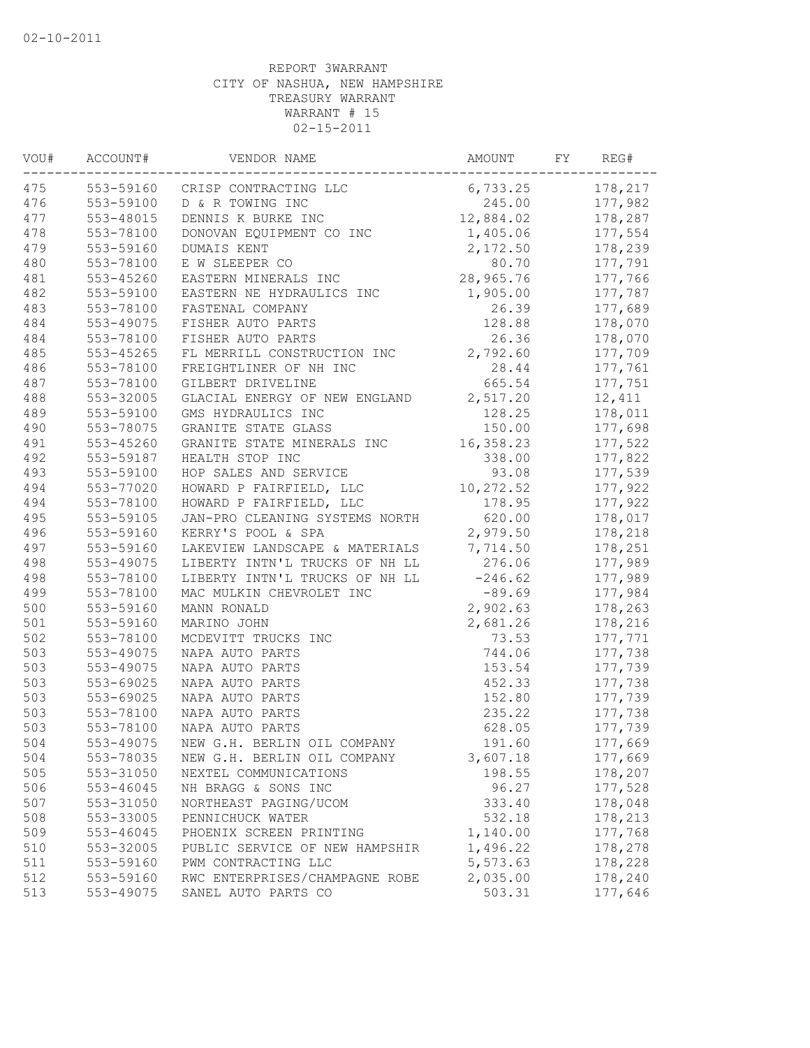| VOU# | ACCOUNT#  | VENDOR NAME                                          | AMOUNT    | FY | REG#               |
|------|-----------|------------------------------------------------------|-----------|----|--------------------|
| 475  | 553-59160 | CRISP CONTRACTING LLC                                | 6,733.25  |    | 178,217            |
| 476  | 553-59100 | D & R TOWING INC                                     | 245.00    |    | 177,982            |
| 477  | 553-48015 | DENNIS K BURKE INC                                   | 12,884.02 |    | 178,287            |
| 478  | 553-78100 | DONOVAN EQUIPMENT CO INC                             | 1,405.06  |    | 177,554            |
| 479  | 553-59160 | DUMAIS KENT                                          | 2,172.50  |    | 178,239            |
| 480  | 553-78100 | E W SLEEPER CO                                       | 80.70     |    | 177,791            |
| 481  | 553-45260 | EASTERN MINERALS INC                                 | 28,965.76 |    | 177,766            |
| 482  | 553-59100 | EASTERN NE HYDRAULICS INC                            | 1,905.00  |    | 177,787            |
| 483  | 553-78100 | FASTENAL COMPANY                                     | 26.39     |    | 177,689            |
| 484  | 553-49075 | FISHER AUTO PARTS                                    | 128.88    |    | 178,070            |
| 484  | 553-78100 | FISHER AUTO PARTS                                    | 26.36     |    | 178,070            |
| 485  | 553-45265 | FL MERRILL CONSTRUCTION INC                          | 2,792.60  |    | 177,709            |
| 486  | 553-78100 | FREIGHTLINER OF NH INC                               | 28.44     |    | 177,761            |
| 487  | 553-78100 | GILBERT DRIVELINE                                    | 665.54    |    | 177,751            |
| 488  | 553-32005 | GLACIAL ENERGY OF NEW ENGLAND                        | 2,517.20  |    | 12,411             |
| 489  | 553-59100 | GMS HYDRAULICS INC                                   | 128.25    |    | 178,011            |
| 490  | 553-78075 | GRANITE STATE GLASS                                  | 150.00    |    | 177,698            |
| 491  | 553-45260 | GRANITE STATE MINERALS INC                           | 16,358.23 |    | 177,522            |
| 492  | 553-59187 | HEALTH STOP INC                                      | 338.00    |    | 177,822            |
| 493  | 553-59100 | HOP SALES AND SERVICE                                | 93.08     |    | 177,539            |
| 494  | 553-77020 | HOWARD P FAIRFIELD, LLC                              | 10,272.52 |    | 177,922            |
| 494  | 553-78100 | HOWARD P FAIRFIELD, LLC                              | 178.95    |    | 177,922            |
| 495  | 553-59105 | JAN-PRO CLEANING SYSTEMS NORTH                       | 620.00    |    | 178,017            |
| 496  | 553-59160 | KERRY'S POOL & SPA                                   | 2,979.50  |    | 178,218            |
| 497  | 553-59160 | LAKEVIEW LANDSCAPE & MATERIALS                       | 7,714.50  |    | 178,251            |
| 498  | 553-49075 | LIBERTY INTN'L TRUCKS OF NH LL                       | 276.06    |    | 177,989            |
| 498  | 553-78100 | LIBERTY INTN'L TRUCKS OF NH LL                       | $-246.62$ |    | 177,989            |
| 499  | 553-78100 | MAC MULKIN CHEVROLET INC                             | $-89.69$  |    | 177,984            |
| 500  | 553-59160 | MANN RONALD                                          | 2,902.63  |    | 178,263            |
| 501  | 553-59160 | MARINO JOHN                                          | 2,681.26  |    | 178,216            |
| 502  | 553-78100 | MCDEVITT TRUCKS INC                                  | 73.53     |    | 177,771            |
| 503  | 553-49075 | NAPA AUTO PARTS                                      | 744.06    |    | 177,738            |
| 503  | 553-49075 | NAPA AUTO PARTS                                      | 153.54    |    | 177,739            |
| 503  | 553-69025 | NAPA AUTO PARTS                                      | 452.33    |    | 177,738            |
| 503  | 553-69025 | NAPA AUTO PARTS                                      | 152.80    |    | 177,739            |
| 503  | 553-78100 | NAPA AUTO PARTS                                      | 235.22    |    | 177,738            |
| 503  | 553-78100 | NAPA AUTO PARTS                                      | 628.05    |    | 177,739            |
| 504  | 553-49075 | NEW G.H. BERLIN OIL COMPANY                          | 191.60    |    | 177,669            |
| 504  | 553-78035 |                                                      | 3,607.18  |    |                    |
| 505  | 553-31050 | NEW G.H. BERLIN OIL COMPANY<br>NEXTEL COMMUNICATIONS | 198.55    |    | 177,669<br>178,207 |
| 506  | 553-46045 | NH BRAGG & SONS INC                                  | 96.27     |    | 177,528            |
| 507  | 553-31050 | NORTHEAST PAGING/UCOM                                | 333.40    |    | 178,048            |
|      |           |                                                      |           |    |                    |
| 508  | 553-33005 | PENNICHUCK WATER                                     | 532.18    |    | 178,213            |
| 509  | 553-46045 | PHOENIX SCREEN PRINTING                              | 1,140.00  |    | 177,768            |
| 510  | 553-32005 | PUBLIC SERVICE OF NEW HAMPSHIR                       | 1,496.22  |    | 178,278            |
| 511  | 553-59160 | PWM CONTRACTING LLC                                  | 5,573.63  |    | 178,228            |
| 512  | 553-59160 | RWC ENTERPRISES/CHAMPAGNE ROBE                       | 2,035.00  |    | 178,240            |
| 513  | 553-49075 | SANEL AUTO PARTS CO                                  | 503.31    |    | 177,646            |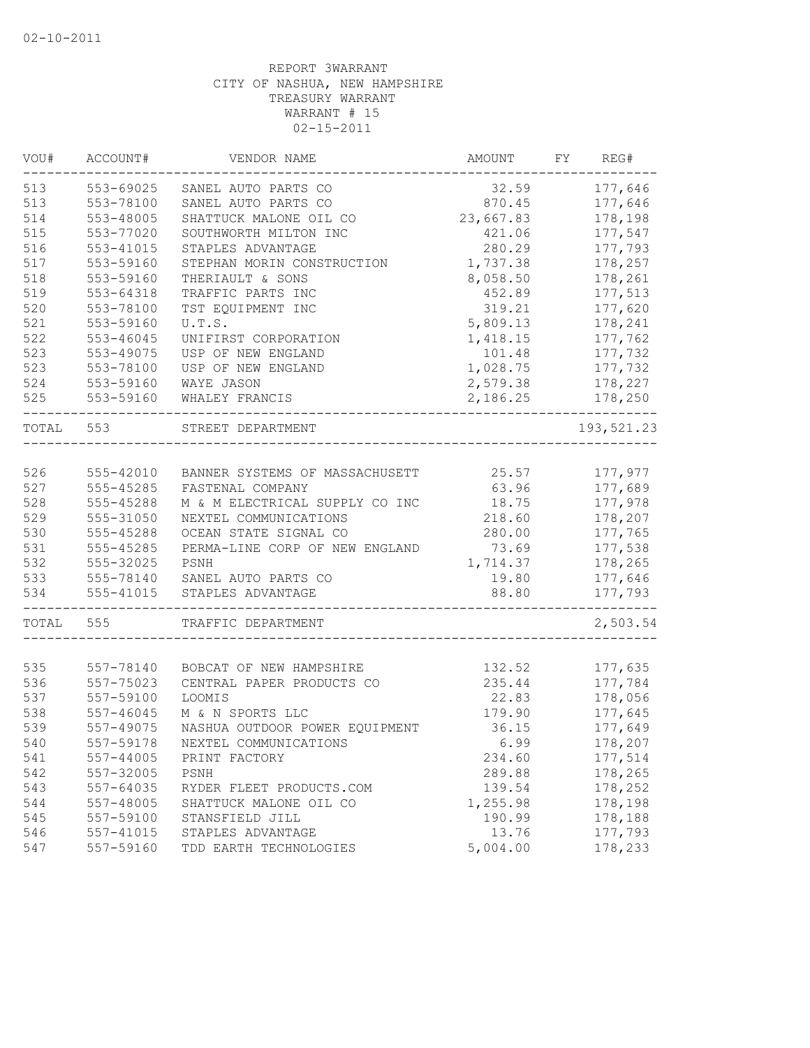| VOU#       | ACCOUNT#               | VENDOR NAME                                             | AMOUNT           | REG#<br>FY |
|------------|------------------------|---------------------------------------------------------|------------------|------------|
| 513        | 553-69025              | SANEL AUTO PARTS CO                                     | 32.59            | 177,646    |
| 513        | 553-78100              | SANEL AUTO PARTS CO                                     | 870.45           | 177,646    |
| 514        | 553-48005              | SHATTUCK MALONE OIL CO                                  | 23,667.83        | 178,198    |
| 515        | 553-77020              | SOUTHWORTH MILTON INC                                   | 421.06           | 177,547    |
| 516        | 553-41015              | STAPLES ADVANTAGE                                       | 280.29           | 177,793    |
| 517        | 553-59160              | STEPHAN MORIN CONSTRUCTION                              | 1,737.38         | 178,257    |
| 518        | 553-59160              | THERIAULT & SONS                                        | 8,058.50         | 178,261    |
| 519        | 553-64318              | TRAFFIC PARTS INC                                       | 452.89           | 177,513    |
| 520        | 553-78100              | TST EQUIPMENT INC                                       | 319.21           | 177,620    |
| 521        | 553-59160              | U.T.S.                                                  | 5,809.13         | 178,241    |
| 522        | 553-46045              | UNIFIRST CORPORATION                                    | 1,418.15         | 177,762    |
| 523        | 553-49075              | USP OF NEW ENGLAND                                      | 101.48           | 177,732    |
| 523        | 553-78100              | USP OF NEW ENGLAND                                      | 1,028.75         | 177,732    |
| 524        | 553-59160              | WAYE JASON                                              | 2,579.38         | 178,227    |
| 525        | 553-59160              | WHALEY FRANCIS                                          | 2,186.25         | 178,250    |
| TOTAL      | 553                    | STREET DEPARTMENT                                       |                  | 193,521.23 |
|            |                        |                                                         |                  |            |
| 526        | 555-42010              | BANNER SYSTEMS OF MASSACHUSETT                          | 25.57            | 177,977    |
| 527        | 555-45285              | FASTENAL COMPANY                                        | 63.96<br>18.75   | 177,689    |
| 528<br>529 | 555-45288              | M & M ELECTRICAL SUPPLY CO INC<br>NEXTEL COMMUNICATIONS |                  | 177,978    |
|            | 555-31050<br>555-45288 |                                                         | 218.60<br>280.00 | 178,207    |
| 530        |                        | OCEAN STATE SIGNAL CO                                   |                  | 177,765    |
| 531        | 555-45285              | PERMA-LINE CORP OF NEW ENGLAND                          | 73.69            | 177,538    |
| 532        | 555-32025              | PSNH                                                    | 1,714.37         | 178,265    |
| 533        | 555-78140              | SANEL AUTO PARTS CO                                     | 19.80            | 177,646    |
| 534        | 555-41015              | STAPLES ADVANTAGE                                       | 88.80            | 177,793    |
| TOTAL      | 555                    | TRAFFIC DEPARTMENT                                      |                  | 2,503.54   |
|            |                        |                                                         |                  |            |
| 535        | 557-78140              | BOBCAT OF NEW HAMPSHIRE                                 | 132.52           | 177,635    |
| 536        | 557-75023              | CENTRAL PAPER PRODUCTS CO                               | 235.44           | 177,784    |
| 537        | 557-59100              | LOOMIS                                                  | 22.83            | 178,056    |
| 538        | 557-46045              | M & N SPORTS LLC                                        | 179.90           | 177,645    |
| 539        | 557-49075              | NASHUA OUTDOOR POWER EQUIPMENT                          | 36.15            | 177,649    |
| 540        | 557-59178              | NEXTEL COMMUNICATIONS                                   | 6.99             | 178,207    |
| 541        | 557-44005              | PRINT FACTORY                                           | 234.60           | 177,514    |
| 542        | 557-32005              | PSNH                                                    | 289.88           | 178,265    |
| 543        | 557-64035              | RYDER FLEET PRODUCTS.COM                                | 139.54           | 178,252    |
| 544        | 557-48005              | SHATTUCK MALONE OIL CO                                  | 1,255.98         | 178,198    |
| 545        | 557-59100              | STANSFIELD JILL                                         | 190.99           | 178,188    |
| 546        | 557-41015              | STAPLES ADVANTAGE                                       | 13.76            | 177,793    |
| 547        | 557-59160              | TDD EARTH TECHNOLOGIES                                  | 5,004.00         | 178,233    |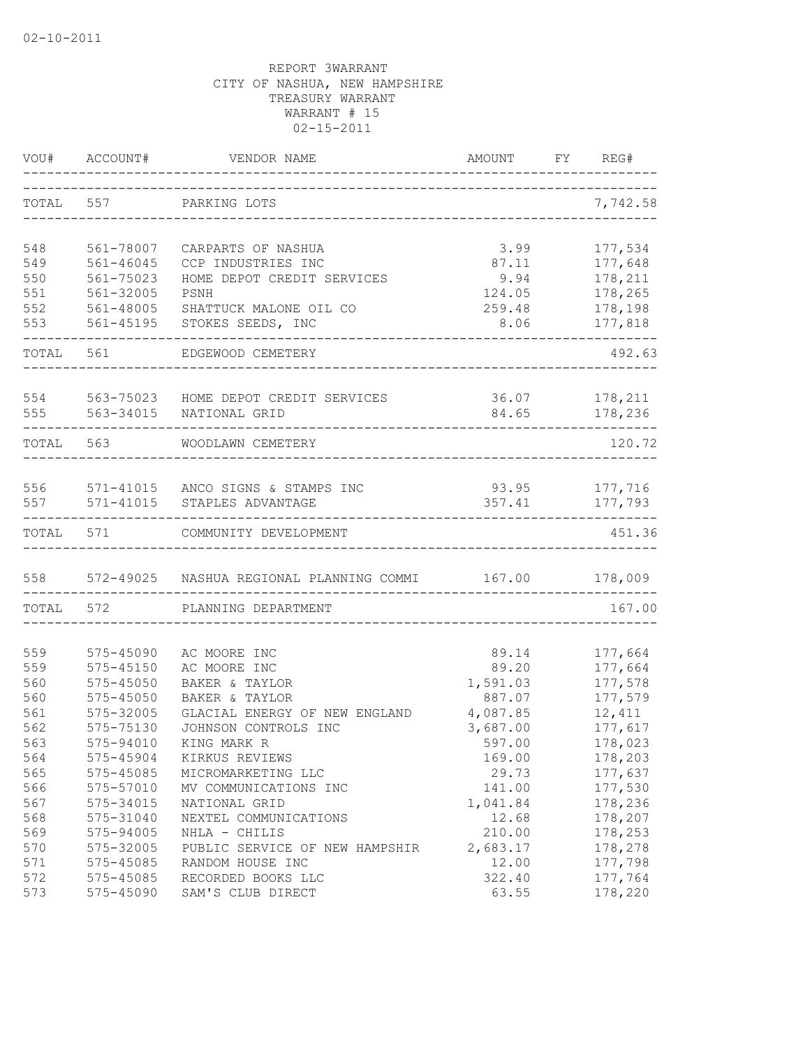| VOU#       | ACCOUNT#                   | VENDOR NAME<br>-------------------------------------    | AMOUNT         | FY | REG#               |
|------------|----------------------------|---------------------------------------------------------|----------------|----|--------------------|
| TOTAL      | 557                        | PARKING LOTS                                            |                |    | 7,742.58           |
| 548        | 561-78007                  | CARPARTS OF NASHUA                                      | 3.99           |    | 177,534            |
| 549        | $561 - 46045$              | CCP INDUSTRIES INC                                      | 87.11          |    | 177,648            |
| 550        | 561-75023                  | HOME DEPOT CREDIT SERVICES                              | 9.94           |    | 178,211            |
| 551        | 561-32005                  | PSNH                                                    | 124.05         |    | 178,265            |
| 552        | 561-48005                  | SHATTUCK MALONE OIL CO                                  | 259.48         |    | 178,198            |
| 553        | 561-45195                  | STOKES SEEDS, INC                                       | 8.06           |    | 177,818            |
| TOTAL      | 561                        | EDGEWOOD CEMETERY                                       |                |    | 492.63             |
|            |                            | 554 563-75023 HOME DEPOT CREDIT SERVICES                | 36.07          |    | 178,211            |
| 555        | 563-34015                  | NATIONAL GRID                                           | 84.65          |    | 178,236            |
| TOTAL 563  |                            | WOODLAWN CEMETERY                                       |                |    | 120.72             |
|            |                            | 556 571-41015 ANCO SIGNS & STAMPS INC                   | 93.95 177,716  |    |                    |
|            |                            | 557 571-41015 STAPLES ADVANTAGE                         | 357.41         |    | 177,793            |
| TOTAL      | 571                        | COMMUNITY DEVELOPMENT                                   |                |    | 451.36             |
| 558        |                            | 572-49025 NASHUA REGIONAL PLANNING COMMI 167.00 178,009 |                |    |                    |
| TOTAL      | 572                        | PLANNING DEPARTMENT                                     |                |    | 167.00             |
|            |                            |                                                         |                |    |                    |
| 559<br>559 | 575-45090<br>$575 - 45150$ | AC MOORE INC<br>AC MOORE INC                            | 89.14<br>89.20 |    | 177,664            |
| 560        | 575-45050                  | BAKER & TAYLOR                                          | 1,591.03       |    | 177,664<br>177,578 |
| 560        | 575-45050                  | BAKER & TAYLOR                                          | 887.07         |    | 177,579            |
| 561        | 575-32005                  | GLACIAL ENERGY OF NEW ENGLAND                           | 4,087.85       |    | 12,411             |
| 562        | 575-75130                  | JOHNSON CONTROLS INC                                    | 3,687.00       |    | 177,617            |
| 563        | 575-94010                  | KING MARK R                                             | 597.00         |    | 178,023            |
| 564        | 575-45904                  | KIRKUS REVIEWS                                          | 169.00         |    | 178,203            |
| 565        | 575-45085                  | MICROMARKETING LLC                                      | 29.73          |    | 177,637            |
| 566        | 575-57010                  | MV COMMUNICATIONS INC                                   | 141.00         |    | 177,530            |
| 567        | 575-34015                  | NATIONAL GRID                                           | 1,041.84       |    | 178,236            |
| 568        | 575-31040                  | NEXTEL COMMUNICATIONS                                   | 12.68          |    | 178,207            |
| 569        | 575-94005                  | NHLA - CHILIS                                           | 210.00         |    | 178,253            |
| 570        | 575-32005                  | PUBLIC SERVICE OF NEW HAMPSHIR                          | 2,683.17       |    | 178,278            |
| 571        | 575-45085                  | RANDOM HOUSE INC                                        | 12.00          |    | 177,798            |
| 572        | 575-45085                  | RECORDED BOOKS LLC                                      | 322.40         |    | 177,764            |
| 573        | 575-45090                  | SAM'S CLUB DIRECT                                       | 63.55          |    | 178,220            |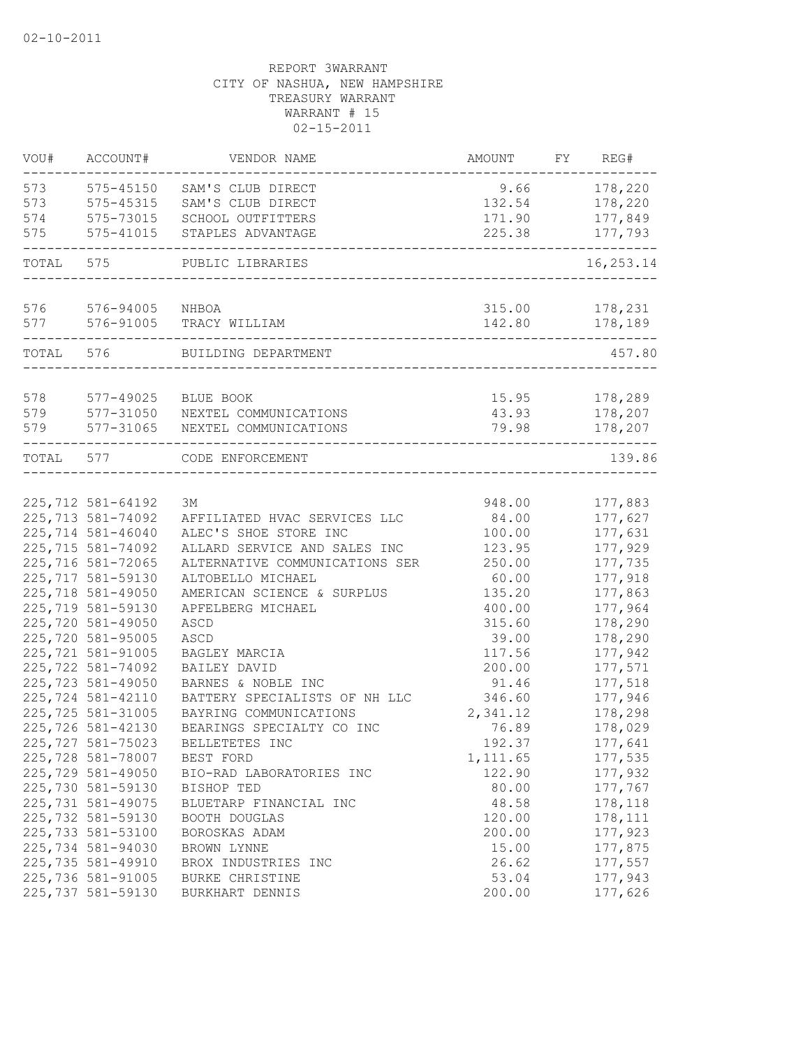| VOU#      | ACCOUNT#                               | VENDOR NAME                                           | AMOUNT          | FY. | REG#               |
|-----------|----------------------------------------|-------------------------------------------------------|-----------------|-----|--------------------|
| 573       | 575-45150                              | SAM'S CLUB DIRECT                                     | 9.66            |     | 178,220            |
| 573       | 575-45315                              | SAM'S CLUB DIRECT                                     | 132.54          |     | 178,220            |
| 574       | 575-73015                              | SCHOOL OUTFITTERS                                     | 171.90          |     | 177,849            |
| 575       | 575-41015                              | STAPLES ADVANTAGE                                     | 225.38          |     | 177,793            |
| TOTAL     | 575                                    | PUBLIC LIBRARIES                                      |                 |     | 16, 253. 14        |
| 576       | 576-94005                              | NHBOA                                                 | 315.00          |     | 178,231            |
| 577       | 576-91005                              | TRACY WILLIAM                                         | 142.80          |     | 178,189            |
| TOTAL     | 576                                    | BUILDING DEPARTMENT                                   |                 |     | 457.80             |
| 578       | 577-49025                              | BLUE BOOK                                             | 15.95           |     | 178,289            |
| 579       | 577-31050                              | NEXTEL COMMUNICATIONS                                 | 43.93           |     | 178,207            |
| 579       | 577-31065                              | NEXTEL COMMUNICATIONS                                 | 79.98           |     | 178,207            |
| TOTAL 577 |                                        | CODE ENFORCEMENT                                      |                 |     | 139.86             |
|           |                                        |                                                       |                 |     |                    |
|           | 225, 712 581-64192                     | ЗМ                                                    | 948.00          |     | 177,883            |
|           | 225,713 581-74092<br>225,714 581-46040 | AFFILIATED HVAC SERVICES LLC<br>ALEC'S SHOE STORE INC | 84.00<br>100.00 |     | 177,627            |
|           | 225,715 581-74092                      | ALLARD SERVICE AND SALES INC                          | 123.95          |     | 177,631<br>177,929 |
|           | 225,716 581-72065                      | ALTERNATIVE COMMUNICATIONS SER                        | 250.00          |     | 177,735            |
|           | 225,717 581-59130                      | ALTOBELLO MICHAEL                                     | 60.00           |     | 177,918            |
|           | 225,718 581-49050                      | AMERICAN SCIENCE & SURPLUS                            | 135.20          |     | 177,863            |
|           | 225,719 581-59130                      | APFELBERG MICHAEL                                     | 400.00          |     | 177,964            |
|           | 225,720 581-49050                      | ASCD                                                  | 315.60          |     | 178,290            |
|           | 225,720 581-95005                      | ASCD                                                  | 39.00           |     | 178,290            |
|           | 225,721 581-91005                      | BAGLEY MARCIA                                         | 117.56          |     | 177,942            |
|           | 225,722 581-74092                      | BAILEY DAVID                                          | 200.00          |     | 177,571            |
|           | 225,723 581-49050                      | BARNES & NOBLE INC                                    | 91.46           |     | 177,518            |
|           | 225,724 581-42110                      | BATTERY SPECIALISTS OF NH LLC                         | 346.60          |     | 177,946            |
|           | 225,725 581-31005                      | BAYRING COMMUNICATIONS                                | 2,341.12        |     | 178,298            |
|           | 225,726 581-42130                      | BEARINGS SPECIALTY CO INC                             | 76.89           |     | 178,029            |
|           | 225,727 581-75023                      | BELLETETES INC                                        | 192.37          |     | 177,641            |
|           | 225,728 581-78007                      | BEST FORD                                             | 1,111.65        |     | 177,535            |
|           | 225,729 581-49050                      | BIO-RAD LABORATORIES INC                              | 122.90          |     | 177,932            |
|           | 225,730 581-59130                      | BISHOP TED                                            | 80.00           |     | 177,767            |
|           | 225,731 581-49075                      | BLUETARP FINANCIAL INC                                | 48.58           |     | 178,118            |
|           | 225,732 581-59130                      | BOOTH DOUGLAS                                         | 120.00          |     | 178,111            |
|           | 225,733 581-53100                      | BOROSKAS ADAM                                         | 200.00          |     | 177,923            |
|           | 225,734 581-94030                      | BROWN LYNNE                                           | 15.00           |     | 177,875            |
|           | 225,735 581-49910                      | BROX INDUSTRIES INC                                   | 26.62           |     | 177,557            |
|           | 225,736 581-91005                      | <b>BURKE CHRISTINE</b>                                | 53.04           |     | 177,943            |
|           | 225,737 581-59130                      | BURKHART DENNIS                                       | 200.00          |     | 177,626            |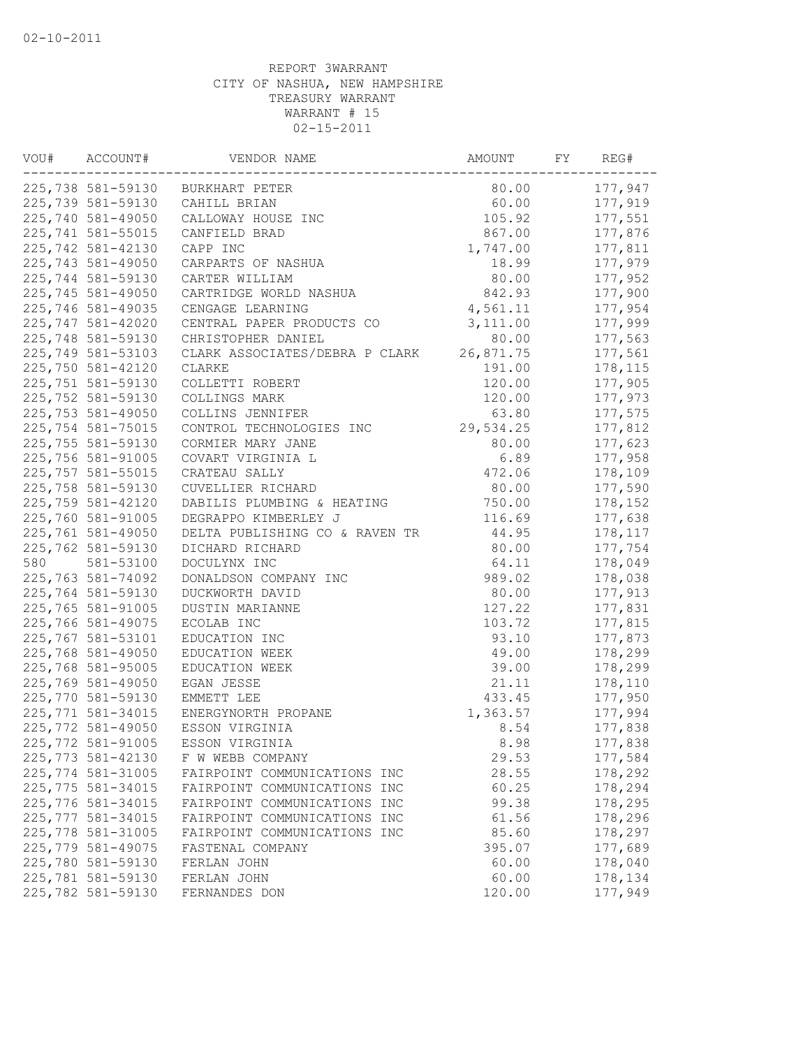| VOU# | ACCOUNT#          | VENDOR NAME                      | AMOUNT    | REG# |         |
|------|-------------------|----------------------------------|-----------|------|---------|
|      |                   | 225,738 581-59130 BURKHART PETER | 80.00     |      | 177,947 |
|      | 225,739 581-59130 | CAHILL BRIAN                     | 60.00     |      | 177,919 |
|      | 225,740 581-49050 | CALLOWAY HOUSE INC               | 105.92    |      | 177,551 |
|      | 225,741 581-55015 | CANFIELD BRAD                    | 867.00    |      | 177,876 |
|      | 225,742 581-42130 | CAPP INC                         | 1,747.00  |      | 177,811 |
|      | 225,743 581-49050 | CARPARTS OF NASHUA               | 18.99     |      | 177,979 |
|      | 225,744 581-59130 | CARTER WILLIAM                   | 80.00     |      | 177,952 |
|      | 225,745 581-49050 | CARTRIDGE WORLD NASHUA           | 842.93    |      | 177,900 |
|      | 225,746 581-49035 | CENGAGE LEARNING                 | 4,561.11  |      | 177,954 |
|      | 225,747 581-42020 | CENTRAL PAPER PRODUCTS CO        | 3,111.00  |      | 177,999 |
|      | 225,748 581-59130 | CHRISTOPHER DANIEL               | 80.00     |      | 177,563 |
|      | 225,749 581-53103 | CLARK ASSOCIATES/DEBRA P CLARK   | 26,871.75 |      | 177,561 |
|      | 225,750 581-42120 | CLARKE                           | 191.00    |      | 178,115 |
|      | 225,751 581-59130 | COLLETTI ROBERT                  | 120.00    |      | 177,905 |
|      | 225,752 581-59130 | COLLINGS MARK                    | 120.00    |      | 177,973 |
|      | 225,753 581-49050 | COLLINS JENNIFER                 | 63.80     |      | 177,575 |
|      | 225,754 581-75015 | CONTROL TECHNOLOGIES INC         | 29,534.25 |      | 177,812 |
|      | 225,755 581-59130 | CORMIER MARY JANE                | 80.00     |      | 177,623 |
|      | 225,756 581-91005 | COVART VIRGINIA L                | 6.89      |      | 177,958 |
|      | 225,757 581-55015 | CRATEAU SALLY                    | 472.06    |      | 178,109 |
|      | 225,758 581-59130 | CUVELLIER RICHARD                | 80.00     |      | 177,590 |
|      | 225,759 581-42120 | DABILIS PLUMBING & HEATING       | 750.00    |      | 178,152 |
|      | 225,760 581-91005 | DEGRAPPO KIMBERLEY J             | 116.69    |      | 177,638 |
|      | 225,761 581-49050 | DELTA PUBLISHING CO & RAVEN TR   | 44.95     |      | 178,117 |
|      | 225,762 581-59130 | DICHARD RICHARD                  | 80.00     |      | 177,754 |
| 580  | 581-53100         | DOCULYNX INC                     | 64.11     |      | 178,049 |
|      | 225,763 581-74092 | DONALDSON COMPANY INC            | 989.02    |      | 178,038 |
|      | 225,764 581-59130 | DUCKWORTH DAVID                  | 80.00     |      | 177,913 |
|      | 225,765 581-91005 | DUSTIN MARIANNE                  | 127.22    |      | 177,831 |
|      | 225,766 581-49075 | ECOLAB INC                       | 103.72    |      | 177,815 |
|      | 225,767 581-53101 | EDUCATION INC                    | 93.10     |      | 177,873 |
|      | 225,768 581-49050 | EDUCATION WEEK                   | 49.00     |      | 178,299 |
|      | 225,768 581-95005 | EDUCATION WEEK                   | 39.00     |      | 178,299 |
|      | 225,769 581-49050 | EGAN JESSE                       | 21.11     |      | 178,110 |
|      | 225,770 581-59130 | EMMETT LEE                       | 433.45    |      | 177,950 |
|      | 225,771 581-34015 | ENERGYNORTH PROPANE              | 1,363.57  |      | 177,994 |
|      | 225,772 581-49050 | ESSON VIRGINIA                   | 8.54      |      | 177,838 |
|      | 225,772 581-91005 | ESSON VIRGINIA                   | 8.98      |      | 177,838 |
|      | 225,773 581-42130 | F W WEBB COMPANY                 | 29.53     |      | 177,584 |
|      | 225,774 581-31005 | FAIRPOINT COMMUNICATIONS INC     | 28.55     |      | 178,292 |
|      | 225,775 581-34015 | FAIRPOINT COMMUNICATIONS INC     | 60.25     |      | 178,294 |
|      | 225,776 581-34015 | FAIRPOINT COMMUNICATIONS INC     | 99.38     |      | 178,295 |
|      | 225,777 581-34015 | FAIRPOINT COMMUNICATIONS INC     | 61.56     |      | 178,296 |
|      | 225,778 581-31005 | FAIRPOINT COMMUNICATIONS INC     | 85.60     |      | 178,297 |
|      | 225,779 581-49075 | FASTENAL COMPANY                 | 395.07    |      | 177,689 |
|      | 225,780 581-59130 | FERLAN JOHN                      | 60.00     |      | 178,040 |
|      | 225,781 581-59130 | FERLAN JOHN                      | 60.00     |      | 178,134 |
|      | 225,782 581-59130 | FERNANDES DON                    | 120.00    |      | 177,949 |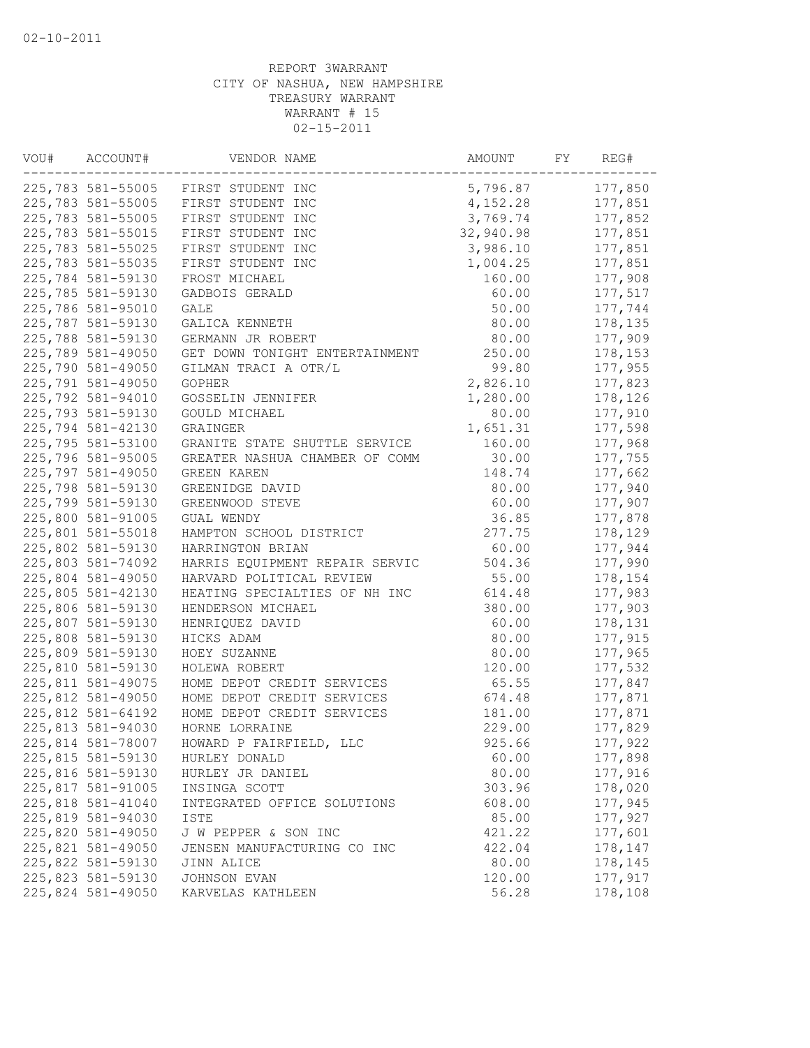| VOU# | ACCOUNT#          | VENDOR NAME                         | AMOUNT    | FY | REG#    |
|------|-------------------|-------------------------------------|-----------|----|---------|
|      |                   | 225,783 581-55005 FIRST STUDENT INC | 5,796.87  |    | 177,850 |
|      | 225,783 581-55005 | FIRST STUDENT INC                   | 4,152.28  |    | 177,851 |
|      | 225,783 581-55005 | FIRST STUDENT INC                   | 3,769.74  |    | 177,852 |
|      | 225,783 581-55015 | FIRST STUDENT INC                   | 32,940.98 |    | 177,851 |
|      | 225,783 581-55025 | FIRST STUDENT INC                   | 3,986.10  |    | 177,851 |
|      | 225,783 581-55035 | FIRST STUDENT INC                   | 1,004.25  |    | 177,851 |
|      | 225,784 581-59130 | FROST MICHAEL                       | 160.00    |    | 177,908 |
|      | 225,785 581-59130 | GADBOIS GERALD                      | 60.00     |    | 177,517 |
|      | 225,786 581-95010 | <b>GALE</b>                         | 50.00     |    | 177,744 |
|      | 225,787 581-59130 | GALICA KENNETH                      | 80.00     |    | 178,135 |
|      | 225,788 581-59130 | GERMANN JR ROBERT                   | 80.00     |    | 177,909 |
|      | 225,789 581-49050 | GET DOWN TONIGHT ENTERTAINMENT      | 250.00    |    | 178,153 |
|      | 225,790 581-49050 | GILMAN TRACI A OTR/L                | 99.80     |    | 177,955 |
|      | 225,791 581-49050 | <b>GOPHER</b>                       | 2,826.10  |    | 177,823 |
|      | 225,792 581-94010 | GOSSELIN JENNIFER                   | 1,280.00  |    | 178,126 |
|      | 225,793 581-59130 | GOULD MICHAEL                       | 80.00     |    | 177,910 |
|      | 225,794 581-42130 | GRAINGER                            | 1,651.31  |    | 177,598 |
|      | 225,795 581-53100 | GRANITE STATE SHUTTLE SERVICE       | 160.00    |    | 177,968 |
|      | 225,796 581-95005 | GREATER NASHUA CHAMBER OF COMM      | 30.00     |    | 177,755 |
|      | 225,797 581-49050 | <b>GREEN KAREN</b>                  | 148.74    |    | 177,662 |
|      | 225,798 581-59130 | GREENIDGE DAVID                     | 80.00     |    | 177,940 |
|      | 225,799 581-59130 | GREENWOOD STEVE                     | 60.00     |    | 177,907 |
|      | 225,800 581-91005 | GUAL WENDY                          | 36.85     |    | 177,878 |
|      | 225,801 581-55018 | HAMPTON SCHOOL DISTRICT             | 277.75    |    | 178,129 |
|      | 225,802 581-59130 | HARRINGTON BRIAN                    | 60.00     |    | 177,944 |
|      | 225,803 581-74092 | HARRIS EQUIPMENT REPAIR SERVIC      | 504.36    |    | 177,990 |
|      | 225,804 581-49050 | HARVARD POLITICAL REVIEW            | 55.00     |    | 178,154 |
|      | 225,805 581-42130 | HEATING SPECIALTIES OF NH INC       | 614.48    |    | 177,983 |
|      | 225,806 581-59130 | HENDERSON MICHAEL                   | 380.00    |    | 177,903 |
|      | 225,807 581-59130 | HENRIQUEZ DAVID                     | 60.00     |    | 178,131 |
|      | 225,808 581-59130 | HICKS ADAM                          | 80.00     |    | 177,915 |
|      | 225,809 581-59130 | HOEY SUZANNE                        | 80.00     |    | 177,965 |
|      | 225,810 581-59130 | HOLEWA ROBERT                       | 120.00    |    | 177,532 |
|      | 225,811 581-49075 | HOME DEPOT CREDIT SERVICES          | 65.55     |    | 177,847 |
|      | 225,812 581-49050 | HOME DEPOT CREDIT SERVICES          | 674.48    |    | 177,871 |
|      | 225,812 581-64192 | HOME DEPOT CREDIT SERVICES          | 181.00    |    | 177,871 |
|      | 225,813 581-94030 | HORNE LORRAINE                      | 229.00    |    | 177,829 |
|      | 225,814 581-78007 | HOWARD P FAIRFIELD, LLC             | 925.66    |    | 177,922 |
|      | 225,815 581-59130 | HURLEY DONALD                       | 60.00     |    | 177,898 |
|      | 225,816 581-59130 | HURLEY JR DANIEL                    | 80.00     |    | 177,916 |
|      | 225,817 581-91005 | INSINGA SCOTT                       | 303.96    |    | 178,020 |
|      | 225,818 581-41040 | INTEGRATED OFFICE SOLUTIONS         | 608.00    |    | 177,945 |
|      | 225,819 581-94030 | ISTE                                | 85.00     |    | 177,927 |
|      | 225,820 581-49050 | J W PEPPER & SON INC                | 421.22    |    | 177,601 |
|      | 225,821 581-49050 | JENSEN MANUFACTURING CO INC         | 422.04    |    | 178,147 |
|      | 225,822 581-59130 | JINN ALICE                          | 80.00     |    | 178,145 |
|      | 225,823 581-59130 | JOHNSON EVAN                        | 120.00    |    | 177,917 |
|      | 225,824 581-49050 | KARVELAS KATHLEEN                   | 56.28     |    | 178,108 |
|      |                   |                                     |           |    |         |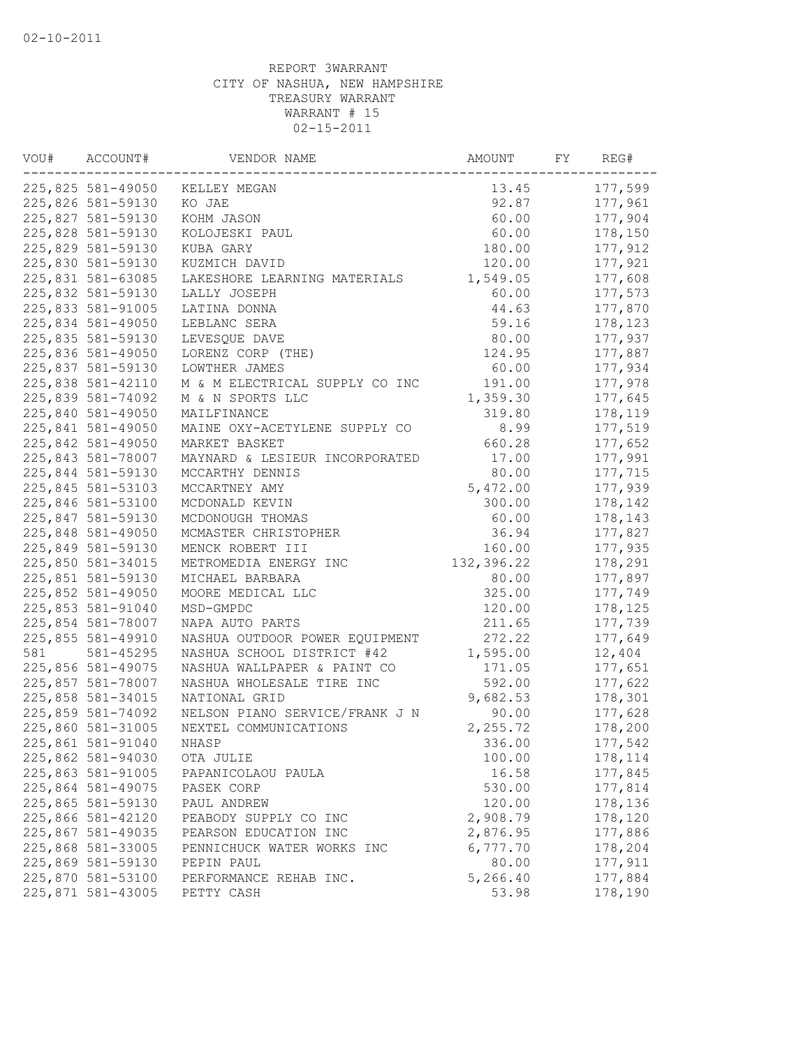| VOU# | ACCOUNT#<br>VENDOR NAME |                                | AMOUNT<br>FY |  | REG#    |  |
|------|-------------------------|--------------------------------|--------------|--|---------|--|
|      | 225,825 581-49050       | KELLEY MEGAN                   | 13.45        |  | 177,599 |  |
|      | 225,826 581-59130       | KO JAE                         | 92.87        |  | 177,961 |  |
|      | 225,827 581-59130       | KOHM JASON                     | 60.00        |  | 177,904 |  |
|      | 225,828 581-59130       | KOLOJESKI PAUL                 | 60.00        |  | 178,150 |  |
|      | 225,829 581-59130       | KUBA GARY                      | 180.00       |  | 177,912 |  |
|      | 225,830 581-59130       | KUZMICH DAVID                  | 120.00       |  | 177,921 |  |
|      | 225,831 581-63085       | LAKESHORE LEARNING MATERIALS   | 1,549.05     |  | 177,608 |  |
|      | 225,832 581-59130       | LALLY JOSEPH                   | 60.00        |  | 177,573 |  |
|      | 225,833 581-91005       | LATINA DONNA                   | 44.63        |  | 177,870 |  |
|      | 225,834 581-49050       | LEBLANC SERA                   | 59.16        |  | 178,123 |  |
|      | 225,835 581-59130       | LEVESQUE DAVE                  | 80.00        |  | 177,937 |  |
|      | 225,836 581-49050       | LORENZ CORP (THE)              | 124.95       |  | 177,887 |  |
|      | 225,837 581-59130       | LOWTHER JAMES                  | 60.00        |  | 177,934 |  |
|      | 225,838 581-42110       | M & M ELECTRICAL SUPPLY CO INC | 191.00       |  | 177,978 |  |
|      | 225,839 581-74092       | M & N SPORTS LLC               | 1,359.30     |  | 177,645 |  |
|      | 225,840 581-49050       | MAILFINANCE                    | 319.80       |  | 178,119 |  |
|      | 225,841 581-49050       | MAINE OXY-ACETYLENE SUPPLY CO  | 8.99         |  | 177,519 |  |
|      | 225,842 581-49050       | MARKET BASKET                  | 660.28       |  | 177,652 |  |
|      | 225,843 581-78007       | MAYNARD & LESIEUR INCORPORATED | 17.00        |  | 177,991 |  |
|      | 225,844 581-59130       | MCCARTHY DENNIS                | 80.00        |  | 177,715 |  |
|      | 225,845 581-53103       | MCCARTNEY AMY                  | 5,472.00     |  | 177,939 |  |
|      | 225,846 581-53100       | MCDONALD KEVIN                 | 300.00       |  | 178,142 |  |
|      | 225,847 581-59130       | MCDONOUGH THOMAS               | 60.00        |  | 178,143 |  |
|      | 225,848 581-49050       | MCMASTER CHRISTOPHER           | 36.94        |  | 177,827 |  |
|      | 225,849 581-59130       | MENCK ROBERT III               | 160.00       |  | 177,935 |  |
|      | 225,850 581-34015       | METROMEDIA ENERGY INC          | 132,396.22   |  | 178,291 |  |
|      | 225,851 581-59130       | MICHAEL BARBARA                | 80.00        |  | 177,897 |  |
|      | 225,852 581-49050       | MOORE MEDICAL LLC              | 325.00       |  | 177,749 |  |
|      | 225,853 581-91040       | MSD-GMPDC                      | 120.00       |  | 178,125 |  |
|      | 225,854 581-78007       | NAPA AUTO PARTS                | 211.65       |  | 177,739 |  |
|      | 225,855 581-49910       | NASHUA OUTDOOR POWER EQUIPMENT | 272.22       |  | 177,649 |  |
| 581  | 581-45295               | NASHUA SCHOOL DISTRICT #42     | 1,595.00     |  | 12,404  |  |
|      | 225,856 581-49075       | NASHUA WALLPAPER & PAINT CO    | 171.05       |  | 177,651 |  |
|      | 225,857 581-78007       | NASHUA WHOLESALE TIRE INC      | 592.00       |  | 177,622 |  |
|      | 225,858 581-34015       | NATIONAL GRID                  | 9,682.53     |  | 178,301 |  |
|      | 225,859 581-74092       | NELSON PIANO SERVICE/FRANK J N | 90.00        |  | 177,628 |  |
|      | 225,860 581-31005       | NEXTEL COMMUNICATIONS          | 2,255.72     |  | 178,200 |  |
|      | 225,861 581-91040       | NHASP                          | 336.00       |  | 177,542 |  |
|      | 225,862 581-94030       | OTA JULIE                      | 100.00       |  | 178,114 |  |
|      | 225,863 581-91005       | PAPANICOLAOU PAULA             | 16.58        |  | 177,845 |  |
|      | 225,864 581-49075       | PASEK CORP                     | 530.00       |  | 177,814 |  |
|      | 225,865 581-59130       | PAUL ANDREW                    | 120.00       |  | 178,136 |  |
|      | 225,866 581-42120       | PEABODY SUPPLY CO INC          | 2,908.79     |  | 178,120 |  |
|      | 225,867 581-49035       | PEARSON EDUCATION INC          | 2,876.95     |  | 177,886 |  |
|      | 225,868 581-33005       | PENNICHUCK WATER WORKS INC     | 6,777.70     |  | 178,204 |  |
|      | 225,869 581-59130       | PEPIN PAUL                     | 80.00        |  | 177,911 |  |
|      | 225,870 581-53100       | PERFORMANCE REHAB INC.         | 5,266.40     |  | 177,884 |  |
|      | 225,871 581-43005       | PETTY CASH                     | 53.98        |  | 178,190 |  |
|      |                         |                                |              |  |         |  |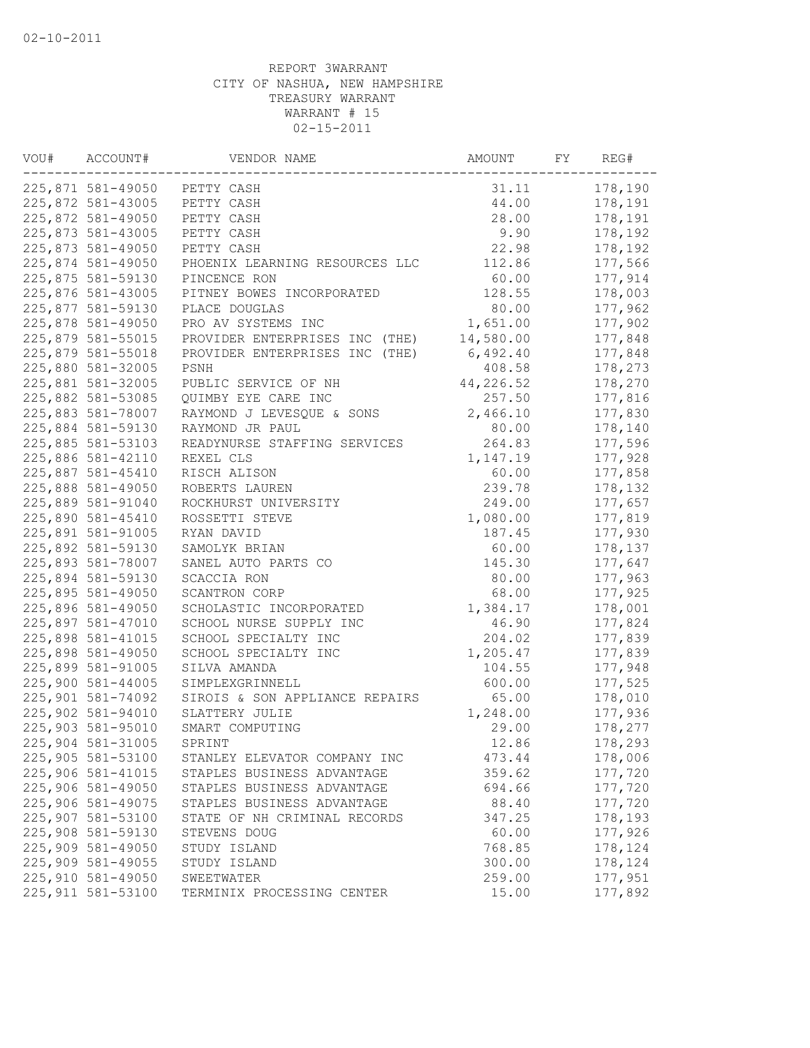| VOU# | ACCOUNT#           | VENDOR NAME                    | AMOUNT    | FY | REG#    |
|------|--------------------|--------------------------------|-----------|----|---------|
|      | 225,871 581-49050  | PETTY CASH                     | 31.11     |    | 178,190 |
|      | 225,872 581-43005  | PETTY CASH                     | 44.00     |    | 178,191 |
|      | 225,872 581-49050  | PETTY CASH                     | 28.00     |    | 178,191 |
|      | 225,873 581-43005  | PETTY CASH                     | 9.90      |    | 178,192 |
|      | 225,873 581-49050  | PETTY CASH                     | 22.98     |    | 178,192 |
|      | 225,874 581-49050  | PHOENIX LEARNING RESOURCES LLC | 112.86    |    | 177,566 |
|      | 225,875 581-59130  | PINCENCE RON                   | 60.00     |    | 177,914 |
|      | 225,876 581-43005  | PITNEY BOWES INCORPORATED      | 128.55    |    | 178,003 |
|      | 225,877 581-59130  | PLACE DOUGLAS                  | 80.00     |    | 177,962 |
|      | 225,878 581-49050  | PRO AV SYSTEMS INC             | 1,651.00  |    | 177,902 |
|      | 225,879 581-55015  | PROVIDER ENTERPRISES INC (THE) | 14,580.00 |    | 177,848 |
|      | 225,879 581-55018  | PROVIDER ENTERPRISES INC (THE) | 6,492.40  |    | 177,848 |
|      | 225,880 581-32005  | PSNH                           | 408.58    |    | 178,273 |
|      | 225,881 581-32005  | PUBLIC SERVICE OF NH           | 44,226.52 |    | 178,270 |
|      | 225,882 581-53085  | QUIMBY EYE CARE INC            | 257.50    |    | 177,816 |
|      | 225,883 581-78007  | RAYMOND J LEVESQUE & SONS      | 2,466.10  |    | 177,830 |
|      | 225,884 581-59130  | RAYMOND JR PAUL                | 80.00     |    | 178,140 |
|      | 225,885 581-53103  | READYNURSE STAFFING SERVICES   | 264.83    |    | 177,596 |
|      | 225,886 581-42110  | REXEL CLS                      | 1,147.19  |    | 177,928 |
|      | 225,887 581-45410  | RISCH ALISON                   | 60.00     |    | 177,858 |
|      | 225,888 581-49050  | ROBERTS LAUREN                 | 239.78    |    | 178,132 |
|      | 225,889 581-91040  | ROCKHURST UNIVERSITY           | 249.00    |    | 177,657 |
|      | 225,890 581-45410  | ROSSETTI STEVE                 | 1,080.00  |    | 177,819 |
|      | 225,891 581-91005  | RYAN DAVID                     | 187.45    |    | 177,930 |
|      | 225,892 581-59130  | SAMOLYK BRIAN                  | 60.00     |    | 178,137 |
|      | 225,893 581-78007  | SANEL AUTO PARTS CO            | 145.30    |    | 177,647 |
|      | 225,894 581-59130  | SCACCIA RON                    | 80.00     |    | 177,963 |
|      | 225,895 581-49050  | SCANTRON CORP                  | 68.00     |    | 177,925 |
|      | 225,896 581-49050  | SCHOLASTIC INCORPORATED        | 1,384.17  |    | 178,001 |
|      | 225,897 581-47010  | SCHOOL NURSE SUPPLY INC        | 46.90     |    | 177,824 |
|      | 225,898 581-41015  | SCHOOL SPECIALTY INC           | 204.02    |    | 177,839 |
|      | 225,898 581-49050  | SCHOOL SPECIALTY INC           | 1,205.47  |    | 177,839 |
|      | 225,899 581-91005  | SILVA AMANDA                   | 104.55    |    | 177,948 |
|      | 225,900 581-44005  | SIMPLEXGRINNELL                | 600.00    |    | 177,525 |
|      | 225,901 581-74092  | SIROIS & SON APPLIANCE REPAIRS | 65.00     |    | 178,010 |
|      | 225,902 581-94010  | SLATTERY JULIE                 | 1,248.00  |    | 177,936 |
|      | 225,903 581-95010  | SMART COMPUTING                | 29.00     |    | 178,277 |
|      | 225,904 581-31005  | SPRINT                         | 12.86     |    | 178,293 |
|      | 225,905 581-53100  | STANLEY ELEVATOR COMPANY INC   | 473.44    |    | 178,006 |
|      | 225,906 581-41015  | STAPLES BUSINESS ADVANTAGE     | 359.62    |    | 177,720 |
|      | 225,906 581-49050  | STAPLES BUSINESS ADVANTAGE     | 694.66    |    | 177,720 |
|      | 225,906 581-49075  | STAPLES BUSINESS ADVANTAGE     | 88.40     |    | 177,720 |
|      | 225,907 581-53100  | STATE OF NH CRIMINAL RECORDS   | 347.25    |    | 178,193 |
|      | 225,908 581-59130  | STEVENS DOUG                   | 60.00     |    | 177,926 |
|      | 225,909 581-49050  | STUDY ISLAND                   | 768.85    |    | 178,124 |
|      | 225,909 581-49055  | STUDY ISLAND                   | 300.00    |    | 178,124 |
|      | 225,910 581-49050  | SWEETWATER                     | 259.00    |    | 177,951 |
|      | 225, 911 581-53100 | TERMINIX PROCESSING CENTER     | 15.00     |    | 177,892 |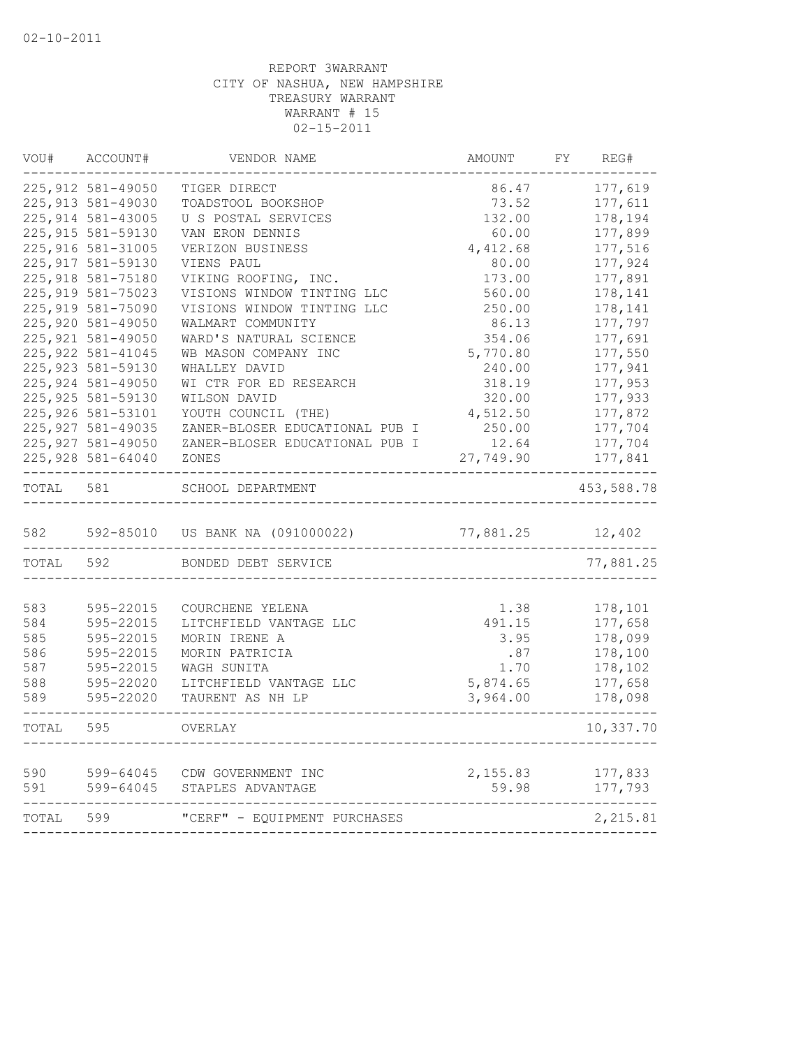| VOU#      | ACCOUNT#           | VENDOR NAME                    | AMOUNT          | FY                 | REG#       |  |
|-----------|--------------------|--------------------------------|-----------------|--------------------|------------|--|
|           | 225, 912 581-49050 | TIGER DIRECT                   | 86.47           |                    | 177,619    |  |
|           | 225, 913 581-49030 | TOADSTOOL BOOKSHOP             | 73.52           |                    | 177,611    |  |
|           | 225, 914 581-43005 | U S POSTAL SERVICES            |                 | 178,194<br>177,899 |            |  |
|           | 225, 915 581-59130 | VAN ERON DENNIS                | 132.00<br>60.00 |                    |            |  |
|           | 225,916 581-31005  | VERIZON BUSINESS               | 4,412.68        |                    | 177,516    |  |
|           | 225, 917 581-59130 | VIENS PAUL                     | 80.00           |                    | 177,924    |  |
|           | 225,918 581-75180  | VIKING ROOFING, INC.           | 173.00          |                    | 177,891    |  |
|           | 225, 919 581-75023 | VISIONS WINDOW TINTING LLC     | 560.00          |                    | 178,141    |  |
|           | 225,919 581-75090  | VISIONS WINDOW TINTING LLC     | 250.00          |                    | 178,141    |  |
|           | 225,920 581-49050  | WALMART COMMUNITY              | 86.13           |                    | 177,797    |  |
|           | 225, 921 581-49050 | WARD'S NATURAL SCIENCE         | 354.06          |                    | 177,691    |  |
|           | 225, 922 581-41045 | WB MASON COMPANY INC           | 5,770.80        |                    | 177,550    |  |
|           | 225, 923 581-59130 | WHALLEY DAVID                  | 240.00          |                    | 177,941    |  |
|           | 225, 924 581-49050 | WI CTR FOR ED RESEARCH         | 318.19          |                    | 177,953    |  |
|           | 225, 925 581-59130 | WILSON DAVID                   | 320.00          |                    | 177,933    |  |
|           | 225,926 581-53101  | YOUTH COUNCIL (THE)            | 4,512.50        |                    | 177,872    |  |
|           | 225, 927 581-49035 | ZANER-BLOSER EDUCATIONAL PUB I | 250.00          |                    | 177,704    |  |
|           | 225, 927 581-49050 | ZANER-BLOSER EDUCATIONAL PUB I | 12.64           |                    | 177,704    |  |
|           | 225,928 581-64040  | ZONES                          | 27,749.90       |                    | 177,841    |  |
| TOTAL 581 |                    | SCHOOL DEPARTMENT              |                 |                    | 453,588.78 |  |
| 582       | 592-85010          | US BANK NA (091000022)         | 77,881.25       |                    | 12,402     |  |
| TOTAL     | 592                | BONDED DEBT SERVICE            |                 |                    | 77,881.25  |  |
|           |                    |                                |                 |                    |            |  |
| 583       | 595-22015          | COURCHENE YELENA               | 1.38            |                    | 178,101    |  |
| 584       | 595-22015          | LITCHFIELD VANTAGE LLC         | 491.15          |                    | 177,658    |  |
| 585       | 595-22015          | MORIN IRENE A                  | 3.95            |                    | 178,099    |  |
| 586       | 595-22015          | MORIN PATRICIA                 | .87             |                    | 178,100    |  |
| 587       | 595-22015          | WAGH SUNITA                    | 1.70            |                    | 178,102    |  |
| 588       | 595-22020          | LITCHFIELD VANTAGE LLC         | 5,874.65        |                    | 177,658    |  |
| 589       | 595-22020          | TAURENT AS NH LP               | 3,964.00        |                    | 178,098    |  |
| TOTAL     | 595                | OVERLAY                        |                 |                    | 10,337.70  |  |
| 590       | 599-64045          | CDW GOVERNMENT INC             | 2,155.83        |                    | 177,833    |  |
| 591       | 599-64045          | STAPLES ADVANTAGE              | 59.98           |                    | 177,793    |  |
| TOTAL 599 |                    | "CERF" - EOUIPMENT PURCHASES   |                 |                    | 2,215.81   |  |
|           |                    |                                |                 |                    |            |  |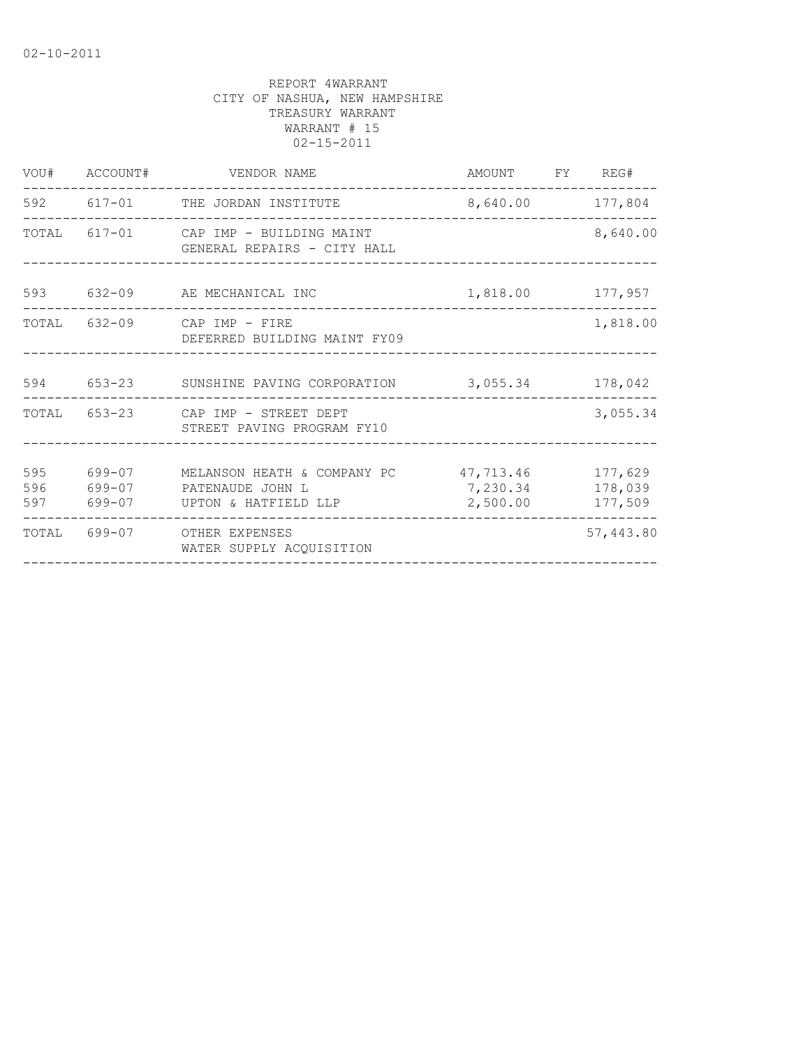|                   | VOU# ACCOUNT#              | VENDOR NAME                                                                       |                      | AMOUNT FY REG#   |                               |
|-------------------|----------------------------|-----------------------------------------------------------------------------------|----------------------|------------------|-------------------------------|
|                   |                            | 592 617-01 THE JORDAN INSTITUTE                                                   | 8,640.00 177,804     |                  |                               |
|                   |                            | TOTAL 617-01 CAP IMP - BUILDING MAINT<br>GENERAL REPAIRS - CITY HALL              |                      |                  | 8,640.00                      |
|                   |                            | 593 632-09 AE MECHANICAL INC                                                      |                      | 1,818.00 177,957 |                               |
|                   |                            | TOTAL 632-09 CAP IMP - FIRE<br>DEFERRED BUILDING MAINT FY09                       |                      |                  | 1,818.00                      |
| 594               |                            | 653-23 SUNSHINE PAVING CORPORATION                                                | 3,055.34             |                  | 178,042                       |
|                   |                            | TOTAL 653-23 CAP IMP - STREET DEPT<br>STREET PAVING PROGRAM FY10                  |                      |                  | 3,055.34                      |
| 595<br>596<br>597 | 699-07<br>699-07<br>699-07 | MELANSON HEATH & COMPANY PC 47,713.46<br>PATENAUDE JOHN L<br>UPTON & HATFIELD LLP | 7,230.34<br>2,500.00 |                  | 177,629<br>178,039<br>177,509 |
| TOTAL             |                            | 699-07 OTHER EXPENSES<br>WATER SUPPLY ACOUISITION                                 |                      |                  | 57,443.80                     |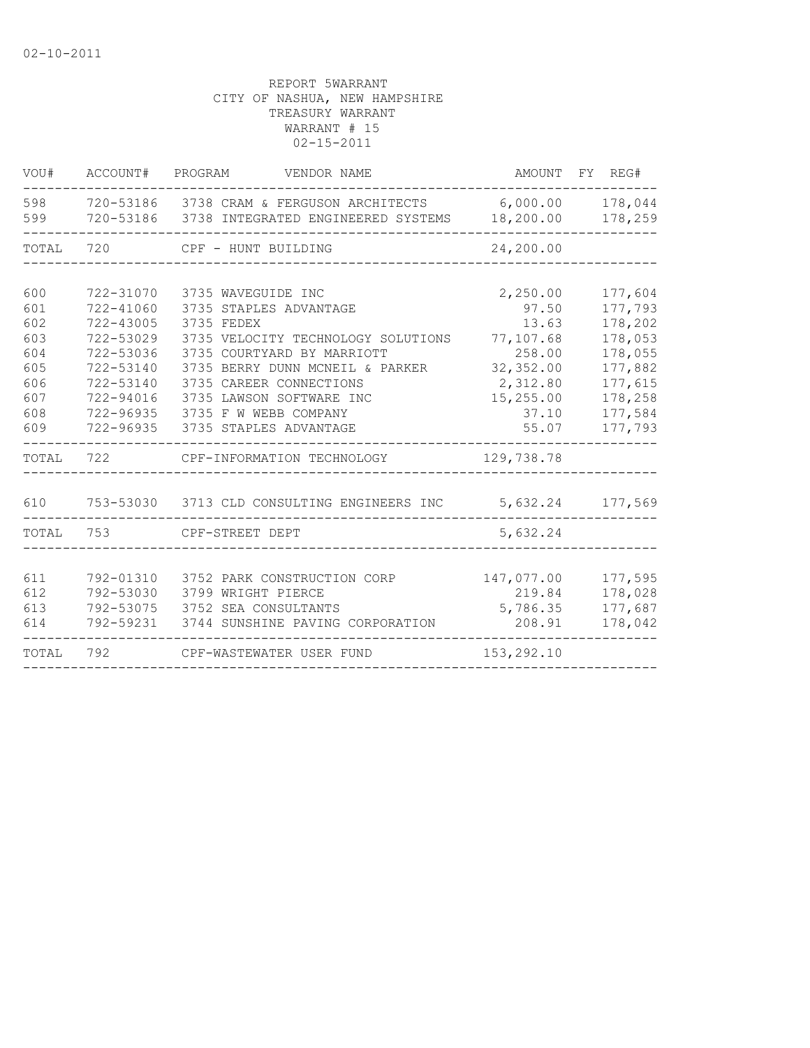| VOU#       | ACCOUNT#  | PROGRAM<br>VENDOR NAME                                                          |                       | AMOUNT FY REG#     |
|------------|-----------|---------------------------------------------------------------------------------|-----------------------|--------------------|
| 598<br>599 | 720-53186 | 720-53186 3738 CRAM & FERGUSON ARCHITECTS<br>3738 INTEGRATED ENGINEERED SYSTEMS | 6,000.00<br>18,200.00 | 178,044<br>178,259 |
| TOTAL      | 720       | CPF - HUNT BUILDING                                                             | 24,200.00             |                    |
| 600        | 722-31070 | 3735 WAVEGUIDE INC                                                              | 2,250.00              | 177,604            |
| 601        | 722-41060 | 3735 STAPLES ADVANTAGE                                                          | 97.50                 | 177,793            |
| 602        | 722-43005 | 3735 FEDEX                                                                      | 13.63                 | 178,202            |
| 603        | 722-53029 | 3735 VELOCITY TECHNOLOGY SOLUTIONS                                              | 77,107.68             | 178,053            |
| 604        | 722-53036 | 3735 COURTYARD BY MARRIOTT                                                      | 258.00                | 178,055            |
| 605        | 722-53140 | 3735 BERRY DUNN MCNEIL & PARKER                                                 | 32,352.00             | 177,882            |
| 606        | 722-53140 | 3735 CAREER CONNECTIONS                                                         | 2,312.80              | 177,615            |
| 607        | 722-94016 | 3735 LAWSON SOFTWARE INC                                                        | 15,255.00             | 178,258            |
| 608        | 722-96935 | 3735 F W WEBB COMPANY                                                           | 37.10                 | 177,584            |
| 609        | 722-96935 | 3735 STAPLES ADVANTAGE                                                          | 55.07                 | 177,793            |
| TOTAL      | 722       | CPF-INFORMATION TECHNOLOGY                                                      | 129,738.78            |                    |
| 610        |           | 753-53030 3713 CLD CONSULTING ENGINEERS INC                                     |                       | 5,632.24 177,569   |
| TOTAL      | 753       | CPF-STREET DEPT                                                                 | 5,632.24              |                    |
|            |           |                                                                                 |                       |                    |
| 611        | 792-01310 | 3752 PARK CONSTRUCTION CORP                                                     | 147,077.00            | 177,595            |
| 612        | 792-53030 | 3799 WRIGHT PIERCE                                                              | 219.84                | 178,028            |
| 613        | 792-53075 | 3752 SEA CONSULTANTS                                                            | 5,786.35              | 177,687            |
| 614        | 792-59231 | 3744 SUNSHINE PAVING CORPORATION                                                | 208.91                | 178,042            |
| TOTAL      | 792       | CPF-WASTEWATER USER FUND                                                        | 153,292.10            |                    |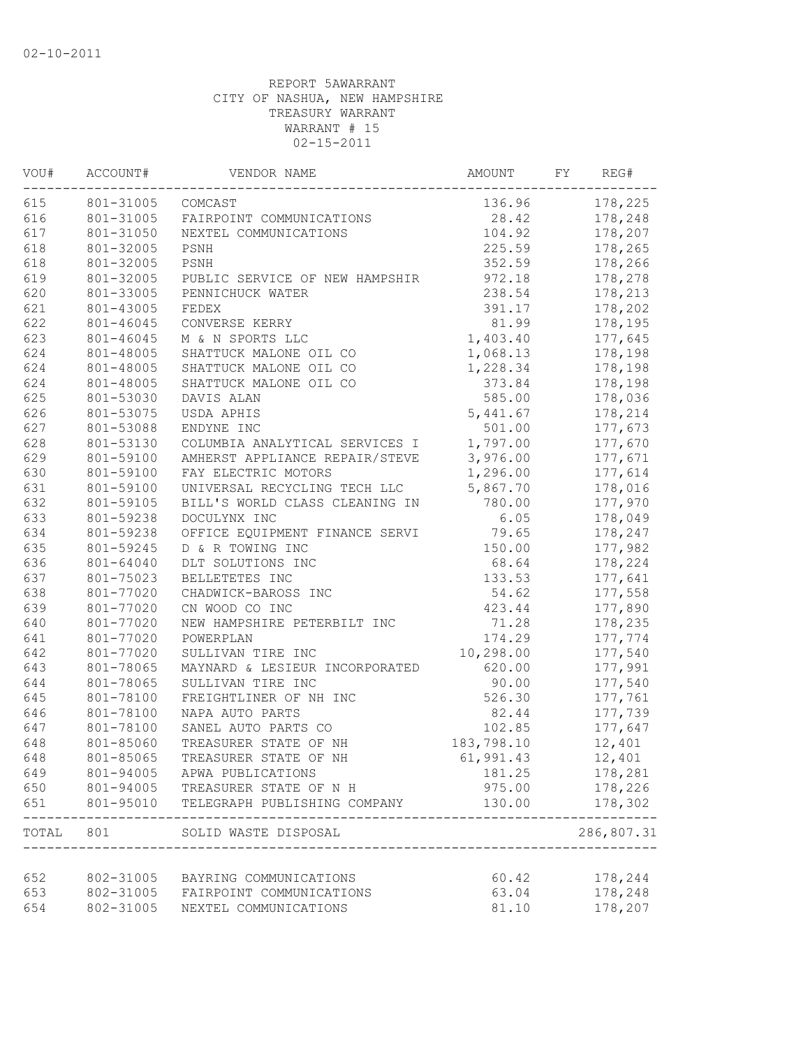| VOU# | ACCOUNT#  | VENDOR NAME                    | AMOUNT     | FY | REG#               |
|------|-----------|--------------------------------|------------|----|--------------------|
| 615  | 801-31005 | COMCAST                        | 136.96     |    | 178,225            |
| 616  | 801-31005 | FAIRPOINT COMMUNICATIONS       | 28.42      |    | 178,248            |
| 617  | 801-31050 | NEXTEL COMMUNICATIONS          | 104.92     |    | 178,207            |
| 618  | 801-32005 | PSNH                           | 225.59     |    | 178,265            |
| 618  | 801-32005 | PSNH                           | 352.59     |    | 178,266            |
| 619  | 801-32005 | PUBLIC SERVICE OF NEW HAMPSHIR | 972.18     |    | 178,278            |
| 620  | 801-33005 | PENNICHUCK WATER               | 238.54     |    | 178,213            |
| 621  | 801-43005 | FEDEX                          | 391.17     |    | 178,202            |
| 622  | 801-46045 | CONVERSE KERRY                 | 81.99      |    | 178,195            |
| 623  | 801-46045 | M & N SPORTS LLC               | 1,403.40   |    | 177,645            |
| 624  | 801-48005 | SHATTUCK MALONE OIL CO         | 1,068.13   |    | 178,198            |
| 624  | 801-48005 | SHATTUCK MALONE OIL CO         | 1,228.34   |    | 178,198            |
| 624  | 801-48005 | SHATTUCK MALONE OIL CO         | 373.84     |    | 178,198            |
| 625  | 801-53030 | DAVIS ALAN                     | 585.00     |    | 178,036            |
| 626  | 801-53075 | USDA APHIS                     | 5,441.67   |    | 178,214            |
| 627  | 801-53088 | ENDYNE INC                     | 501.00     |    | 177,673            |
| 628  | 801-53130 | COLUMBIA ANALYTICAL SERVICES I | 1,797.00   |    | 177,670            |
| 629  | 801-59100 | AMHERST APPLIANCE REPAIR/STEVE | 3,976.00   |    | 177,671            |
| 630  | 801-59100 | FAY ELECTRIC MOTORS            | 1,296.00   |    | 177,614            |
| 631  | 801-59100 | UNIVERSAL RECYCLING TECH LLC   | 5,867.70   |    | 178,016            |
| 632  | 801-59105 | BILL'S WORLD CLASS CLEANING IN | 780.00     |    | 177,970            |
| 633  | 801-59238 | DOCULYNX INC                   | 6.05       |    | 178,049            |
| 634  | 801-59238 | OFFICE EQUIPMENT FINANCE SERVI | 79.65      |    | 178,247            |
| 635  | 801-59245 | D & R TOWING INC               | 150.00     |    | 177,982            |
| 636  | 801-64040 | DLT SOLUTIONS INC              | 68.64      |    | 178,224            |
| 637  | 801-75023 | BELLETETES INC                 | 133.53     |    | 177,641            |
| 638  | 801-77020 | CHADWICK-BAROSS INC            | 54.62      |    | 177,558            |
| 639  | 801-77020 | CN WOOD CO INC                 | 423.44     |    | 177,890            |
| 640  | 801-77020 | NEW HAMPSHIRE PETERBILT INC    | 71.28      |    | 178,235            |
| 641  | 801-77020 | POWERPLAN                      | 174.29     |    | 177,774            |
| 642  | 801-77020 | SULLIVAN TIRE INC              | 10,298.00  |    | 177,540            |
| 643  | 801-78065 | MAYNARD & LESIEUR INCORPORATED | 620.00     |    | 177,991            |
| 644  | 801-78065 | SULLIVAN TIRE INC              | 90.00      |    | 177,540            |
| 645  | 801-78100 | FREIGHTLINER OF NH INC         | 526.30     |    | 177,761            |
| 646  | 801-78100 | NAPA AUTO PARTS                | 82.44      |    | 177,739            |
| 647  | 801-78100 | SANEL AUTO PARTS CO            | 102.85     |    | 177,647            |
| 648  | 801-85060 | TREASURER STATE OF NH          | 183,798.10 |    | 12,401             |
| 648  | 801-85065 | TREASURER STATE OF NH          | 61,991.43  |    | 12,401             |
| 649  | 801-94005 | APWA PUBLICATIONS              | 181.25     |    | 178,281            |
| 650  | 801-94005 | TREASURER STATE OF N H         | 975.00     |    | 178,226            |
| 651  | 801-95010 | TELEGRAPH PUBLISHING COMPANY   | 130.00     |    | 178,302<br>------- |
|      | TOTAL 801 | SOLID WASTE DISPOSAL           |            |    | 286,807.31         |
| 652  | 802-31005 | BAYRING COMMUNICATIONS         | 60.42      |    | 178,244            |
| 653  | 802-31005 | FAIRPOINT COMMUNICATIONS       | 63.04      |    | 178,248            |
| 654  | 802-31005 | NEXTEL COMMUNICATIONS          | 81.10      |    | 178,207            |
|      |           |                                |            |    |                    |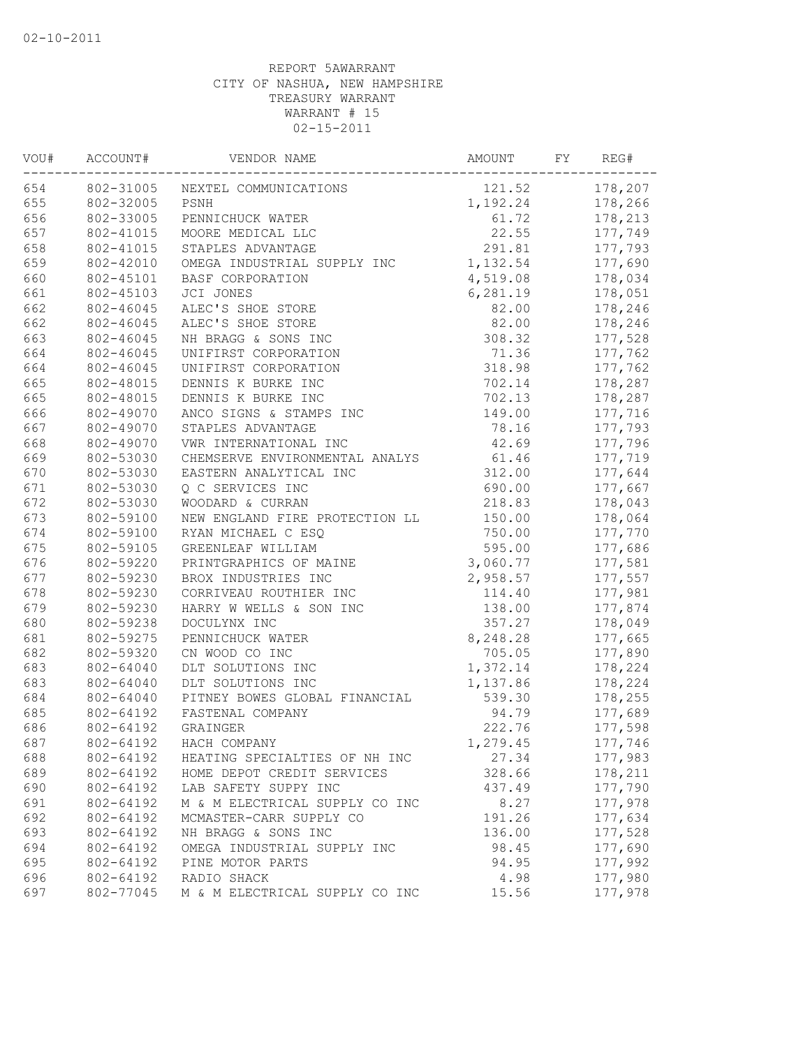| VOU# | ACCOUNT#<br>VENDOR NAME |                                | AMOUNT   | REG# |         |
|------|-------------------------|--------------------------------|----------|------|---------|
| 654  | 802-31005               | NEXTEL COMMUNICATIONS          | 121.52   |      | 178,207 |
| 655  | 802-32005               | PSNH                           | 1,192.24 |      | 178,266 |
| 656  | 802-33005               | PENNICHUCK WATER               | 61.72    |      | 178,213 |
| 657  | 802-41015               | MOORE MEDICAL LLC              | 22.55    |      | 177,749 |
| 658  | 802-41015               | STAPLES ADVANTAGE              | 291.81   |      | 177,793 |
| 659  | 802-42010               | OMEGA INDUSTRIAL SUPPLY INC    | 1,132.54 |      | 177,690 |
| 660  | 802-45101               | BASF CORPORATION               | 4,519.08 |      | 178,034 |
| 661  | 802-45103               | JCI JONES                      | 6,281.19 |      | 178,051 |
| 662  | 802-46045               | ALEC'S SHOE STORE              | 82.00    |      | 178,246 |
| 662  | 802-46045               | ALEC'S SHOE STORE              | 82.00    |      | 178,246 |
| 663  | 802-46045               | NH BRAGG & SONS INC            | 308.32   |      | 177,528 |
| 664  | 802-46045               | UNIFIRST CORPORATION           | 71.36    |      | 177,762 |
| 664  | 802-46045               | UNIFIRST CORPORATION           | 318.98   |      | 177,762 |
| 665  | 802-48015               | DENNIS K BURKE INC             | 702.14   |      | 178,287 |
| 665  | 802-48015               | DENNIS K BURKE INC             | 702.13   |      | 178,287 |
| 666  | 802-49070               | ANCO SIGNS & STAMPS INC        | 149.00   |      | 177,716 |
| 667  | 802-49070               | STAPLES ADVANTAGE              | 78.16    |      | 177,793 |
| 668  | 802-49070               | VWR INTERNATIONAL INC          | 42.69    |      | 177,796 |
| 669  | 802-53030               | CHEMSERVE ENVIRONMENTAL ANALYS | 61.46    |      | 177,719 |
| 670  | 802-53030               | EASTERN ANALYTICAL INC         | 312.00   |      | 177,644 |
| 671  | 802-53030               | Q C SERVICES INC               | 690.00   |      | 177,667 |
| 672  | 802-53030               | WOODARD & CURRAN               | 218.83   |      | 178,043 |
| 673  | 802-59100               | NEW ENGLAND FIRE PROTECTION LL | 150.00   |      | 178,064 |
| 674  | 802-59100               | RYAN MICHAEL C ESQ             | 750.00   |      | 177,770 |
| 675  | 802-59105               | GREENLEAF WILLIAM              | 595.00   |      | 177,686 |
| 676  | 802-59220               | PRINTGRAPHICS OF MAINE         | 3,060.77 |      | 177,581 |
| 677  | 802-59230               | BROX INDUSTRIES INC            | 2,958.57 |      | 177,557 |
| 678  | 802-59230               | CORRIVEAU ROUTHIER INC         | 114.40   |      | 177,981 |
| 679  | 802-59230               | HARRY W WELLS & SON INC        | 138.00   |      | 177,874 |
| 680  | 802-59238               | DOCULYNX INC                   | 357.27   |      | 178,049 |
| 681  | 802-59275               | PENNICHUCK WATER               | 8,248.28 |      | 177,665 |
| 682  | 802-59320               | CN WOOD CO INC                 | 705.05   |      | 177,890 |
| 683  | 802-64040               | DLT SOLUTIONS INC              | 1,372.14 |      | 178,224 |
| 683  | 802-64040               | DLT SOLUTIONS INC              | 1,137.86 |      | 178,224 |
| 684  | 802-64040               | PITNEY BOWES GLOBAL FINANCIAL  | 539.30   |      | 178,255 |
| 685  | 802-64192               | FASTENAL COMPANY               | 94.79    |      | 177,689 |
| 686  | 802-64192               | GRAINGER                       | 222.76   |      | 177,598 |
| 687  | 802-64192               | HACH COMPANY                   | 1,279.45 |      | 177,746 |
| 688  | 802-64192               | HEATING SPECIALTIES OF NH INC  | 27.34    |      | 177,983 |
| 689  | 802-64192               | HOME DEPOT CREDIT SERVICES     | 328.66   |      | 178,211 |
| 690  | 802-64192               | LAB SAFETY SUPPY INC           | 437.49   |      | 177,790 |
| 691  | 802-64192               | M & M ELECTRICAL SUPPLY CO INC | 8.27     |      | 177,978 |
| 692  | 802-64192               | MCMASTER-CARR SUPPLY CO        | 191.26   |      | 177,634 |
| 693  | 802-64192               | NH BRAGG & SONS INC            | 136.00   |      | 177,528 |
| 694  | 802-64192               | OMEGA INDUSTRIAL SUPPLY INC    | 98.45    |      | 177,690 |
| 695  | 802-64192               | PINE MOTOR PARTS               | 94.95    |      | 177,992 |
| 696  | 802-64192               | RADIO SHACK                    | 4.98     |      | 177,980 |
| 697  | 802-77045               | M & M ELECTRICAL SUPPLY CO INC | 15.56    |      | 177,978 |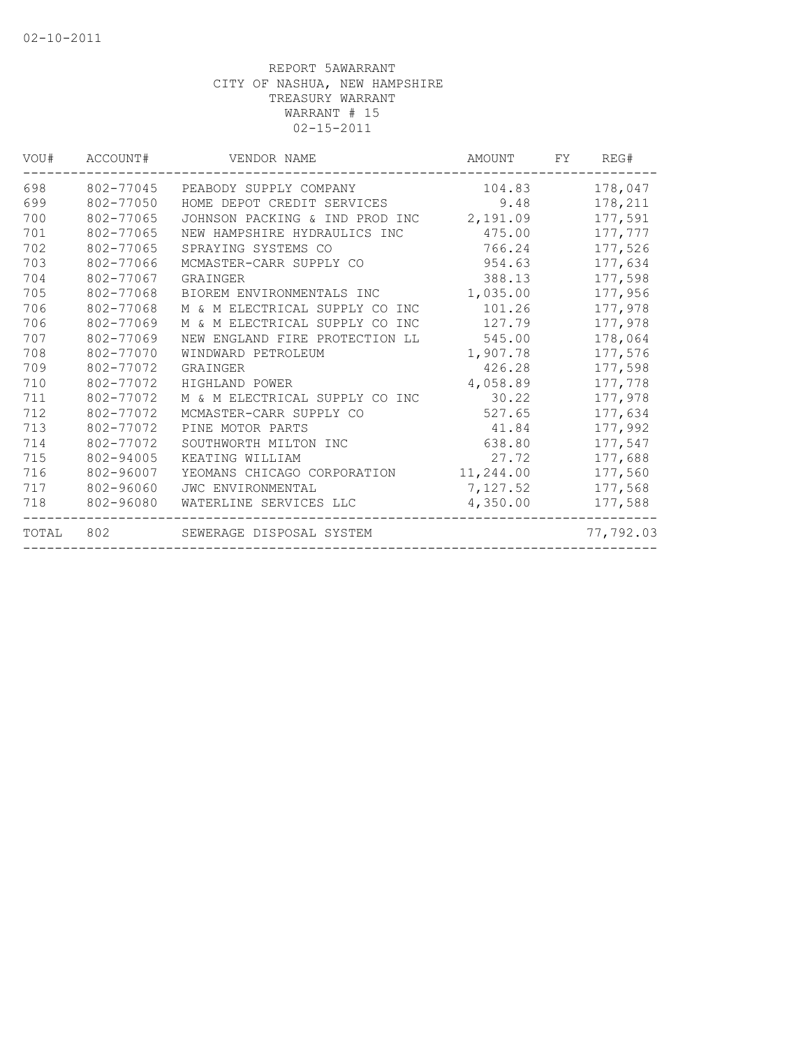| VOU#  | ACCOUNT#  | VENDOR NAME                       | AMOUNT    | FY. | REG#      |
|-------|-----------|-----------------------------------|-----------|-----|-----------|
| 698   | 802-77045 | PEABODY SUPPLY COMPANY            | 104.83    |     | 178,047   |
| 699   | 802-77050 | HOME DEPOT CREDIT SERVICES        | 9.48      |     | 178,211   |
| 700   | 802-77065 | JOHNSON PACKING & IND PROD INC    | 2,191.09  |     | 177,591   |
| 701   | 802-77065 | NEW HAMPSHIRE HYDRAULICS INC      | 475.00    |     | 177,777   |
| 702   | 802-77065 | SPRAYING SYSTEMS CO               | 766.24    |     | 177,526   |
| 703   | 802-77066 | MCMASTER-CARR SUPPLY CO           | 954.63    |     | 177,634   |
| 704   | 802-77067 | GRAINGER                          | 388.13    |     | 177,598   |
| 705   | 802-77068 | BIOREM ENVIRONMENTALS INC         | 1,035.00  |     | 177,956   |
| 706   | 802-77068 | M & M ELECTRICAL SUPPLY CO<br>INC | 101.26    |     | 177,978   |
| 706   | 802-77069 | M & M ELECTRICAL SUPPLY CO<br>INC | 127.79    |     | 177,978   |
| 707   | 802-77069 | NEW ENGLAND FIRE PROTECTION LL    | 545.00    |     | 178,064   |
| 708   | 802-77070 | WINDWARD PETROLEUM                | 1,907.78  |     | 177,576   |
| 709   | 802-77072 | GRAINGER                          | 426.28    |     | 177,598   |
| 710   | 802-77072 | HIGHLAND POWER                    | 4,058.89  |     | 177,778   |
| 711   | 802-77072 | M & M ELECTRICAL SUPPLY CO INC    | 30.22     |     | 177,978   |
| 712   | 802-77072 | MCMASTER-CARR SUPPLY CO           | 527.65    |     | 177,634   |
| 713   | 802-77072 | PINE MOTOR PARTS                  | 41.84     |     | 177,992   |
| 714   | 802-77072 | SOUTHWORTH MILTON INC             | 638.80    |     | 177,547   |
| 715   | 802-94005 | KEATING WILLIAM                   | 27.72     |     | 177,688   |
| 716   | 802-96007 | YEOMANS CHICAGO CORPORATION       | 11,244.00 |     | 177,560   |
| 717   | 802-96060 | <b>JWC ENVIRONMENTAL</b>          | 7,127.52  |     | 177,568   |
| 718   | 802-96080 | WATERLINE SERVICES LLC            | 4,350.00  |     | 177,588   |
| TOTAL | 802       | SEWERAGE DISPOSAL SYSTEM          |           |     | 77,792.03 |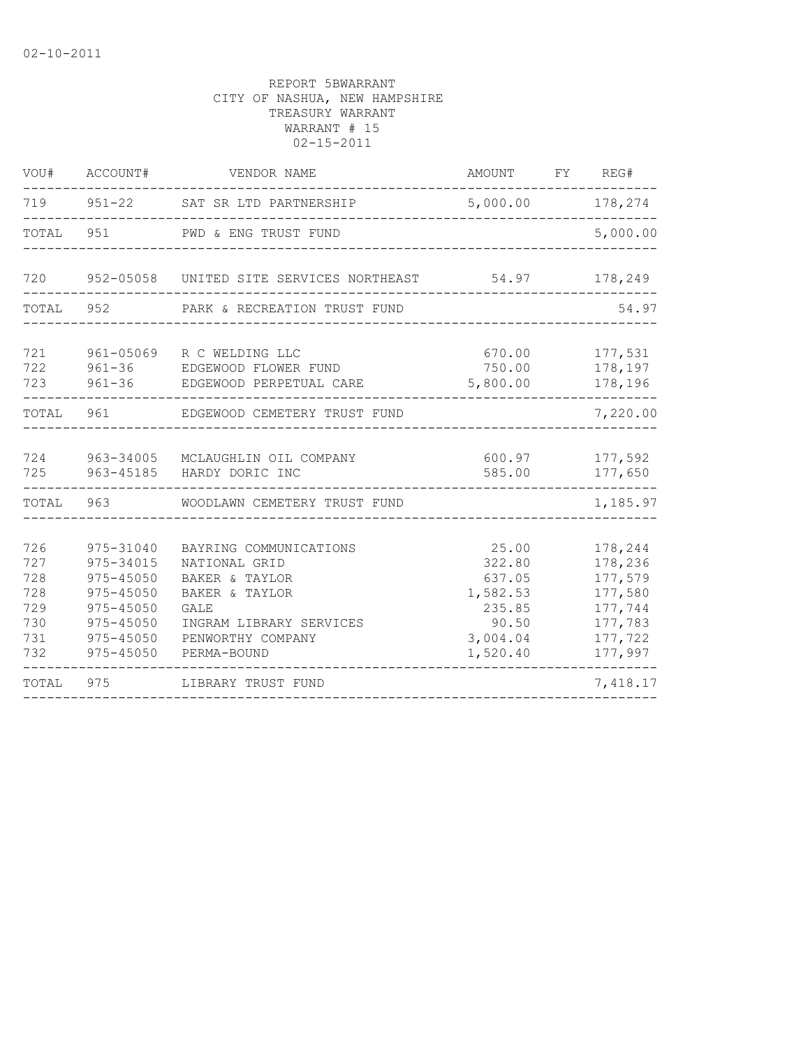| VOU#                                                 | ACCOUNT#                                                                                                 | VENDOR NAME                                                                                                                                               |                                                                                  | AMOUNT FY REG# |                                                                                      |
|------------------------------------------------------|----------------------------------------------------------------------------------------------------------|-----------------------------------------------------------------------------------------------------------------------------------------------------------|----------------------------------------------------------------------------------|----------------|--------------------------------------------------------------------------------------|
|                                                      |                                                                                                          | 719 951-22 SAT SR LTD PARTNERSHIP                                                                                                                         | 5,000.00                                                                         |                |                                                                                      |
| TOTAL 951                                            |                                                                                                          | PWD & ENG TRUST FUND                                                                                                                                      |                                                                                  |                | 5,000.00                                                                             |
|                                                      |                                                                                                          | 720 952-05058 UNITED SITE SERVICES NORTHEAST 54.97                                                                                                        |                                                                                  |                | 178,249                                                                              |
| TOTAL                                                | 952                                                                                                      | PARK & RECREATION TRUST FUND                                                                                                                              |                                                                                  |                | 54.97                                                                                |
| 721<br>722<br>723                                    |                                                                                                          | 961-05069 R C WELDING LLC<br>961-36 EDGEWOOD FLOWER FUND<br>961-36 EDGEWOOD PERPETUAL CARE                                                                | 5,800.00                                                                         |                | 670.00 177,531<br>750.00 178,197<br>178,196                                          |
| TOTAL 961                                            |                                                                                                          | EDGEWOOD CEMETERY TRUST FUND                                                                                                                              |                                                                                  |                | 7,220.00                                                                             |
| 724<br>725                                           | 963-34005<br>963-45185                                                                                   | MCLAUGHLIN OIL COMPANY<br>HARDY DORIC INC                                                                                                                 | 600.97<br>585.00                                                                 |                | 177,592<br>177,650                                                                   |
| TOTAL                                                | 963                                                                                                      | WOODLAWN CEMETERY TRUST FUND                                                                                                                              |                                                                                  |                | 1,185.97                                                                             |
| 726<br>727<br>728<br>728<br>729<br>730<br>731<br>732 | 975-31040<br>975-34015<br>975-45050<br>975-45050<br>975-45050<br>975-45050<br>975-45050<br>$975 - 45050$ | BAYRING COMMUNICATIONS<br>NATIONAL GRID<br>BAKER & TAYLOR<br>BAKER & TAYLOR<br><b>GALE</b><br>INGRAM LIBRARY SERVICES<br>PENWORTHY COMPANY<br>PERMA-BOUND | 25.00<br>322.80<br>637.05<br>1,582.53<br>235.85<br>90.50<br>3,004.04<br>1,520.40 |                | 178,244<br>178,236<br>177,579<br>177,580<br>177,744<br>177,783<br>177,722<br>177,997 |
| TOTAL                                                | 975                                                                                                      | LIBRARY TRUST FUND                                                                                                                                        |                                                                                  |                | 7,418.17                                                                             |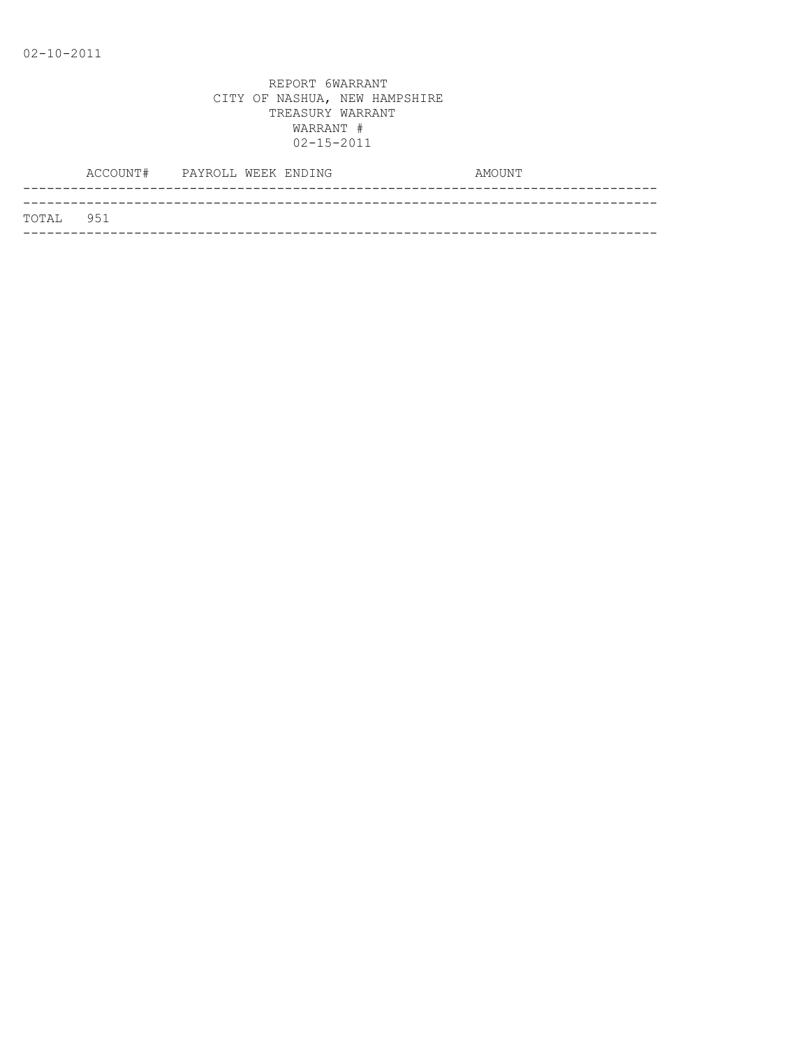|           | ACCOUNT# PAYROLL WEEK ENDING |  | AMOUNT |
|-----------|------------------------------|--|--------|
|           |                              |  |        |
| TOTAL 951 |                              |  |        |
|           |                              |  |        |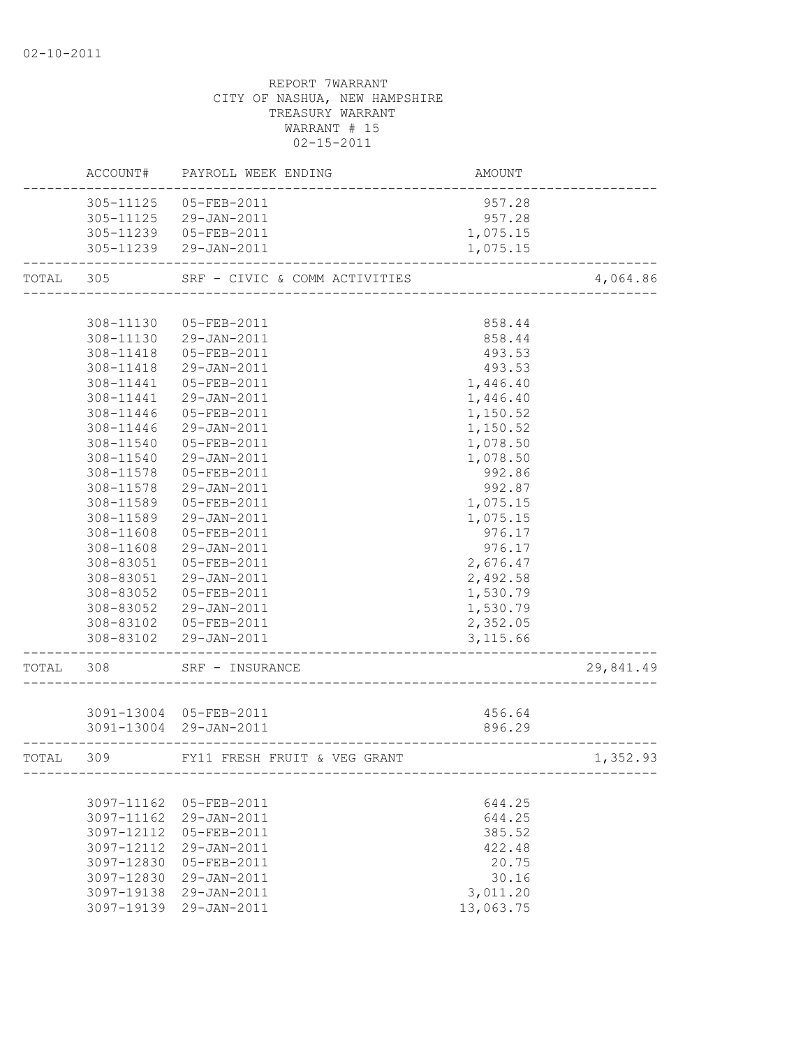# REPORT 7WARRANT CITY OF NASHUA, NEW HAMPSHIRE TREASURY WARRANT WARRANT # 15 02-15-2011 ACCOUNT# PAYROLL WEEK ENDING COUNT AMOUNT -------------------------------------------------------------------------------- 305-11125 05-FEB-2011 957.28 305-11125 29-JAN-2011 957.28 305-11239 05-FEB-2011 1,075.15 305-11239 29-JAN-2011 1,075.15 -------------------------------------------------------------------------------- TOTAL 305 SRF - CIVIC & COMM ACTIVITIES 4,064.86 -------------------------------------------------------------------------------- 308-11130 05-FEB-2011 858.44 308-11130 29-JAN-2011 858.44 308-11418 05-FEB-2011 493.53 308-11418 29-JAN-2011 493.53 308-11441 05-FEB-2011 1,446.40 308-11441 29-JAN-2011 1,446.40 308-11446 05-FEB-2011 1,150.52 308-11446 29-JAN-2011 1,150.52 308-11540 05-FEB-2011 1,078.50 308-11540 29-JAN-2011 1,078.50 308-11578 05-FEB-2011 992.86 308-11578 29-JAN-2011 992.87 308-11589 05-FEB-2011 1,075.15 308-11589 29-JAN-2011 1,075.15 308-11608 05-FEB-2011 976.17 308-11608 29-JAN-2011 976.17 308-83051 05-FEB-2011 2,676.47 308-83051 29-JAN-2011 2,492.58 308-83052 05-FEB-2011 1,530.79 308-83052 29-JAN-2011 1,530.79 308-83102 05-FEB-2011 2,352.05 308-83102 29-JAN-2011 3,115.66 -------------------------------------------------------------------------------- TOTAL 308 SRF – INSURANCE 29,841.49 -------------------------------------------------------------------------------- 3091-13004 05-FEB-2011 456.64

|       | 3091-13004 | U5-FEB-ZUII<br>3091-13004 29-JAN-2011 | 456.64<br>896.29 |          |
|-------|------------|---------------------------------------|------------------|----------|
| TOTAL | 309        | FY11 FRESH FRUIT & VEG GRANT          |                  | 1,352.93 |
|       |            | 3097-11162 05-FEB-2011                | 644.25           |          |
|       |            | 3097-11162 29-JAN-2011                | 644.25           |          |
|       | 3097-12112 | $05 - FEB - 2011$                     | 385.52           |          |
|       | 3097-12112 | 29-JAN-2011                           | 422.48           |          |
|       | 3097-12830 | 05-FEB-2011                           | 20.75            |          |
|       | 3097-12830 | 29-JAN-2011                           | 30.16            |          |
|       | 3097-19138 | 29-JAN-2011                           | 3,011.20         |          |
|       | 3097-19139 | 29-JAN-2011                           | 13,063.75        |          |
|       |            |                                       |                  |          |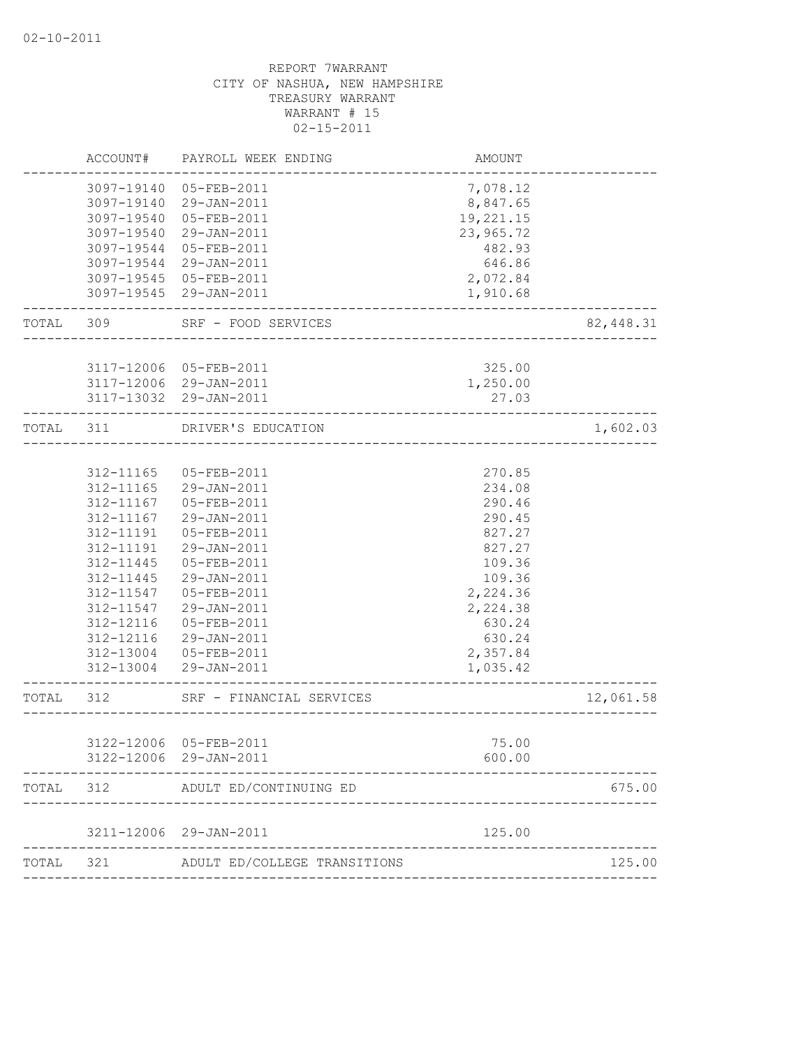|           | ACCOUNT#   | PAYROLL WEEK ENDING                      | AMOUNT                               |           |
|-----------|------------|------------------------------------------|--------------------------------------|-----------|
|           |            | 3097-19140 05-FEB-2011                   | 7,078.12                             |           |
|           |            | 3097-19140 29-JAN-2011                   | 8,847.65                             |           |
|           | 3097-19540 | 05-FEB-2011                              | 19,221.15                            |           |
|           | 3097-19540 | 29-JAN-2011                              | 23,965.72                            |           |
|           | 3097-19544 | 05-FEB-2011                              | 482.93                               |           |
|           |            | 3097-19544 29-JAN-2011                   | 646.86                               |           |
|           |            | 3097-19545 05-FEB-2011                   | 2,072.84                             |           |
|           |            | 3097-19545 29-JAN-2011                   | 1,910.68<br>______________           |           |
|           | TOTAL 309  | SRF - FOOD SERVICES<br>_________________ |                                      | 82,448.31 |
|           |            |                                          |                                      |           |
|           |            | 3117-12006 05-FEB-2011                   | 325.00                               |           |
|           |            | 3117-12006 29-JAN-2011                   | 1,250.00                             |           |
|           |            | 3117-13032 29-JAN-2011                   | 27.03                                |           |
| TOTAL 311 |            | DRIVER'S EDUCATION                       | ___________________________          | 1,602.03  |
|           |            |                                          |                                      |           |
|           | 312-11165  | 05-FEB-2011                              | 270.85                               |           |
|           | 312-11165  | 29-JAN-2011                              | 234.08                               |           |
|           | 312-11167  | 05-FEB-2011                              | 290.46                               |           |
|           | 312-11167  | 29-JAN-2011                              | 290.45                               |           |
|           | 312-11191  | 05-FEB-2011                              | 827.27                               |           |
|           | 312-11191  | 29-JAN-2011                              | 827.27                               |           |
|           | 312-11445  | 05-FEB-2011                              | 109.36                               |           |
|           | 312-11445  | 29-JAN-2011                              | 109.36                               |           |
|           | 312-11547  | 05-FEB-2011                              | 2,224.36                             |           |
|           | 312-11547  | 29-JAN-2011                              | 2,224.38                             |           |
|           | 312-12116  | 05-FEB-2011                              | 630.24                               |           |
|           | 312-12116  | 29-JAN-2011                              | 630.24                               |           |
|           | 312-13004  | 05-FEB-2011                              | 2,357.84                             |           |
|           |            | 312-13004 29-JAN-2011                    | 1,035.42                             |           |
| TOTAL 312 |            | SRF - FINANCIAL SERVICES                 | ____________________________________ | 12,061.58 |
|           |            |                                          |                                      |           |
|           |            | 3122-12006 05-FEB-2011                   | 75.00                                |           |
|           | 3122-12006 | 29-JAN-2011                              | 600.00                               |           |
| TOTAL     | 312        | ADULT ED/CONTINUING ED                   |                                      | 675.00    |
|           | 3211-12006 | 29-JAN-2011                              | 125.00                               |           |
| TOTAL     | 321        | ADULT ED/COLLEGE TRANSITIONS             |                                      | 125.00    |
|           |            |                                          |                                      |           |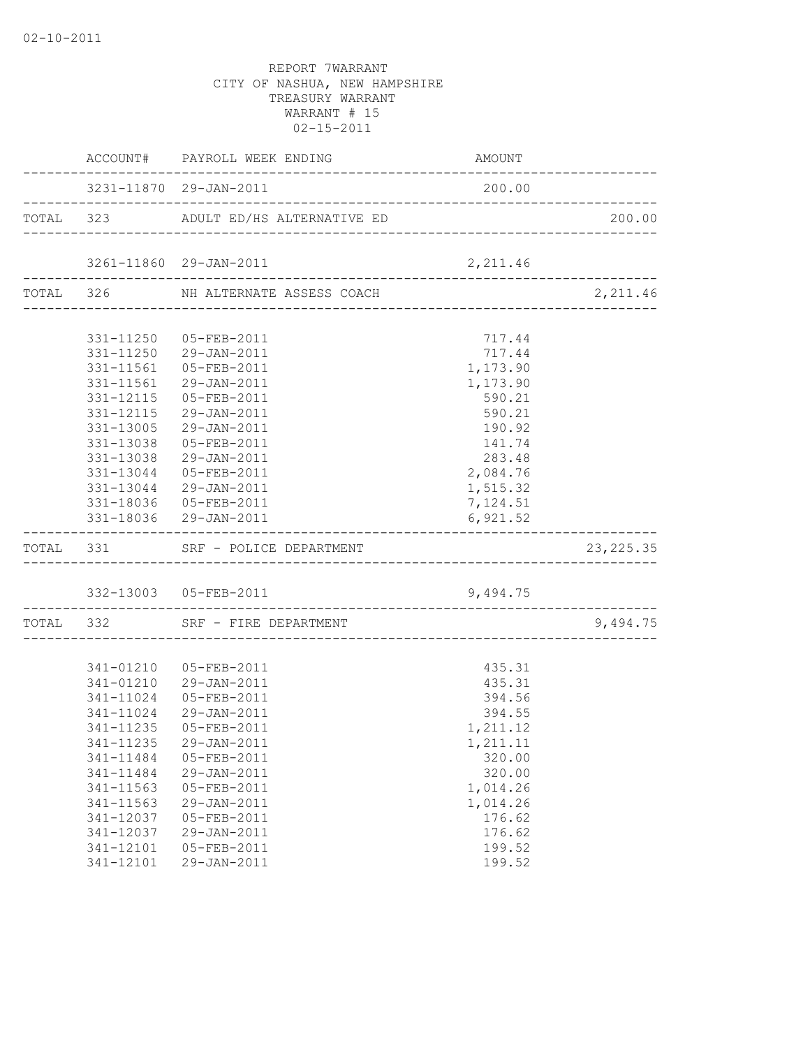| --------------------------- | ACCOUNT# PAYROLL WEEK ENDING<br>___________________________________ | AMOUNT   | ____________ |
|-----------------------------|---------------------------------------------------------------------|----------|--------------|
|                             | 3231-11870 29-JAN-2011                                              | 200.00   |              |
|                             | TOTAL 323 ADULT ED/HS ALTERNATIVE ED                                |          | 200.00       |
|                             | 3261-11860 29-JAN-2011                                              | 2,211.46 |              |
|                             | TOTAL 326 NH ALTERNATE ASSESS COACH                                 |          | 2,211.46     |
|                             |                                                                     |          |              |
|                             | 331-11250 05-FEB-2011                                               | 717.44   |              |
|                             | 331-11250 29-JAN-2011                                               | 717.44   |              |
|                             | 331-11561  05-FEB-2011                                              | 1,173.90 |              |
|                             | 331-11561 29-JAN-2011                                               | 1,173.90 |              |
|                             | 331-12115  05-FEB-2011                                              | 590.21   |              |
|                             | 331-12115 29-JAN-2011                                               | 590.21   |              |
|                             | 331-13005 29-JAN-2011                                               | 190.92   |              |
| 331-13038                   | 05-FEB-2011                                                         | 141.74   |              |
| 331-13038                   | 29-JAN-2011                                                         | 283.48   |              |
|                             | 331-13044 05-FEB-2011                                               | 2,084.76 |              |
|                             | 331-13044 29-JAN-2011                                               | 1,515.32 |              |
|                             | 331-18036 05-FEB-2011                                               | 7,124.51 |              |
|                             | 331-18036 29-JAN-2011                                               | 6,921.52 |              |
|                             | TOTAL 331 SRF - POLICE DEPARTMENT                                   |          | 23, 225.35   |
|                             |                                                                     | 9,494.75 |              |
|                             | TOTAL 332 SRF - FIRE DEPARTMENT                                     |          | 9,494.75     |
|                             |                                                                     |          |              |
|                             | 341-01210 05-FEB-2011                                               | 435.31   |              |
|                             | 341-01210 29-JAN-2011                                               | 435.31   |              |
|                             | 341-11024  05-FEB-2011                                              | 394.56   |              |
|                             | 341-11024 29-JAN-2011                                               | 394.55   |              |
| 341-11235                   | 05-FEB-2011                                                         | 1,211.12 |              |
| 341-11235                   | 29-JAN-2011                                                         | 1,211.11 |              |
| 341-11484                   | 05-FEB-2011                                                         | 320.00   |              |
| 341-11484                   | 29-JAN-2011                                                         | 320.00   |              |
| 341-11563                   | 05-FEB-2011                                                         | 1,014.26 |              |
| 341-11563                   | 29-JAN-2011                                                         | 1,014.26 |              |
| 341-12037                   | 05-FEB-2011                                                         | 176.62   |              |
| 341-12037                   | 29-JAN-2011                                                         | 176.62   |              |
| 341-12101                   | 05-FEB-2011                                                         | 199.52   |              |
| 341-12101                   | 29-JAN-2011                                                         | 199.52   |              |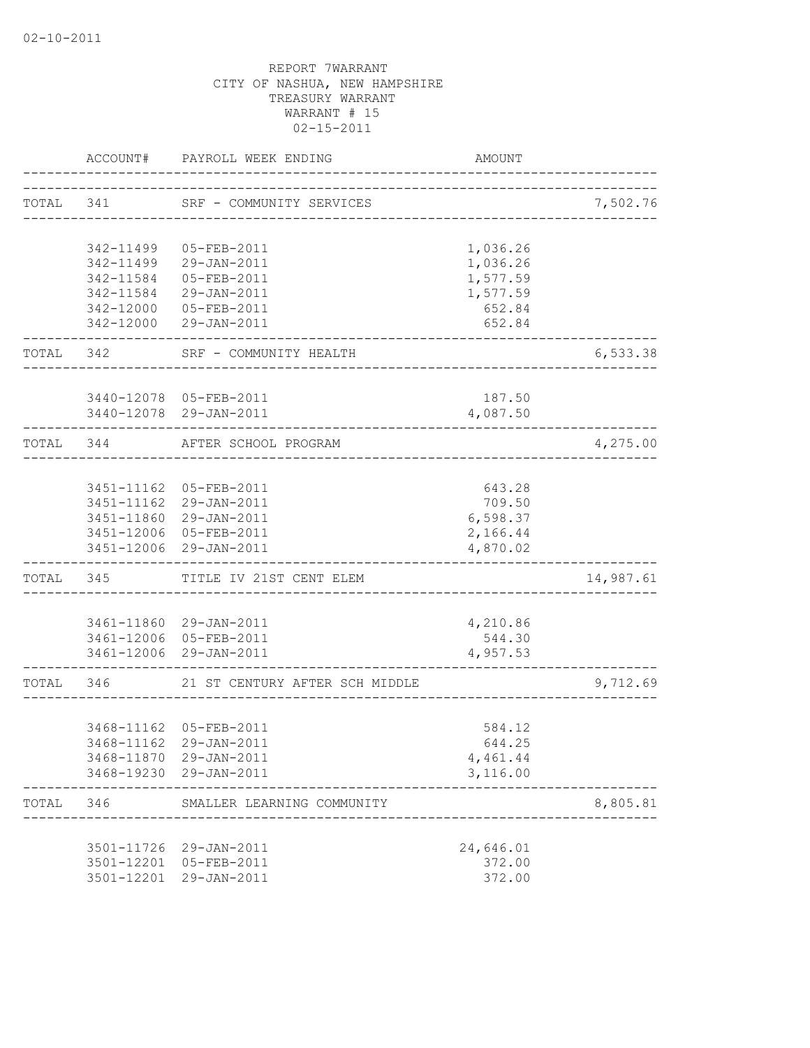|           |            | ACCOUNT# PAYROLL WEEK ENDING                     | AMOUNT                           |           |
|-----------|------------|--------------------------------------------------|----------------------------------|-----------|
| TOTAL 341 |            | SRF - COMMUNITY SERVICES                         | -------------------------------- | 7,502.76  |
|           |            |                                                  |                                  |           |
|           | 342-11499  | 05-FEB-2011                                      | 1,036.26                         |           |
|           |            | 342-11499 29-JAN-2011                            | 1,036.26                         |           |
|           | 342-11584  | 05-FEB-2011                                      | 1,577.59                         |           |
|           |            | 342-11584 29-JAN-2011                            | 1,577.59                         |           |
|           |            | 342-12000 05-FEB-2011                            | 652.84                           |           |
|           |            | 342-12000 29-JAN-2011                            | 652.84                           |           |
|           |            | TOTAL 342 SRF - COMMUNITY HEALTH                 |                                  | 6,533.38  |
|           |            |                                                  |                                  |           |
|           |            | 3440-12078 05-FEB-2011                           | 187.50                           |           |
|           |            | 3440-12078 29-JAN-2011                           | 4,087.50                         |           |
|           | TOTAL 344  | AFTER SCHOOL PROGRAM                             |                                  | 4,275.00  |
|           |            |                                                  |                                  |           |
|           |            | 3451-11162 05-FEB-2011                           | 643.28                           |           |
|           |            | 3451-11162 29-JAN-2011                           | 709.50                           |           |
|           |            | 3451-11860 29-JAN-2011                           | 6,598.37                         |           |
|           |            | 3451-12006 05-FEB-2011                           | 2,166.44                         |           |
|           |            | 3451-12006 29-JAN-2011                           | 4,870.02                         |           |
|           |            | TOTAL 345 TITLE IV 21ST CENT ELEM                |                                  | 14,987.61 |
|           |            |                                                  |                                  |           |
|           |            | 3461-11860 29-JAN-2011                           | 4,210.86                         |           |
|           |            | 3461-12006 05-FEB-2011<br>3461-12006 29-JAN-2011 | 544.30<br>4,957.53               |           |
| TOTAL 346 |            | 21 ST CENTURY AFTER SCH MIDDLE                   |                                  | 9,712.69  |
|           |            |                                                  |                                  |           |
|           |            | 3468-11162 05-FEB-2011                           | 584.12                           |           |
|           |            | 3468-11162 29-JAN-2011                           | 644.25                           |           |
|           | 3468-11870 | 29-JAN-2011                                      | 4,461.44                         |           |
|           |            | 3468-19230 29-JAN-2011                           | 3,116.00                         |           |
| TOTAL     | 346        | SMALLER LEARNING COMMUNITY                       |                                  | 8,805.81  |
|           |            |                                                  |                                  |           |
|           |            | 3501-11726 29-JAN-2011                           | 24,646.01                        |           |
|           | 3501-12201 | 05-FEB-2011                                      | 372.00                           |           |
|           | 3501-12201 | 29-JAN-2011                                      | 372.00                           |           |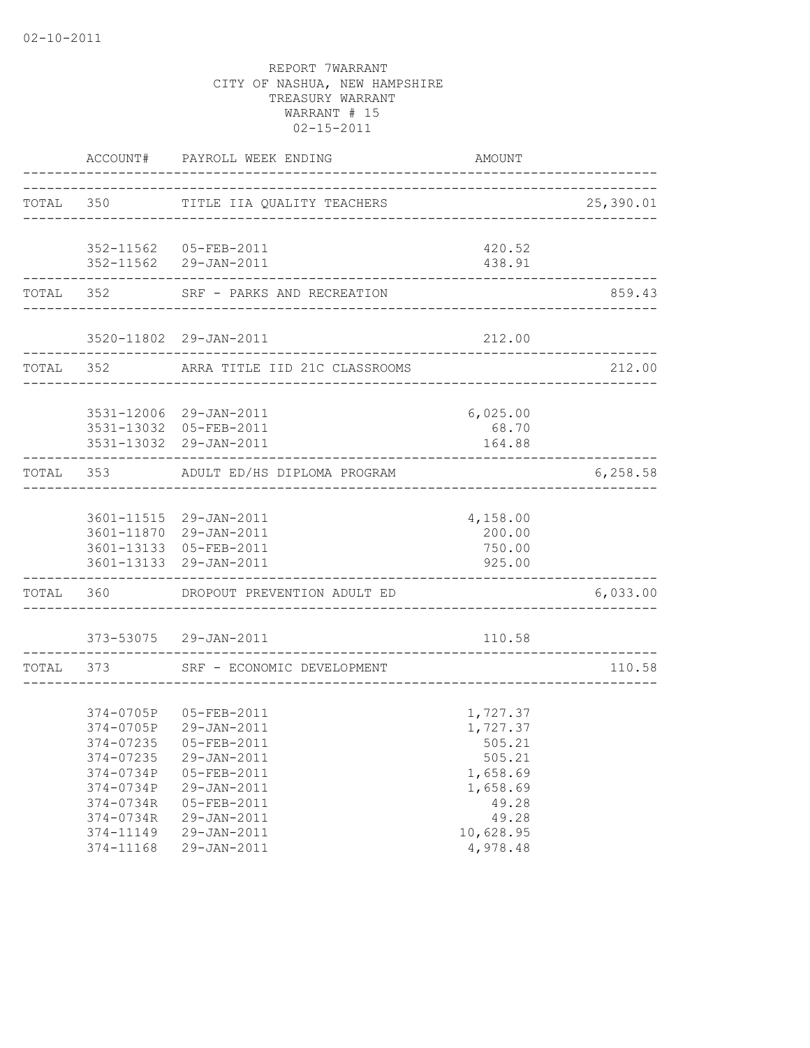|  |                      | ACCOUNT# PAYROLL WEEK ENDING                                                | AMOUNT                                    |           |
|--|----------------------|-----------------------------------------------------------------------------|-------------------------------------------|-----------|
|  |                      | TOTAL 350 TITLE IIA QUALITY TEACHERS                                        |                                           | 25,390.01 |
|  |                      |                                                                             |                                           |           |
|  |                      | 352-11562 05-FEB-2011                                                       | 420.52                                    |           |
|  |                      | 352-11562 29-JAN-2011                                                       | 438.91<br>_______________________________ |           |
|  |                      | TOTAL 352 SRF - PARKS AND RECREATION                                        |                                           | 859.43    |
|  |                      | 3520-11802 29-JAN-2011                                                      | 212.00                                    |           |
|  | -------------------- | TOTAL 352 ARRA TITLE IID 21C CLASSROOMS                                     |                                           | 212.00    |
|  |                      |                                                                             |                                           |           |
|  |                      | 3531-12006 29-JAN-2011                                                      | 6,025.00                                  |           |
|  |                      | 3531-13032 05-FEB-2011                                                      | 68.70                                     |           |
|  |                      | 3531-13032 29-JAN-2011                                                      | 164.88                                    |           |
|  |                      | TOTAL 353 ADULT ED/HS DIPLOMA PROGRAM<br>---------------------------------- |                                           | 6, 258.58 |
|  |                      |                                                                             |                                           |           |
|  |                      | 3601-11515 29-JAN-2011                                                      | 4,158.00                                  |           |
|  |                      | 3601-11870 29-JAN-2011                                                      | 200.00                                    |           |
|  |                      | 3601-13133 05-FEB-2011                                                      | 750.00                                    |           |
|  |                      | 3601-13133 29-JAN-2011                                                      | 925.00                                    |           |
|  |                      | TOTAL 360 DROPOUT PREVENTION ADULT ED                                       |                                           | 6,033.00  |
|  |                      | 373-53075 29-JAN-2011                                                       | 110.58                                    |           |
|  |                      | TOTAL 373 SRF - ECONOMIC DEVELOPMENT                                        |                                           | 110.58    |
|  |                      |                                                                             |                                           |           |
|  |                      | 374-0705P 05-FEB-2011                                                       | 1,727.37                                  |           |
|  |                      | 374-0705P 29-JAN-2011                                                       | 1,727.37                                  |           |
|  |                      | 374-07235  05-FEB-2011                                                      | 505.21                                    |           |
|  | 374-07235            | 29-JAN-2011                                                                 | 505.21                                    |           |
|  | 374-0734P            | 05-FEB-2011                                                                 | 1,658.69                                  |           |
|  | 374-0734P            | 29-JAN-2011                                                                 | 1,658.69                                  |           |
|  | 374-0734R            | 05-FEB-2011                                                                 | 49.28                                     |           |
|  | 374-0734R            | 29-JAN-2011                                                                 | 49.28                                     |           |
|  | 374-11149            | 29-JAN-2011                                                                 | 10,628.95                                 |           |
|  | 374-11168            | 29-JAN-2011                                                                 | 4,978.48                                  |           |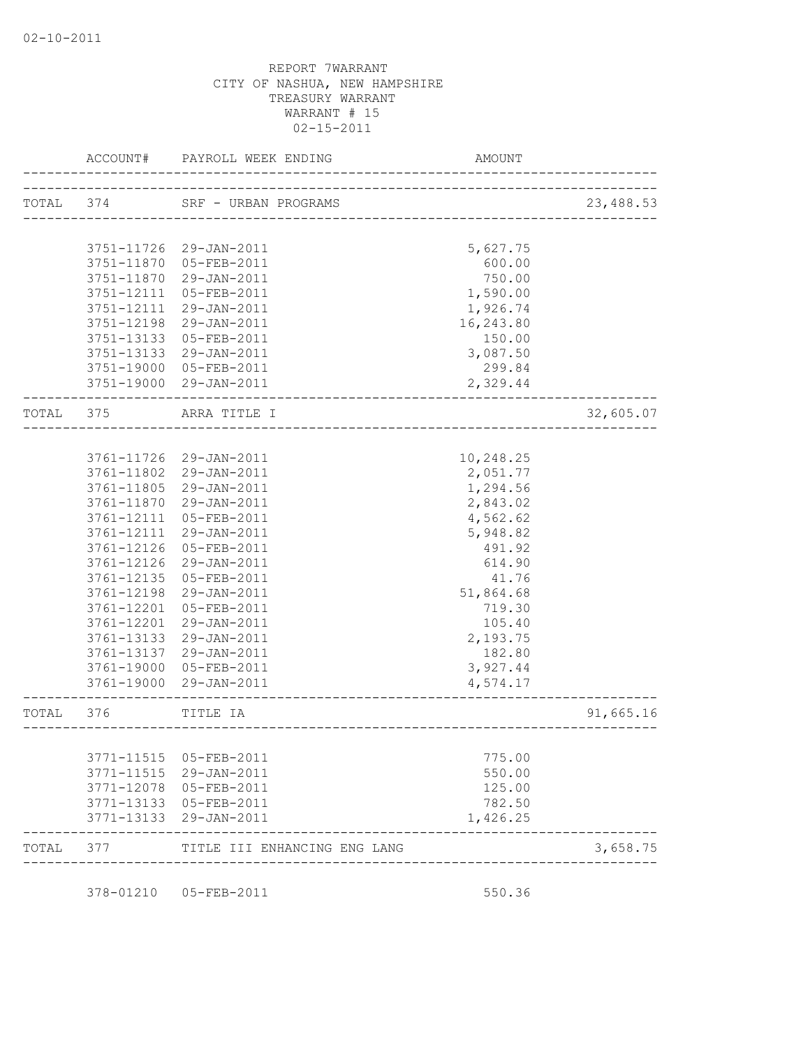|           | ACCOUNT#   | PAYROLL WEEK ENDING                          | <b>AMOUNT</b>          |           |
|-----------|------------|----------------------------------------------|------------------------|-----------|
| TOTAL     | 374        | SRF - URBAN PROGRAMS                         | ---------------------- | 23,488.53 |
|           |            |                                              |                        |           |
|           | 3751-11726 | 29-JAN-2011                                  | 5,627.75               |           |
|           | 3751-11870 | 05-FEB-2011                                  | 600.00                 |           |
|           | 3751-11870 | 29-JAN-2011                                  | 750.00                 |           |
|           | 3751-12111 | 05-FEB-2011                                  | 1,590.00               |           |
|           | 3751-12111 | 29-JAN-2011                                  | 1,926.74               |           |
|           | 3751-12198 | 29-JAN-2011                                  | 16,243.80              |           |
|           | 3751-13133 | 05-FEB-2011                                  | 150.00                 |           |
|           | 3751-13133 | 29-JAN-2011                                  | 3,087.50               |           |
|           | 3751-19000 | 05-FEB-2011                                  | 299.84                 |           |
|           |            | 3751-19000 29-JAN-2011                       | 2,329.44               |           |
| TOTAL 375 |            | ARRA TITLE I                                 |                        | 32,605.07 |
|           |            |                                              |                        |           |
|           | 3761-11726 | 29-JAN-2011                                  | 10,248.25              |           |
|           | 3761-11802 | 29-JAN-2011                                  | 2,051.77               |           |
|           | 3761-11805 | 29-JAN-2011                                  | 1,294.56               |           |
|           | 3761-11870 | 29-JAN-2011                                  | 2,843.02               |           |
|           | 3761-12111 | 05-FEB-2011                                  | 4,562.62               |           |
|           | 3761-12111 | 29-JAN-2011                                  | 5,948.82               |           |
|           | 3761-12126 | 05-FEB-2011                                  | 491.92                 |           |
|           | 3761-12126 | 29-JAN-2011                                  | 614.90                 |           |
|           | 3761-12135 | 05-FEB-2011                                  | 41.76                  |           |
|           | 3761-12198 | 29-JAN-2011                                  | 51,864.68              |           |
|           | 3761-12201 | 05-FEB-2011                                  | 719.30                 |           |
|           | 3761-12201 | 29-JAN-2011                                  | 105.40                 |           |
|           | 3761-13133 | 29-JAN-2011                                  | 2,193.75               |           |
|           | 3761-13137 | 29-JAN-2011                                  | 182.80                 |           |
|           | 3761-19000 | 05-FEB-2011                                  | 3,927.44               |           |
|           | 3761-19000 | 29-JAN-2011                                  | 4,574.17               |           |
| TOTAL     | 376        | TITLE IA<br>________________________________ |                        | 91,665.16 |
|           |            |                                              |                        |           |
|           | 3771-11515 | 05-FEB-2011                                  | 775.00                 |           |
|           | 3771-11515 | 29-JAN-2011                                  | 550.00                 |           |
|           | 3771-12078 | 05-FEB-2011                                  | 125.00                 |           |
|           | 3771-13133 | 05-FEB-2011                                  | 782.50                 |           |
|           | 3771-13133 | 29-JAN-2011                                  | 1,426.25               |           |
| TOTAL     | 377        | TITLE III ENHANCING ENG LANG                 |                        | 3,658.75  |

378-01210 05-FEB-2011 550.36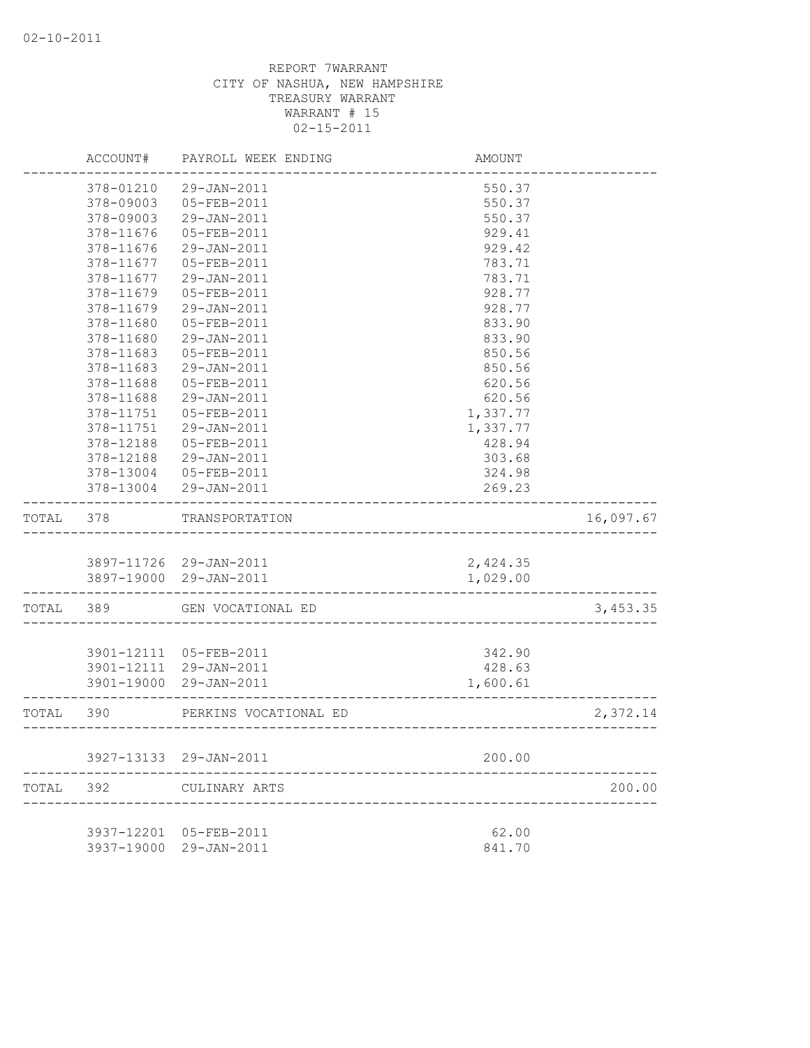|       | ACCOUNT#   | PAYROLL WEEK ENDING    | AMOUNT                            |           |
|-------|------------|------------------------|-----------------------------------|-----------|
|       | 378-01210  | 29-JAN-2011            | 550.37                            |           |
|       | 378-09003  | 05-FEB-2011            | 550.37                            |           |
|       | 378-09003  | 29-JAN-2011            | 550.37                            |           |
|       | 378-11676  | 05-FEB-2011            | 929.41                            |           |
|       | 378-11676  | 29-JAN-2011            | 929.42                            |           |
|       | 378-11677  | 05-FEB-2011            | 783.71                            |           |
|       | 378-11677  | 29-JAN-2011            | 783.71                            |           |
|       | 378-11679  | 05-FEB-2011            | 928.77                            |           |
|       | 378-11679  | 29-JAN-2011            | 928.77                            |           |
|       | 378-11680  | $05 - FEB - 2011$      | 833.90                            |           |
|       | 378-11680  | 29-JAN-2011            | 833.90                            |           |
|       | 378-11683  | 05-FEB-2011            | 850.56                            |           |
|       | 378-11683  | 29-JAN-2011            | 850.56                            |           |
|       | 378-11688  | 05-FEB-2011            | 620.56                            |           |
|       | 378-11688  | 29-JAN-2011            | 620.56                            |           |
|       | 378-11751  | 05-FEB-2011            | 1,337.77                          |           |
|       | 378-11751  | 29-JAN-2011            | 1,337.77                          |           |
|       | 378-12188  | 05-FEB-2011            | 428.94                            |           |
|       | 378-12188  | 29-JAN-2011            | 303.68                            |           |
|       | 378-13004  | 05-FEB-2011            | 324.98                            |           |
|       |            | 378-13004 29-JAN-2011  | 269.23                            |           |
|       |            |                        |                                   |           |
| TOTAL | 378        | TRANSPORTATION         |                                   | 16,097.67 |
|       |            |                        |                                   |           |
|       |            | 3897-11726 29-JAN-2011 | 2,424.35                          |           |
|       |            | 3897-19000 29-JAN-2011 | 1,029.00<br>_____________         |           |
|       | TOTAL 389  | GEN VOCATIONAL ED      |                                   | 3,453.35  |
|       |            |                        |                                   |           |
|       | 3901-12111 | 05-FEB-2011            | 342.90                            |           |
|       | 3901-12111 | 29-JAN-2011            | 428.63                            |           |
|       | 3901-19000 | 29-JAN-2011            | 1,600.61                          |           |
| TOTAL | 390        | PERKINS VOCATIONAL ED  | _________________________________ | 2,372.14  |
|       |            |                        |                                   |           |
|       |            | 3927-13133 29-JAN-2011 | 200.00                            |           |
| TOTAL | 392        | CULINARY ARTS          |                                   | 200.00    |
|       |            |                        |                                   |           |
|       | 3937-12201 | 05-FEB-2011            | 62.00                             |           |
|       | 3937-19000 | 29-JAN-2011            | 841.70                            |           |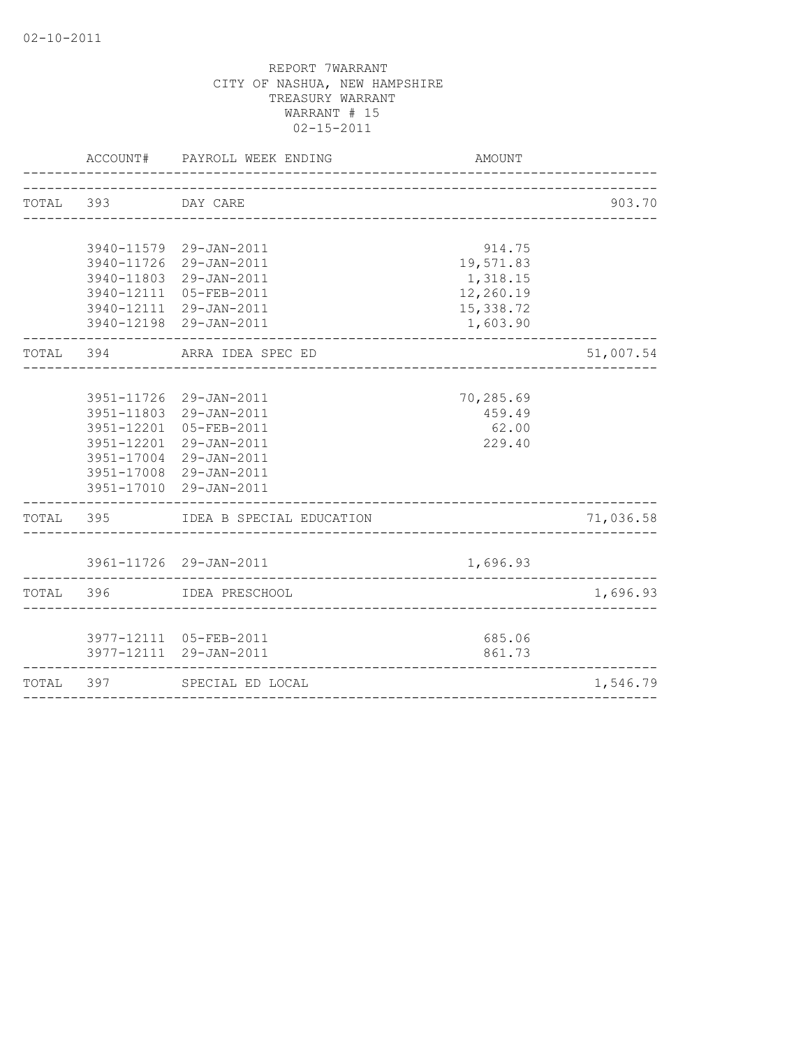|                    | ACCOUNT# PAYROLL WEEK ENDING       | AMOUNT    |           |
|--------------------|------------------------------------|-----------|-----------|
|                    |                                    |           |           |
| TOTAL 393 DAY CARE |                                    |           | 903.70    |
|                    | 3940-11579 29-JAN-2011             | 914.75    |           |
|                    | 3940-11726 29-JAN-2011             | 19,571.83 |           |
|                    | 3940-11803 29-JAN-2011             | 1,318.15  |           |
|                    | 3940-12111 05-FEB-2011             | 12,260.19 |           |
|                    | 3940-12111 29-JAN-2011             | 15,338.72 |           |
|                    | 3940-12198 29-JAN-2011             | 1,603.90  |           |
|                    | TOTAL 394 ARRA IDEA SPEC ED        |           | 51,007.54 |
|                    |                                    |           |           |
|                    | 3951-11726 29-JAN-2011             | 70,285.69 |           |
|                    | 3951-11803 29-JAN-2011             | 459.49    |           |
|                    | 3951-12201 05-FEB-2011             | 62.00     |           |
|                    | 3951-12201 29-JAN-2011             | 229.40    |           |
|                    | 3951-17004 29-JAN-2011             |           |           |
|                    | 3951-17008 29-JAN-2011             |           |           |
|                    | 3951-17010 29-JAN-2011             |           |           |
|                    | TOTAL 395 IDEA B SPECIAL EDUCATION |           | 71,036.58 |
|                    | 3961-11726 29-JAN-2011             | 1,696.93  |           |
|                    |                                    |           |           |
|                    | TOTAL 396 IDEA PRESCHOOL           |           | 1,696.93  |
|                    | 3977-12111 05-FEB-2011             | 685.06    |           |
|                    | 3977-12111 29-JAN-2011             | 861.73    |           |
|                    | TOTAL 397 SPECIAL ED LOCAL         |           | 1,546.79  |
|                    |                                    |           |           |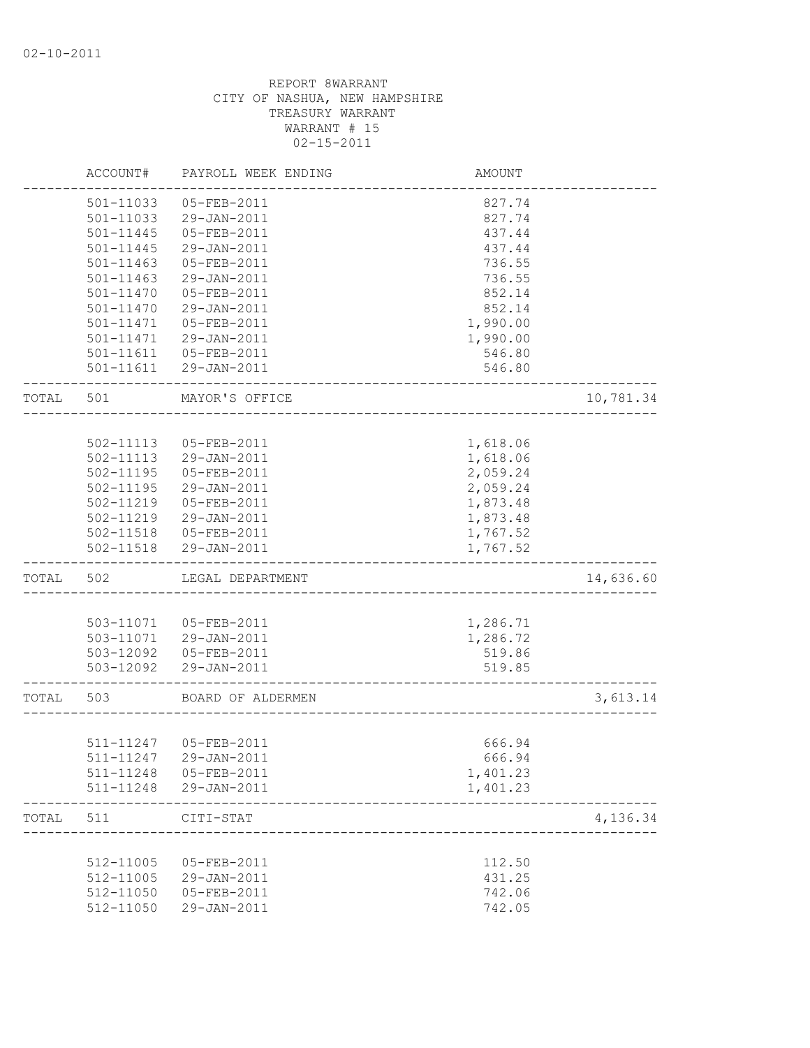|       | ACCOUNT#      | PAYROLL WEEK ENDING    | AMOUNT   |           |
|-------|---------------|------------------------|----------|-----------|
|       | 501-11033     | 05-FEB-2011            | 827.74   |           |
|       | 501-11033     | 29-JAN-2011            | 827.74   |           |
|       | 501-11445     | 05-FEB-2011            | 437.44   |           |
|       | 501-11445     | 29-JAN-2011            | 437.44   |           |
|       | 501-11463     | 05-FEB-2011            | 736.55   |           |
|       | 501-11463     | 29-JAN-2011            | 736.55   |           |
|       | 501-11470     | 05-FEB-2011            | 852.14   |           |
|       | 501-11470     | 29-JAN-2011            | 852.14   |           |
|       | 501-11471     | 05-FEB-2011            | 1,990.00 |           |
|       | 501-11471     | 29-JAN-2011            | 1,990.00 |           |
|       |               | 501-11611  05-FEB-2011 | 546.80   |           |
|       |               | 501-11611 29-JAN-2011  | 546.80   |           |
| TOTAL | 501           | MAYOR'S OFFICE         |          | 10,781.34 |
|       |               |                        |          |           |
|       | 502-11113     | 05-FEB-2011            | 1,618.06 |           |
|       | 502-11113     | 29-JAN-2011            | 1,618.06 |           |
|       | 502-11195     | 05-FEB-2011            | 2,059.24 |           |
|       | 502-11195     | 29-JAN-2011            | 2,059.24 |           |
|       | 502-11219     | 05-FEB-2011            | 1,873.48 |           |
|       | 502-11219     | 29-JAN-2011            | 1,873.48 |           |
|       | 502-11518     | 05-FEB-2011            | 1,767.52 |           |
|       | $502 - 11518$ | 29-JAN-2011            | 1,767.52 |           |
| TOTAL | 502           | LEGAL DEPARTMENT       |          | 14,636.60 |
|       |               |                        |          |           |
|       | 503-11071     | 05-FEB-2011            | 1,286.71 |           |
|       | 503-11071     | 29-JAN-2011            | 1,286.72 |           |
|       | 503-12092     | 05-FEB-2011            | 519.86   |           |
|       | 503-12092     | 29-JAN-2011            | 519.85   |           |
| TOTAL | 503           | BOARD OF ALDERMEN      |          | 3,613.14  |
|       |               |                        |          |           |
|       |               | 511-11247 05-FEB-2011  | 666.94   |           |
|       |               | 511-11247 29-JAN-2011  | 666.94   |           |
|       | 511-11248     | 05-FEB-2011            | 1,401.23 |           |
|       | 511-11248     | 29-JAN-2011            | 1,401.23 |           |
| TOTAL | 511           | CITI-STAT              |          | 4,136.34  |
|       |               |                        |          |           |
|       | 512-11005     | 05-FEB-2011            | 112.50   |           |
|       | 512-11005     | 29-JAN-2011            | 431.25   |           |
|       | 512-11050     | 05-FEB-2011            | 742.06   |           |
|       | 512-11050     | 29-JAN-2011            | 742.05   |           |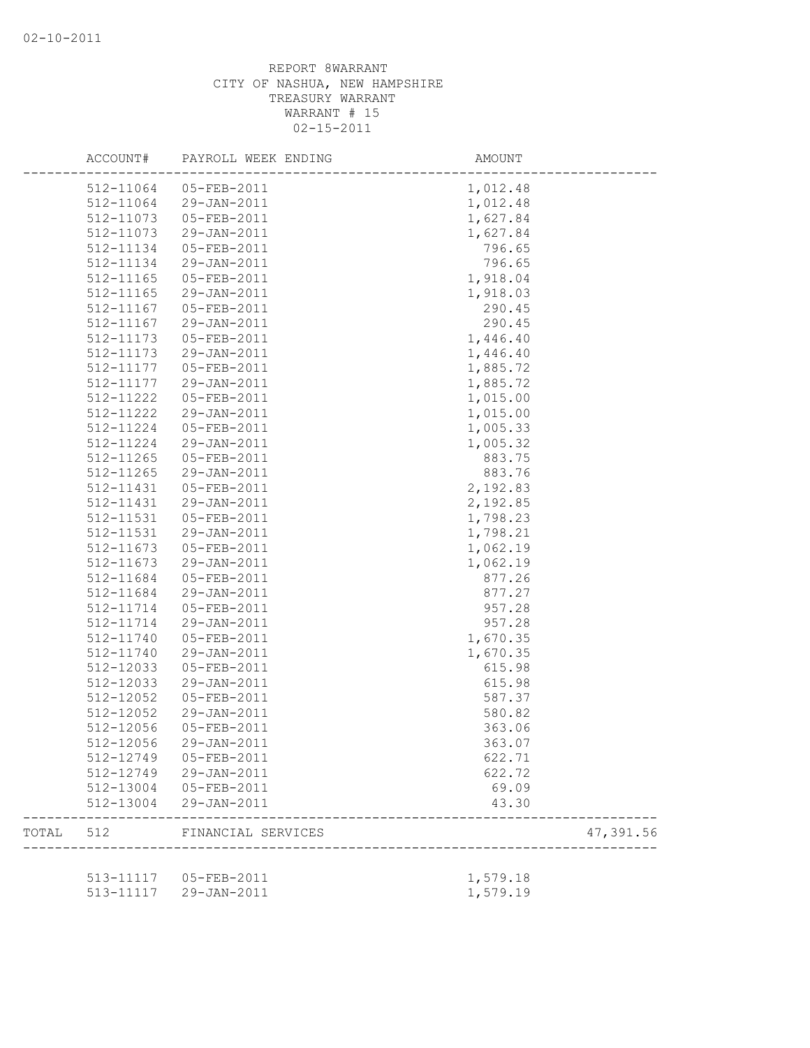|       | ACCOUNT#               | PAYROLL WEEK ENDING    | AMOUNT   |           |
|-------|------------------------|------------------------|----------|-----------|
|       |                        | 512-11064 05-FEB-2011  | 1,012.48 |           |
|       | 512-11064              | 29-JAN-2011            | 1,012.48 |           |
|       | 512-11073              | 05-FEB-2011            | 1,627.84 |           |
|       | 512-11073              | 29-JAN-2011            | 1,627.84 |           |
|       | 512-11134              | 05-FEB-2011            | 796.65   |           |
|       | 512-11134              | 29-JAN-2011            | 796.65   |           |
|       | 512-11165              | 05-FEB-2011            | 1,918.04 |           |
|       | 512-11165              | 29-JAN-2011            | 1,918.03 |           |
|       | 512-11167              | 05-FEB-2011            | 290.45   |           |
|       | 512-11167              | 29-JAN-2011            | 290.45   |           |
|       | 512-11173              | 05-FEB-2011            | 1,446.40 |           |
|       | 512-11173              | 29-JAN-2011            | 1,446.40 |           |
|       | 512-11177              | 05-FEB-2011            | 1,885.72 |           |
|       | 512-11177              | 29-JAN-2011            | 1,885.72 |           |
|       | 512-11222              | 05-FEB-2011            | 1,015.00 |           |
|       | 512-11222              | 29-JAN-2011            | 1,015.00 |           |
|       | 512-11224              | 05-FEB-2011            | 1,005.33 |           |
|       | 512-11224              | 29-JAN-2011            | 1,005.32 |           |
|       | 512-11265              | 05-FEB-2011            | 883.75   |           |
|       | 512-11265              | 29-JAN-2011            | 883.76   |           |
|       | 512-11431              | 05-FEB-2011            | 2,192.83 |           |
|       | 512-11431              | 29-JAN-2011            | 2,192.85 |           |
|       | 512-11531              | 05-FEB-2011            | 1,798.23 |           |
|       | 512-11531              | 29-JAN-2011            | 1,798.21 |           |
|       | 512-11673              | 05-FEB-2011            | 1,062.19 |           |
|       | 512-11673              | 29-JAN-2011            | 1,062.19 |           |
|       | 512-11684              | 05-FEB-2011            | 877.26   |           |
|       | 512-11684              | 29-JAN-2011            | 877.27   |           |
|       | 512-11714              | 05-FEB-2011            | 957.28   |           |
|       | 512-11714              | 29-JAN-2011            | 957.28   |           |
|       |                        | 05-FEB-2011            |          |           |
|       | 512-11740              |                        | 1,670.35 |           |
|       | 512-11740<br>512-12033 | 29-JAN-2011            | 1,670.35 |           |
|       |                        | 05-FEB-2011            | 615.98   |           |
|       | 512-12033              | 29-JAN-2011            | 615.98   |           |
|       | 512-12052              | 05-FEB-2011            | 587.37   |           |
|       | 512-12052              | 29-JAN-2011            | 580.82   |           |
|       | 512-12056              | 05-FEB-2011            | 363.06   |           |
|       | 512-12056              | $29 - JAN - 2011$      | 363.07   |           |
|       |                        | 512-12749 05-FEB-2011  | 622.71   |           |
|       |                        | 512-12749 29-JAN-2011  | 622.72   |           |
|       | 512-13004              | 05-FEB-2011            | 69.09    |           |
|       | 512-13004              | 29-JAN-2011            | 43.30    |           |
| TOTAL |                        | 512 FINANCIAL SERVICES |          | 47,391.56 |
|       |                        |                        |          |           |
|       |                        | 513-11117  05-FEB-2011 | 1,579.18 |           |
|       |                        | 513-11117 29-JAN-2011  | 1,579.19 |           |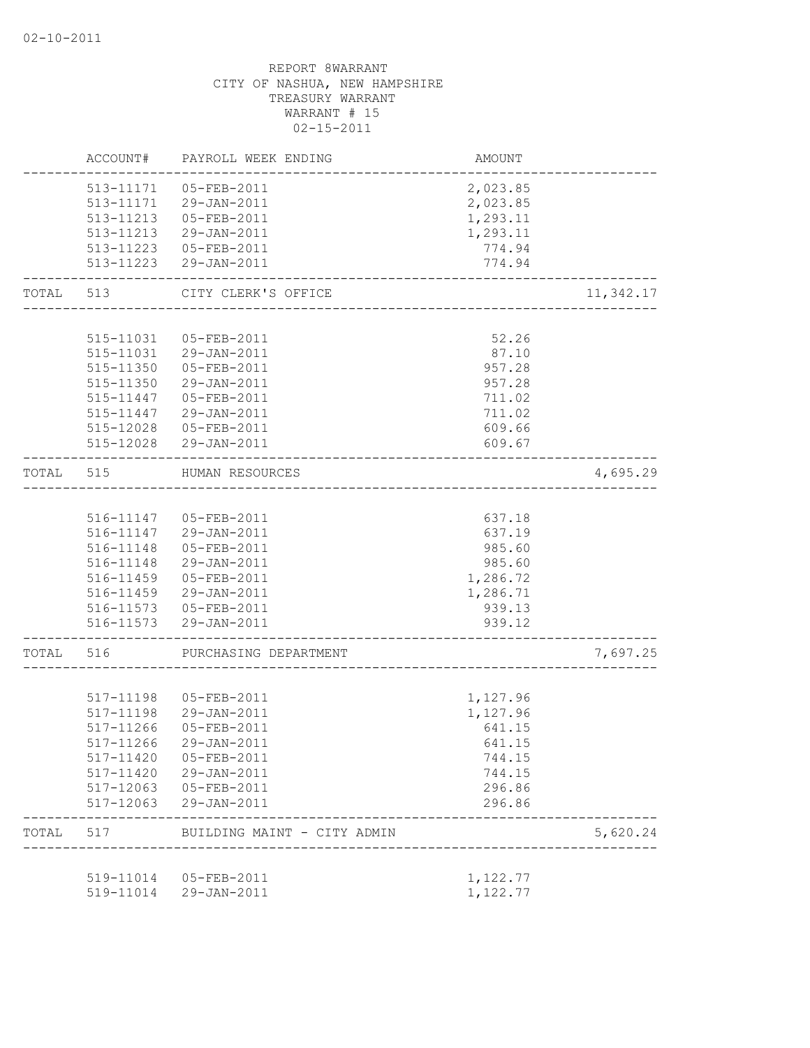|           | ACCOUNT#               | PAYROLL WEEK ENDING                             | AMOUNT           |           |
|-----------|------------------------|-------------------------------------------------|------------------|-----------|
|           |                        | 513-11171  05-FEB-2011                          | 2,023.85         |           |
|           |                        | 513-11171 29-JAN-2011                           | 2,023.85         |           |
|           |                        | 513-11213  05-FEB-2011                          | 1,293.11         |           |
|           |                        | 513-11213 29-JAN-2011                           | 1,293.11         |           |
|           |                        | 513-11223  05-FEB-2011                          | 774.94           |           |
|           |                        | 513-11223 29-JAN-2011                           | 774.94           |           |
| TOTAL     | 513                    | CITY CLERK'S OFFICE<br>________________________ |                  | 11,342.17 |
|           |                        |                                                 |                  |           |
|           |                        | 515-11031  05-FEB-2011                          | 52.26            |           |
|           |                        | 515-11031 29-JAN-2011                           | 87.10            |           |
|           | 515-11350              | 05-FEB-2011                                     | 957.28           |           |
|           | 515-11350              | 29-JAN-2011                                     | 957.28           |           |
|           | 515-11447              | 05-FEB-2011                                     | 711.02           |           |
|           | 515-11447              | 29-JAN-2011                                     | 711.02           |           |
|           | 515-12028              | 05-FEB-2011                                     | 609.66           |           |
|           |                        | 515-12028 29-JAN-2011                           | 609.67           |           |
| TOTAL     | 515                    | HUMAN RESOURCES                                 |                  | 4,695.29  |
|           |                        |                                                 |                  |           |
|           |                        | 516-11147 05-FEB-2011                           | 637.18           |           |
|           |                        | 516-11147 29-JAN-2011                           | 637.19           |           |
|           | 516-11148              | 05-FEB-2011                                     | 985.60           |           |
|           |                        | 516-11148 29-JAN-2011                           | 985.60           |           |
|           | 516-11459              | 05-FEB-2011                                     | 1,286.72         |           |
|           |                        | 516-11459 29-JAN-2011                           | 1,286.71         |           |
|           |                        | 516-11573  05-FEB-2011<br>516-11573 29-JAN-2011 | 939.13<br>939.12 |           |
|           |                        |                                                 |                  |           |
| TOTAL 516 |                        | PURCHASING DEPARTMENT                           |                  | 7,697.25  |
|           |                        |                                                 |                  |           |
|           |                        | 517-11198  05-FEB-2011                          | 1,127.96         |           |
|           |                        | 517-11198 29-JAN-2011                           | 1,127.96         |           |
|           | 517-11266              | 05-FEB-2011                                     | 641.15           |           |
|           |                        | 517-11266 29-JAN-2011                           | 641.15           |           |
|           | 517-11420              | 05-FEB-2011                                     | 744.15           |           |
|           | 517-11420              | 29-JAN-2011                                     | 744.15           |           |
|           | 517-12063<br>517-12063 | $05 - FEB - 2011$<br>29-JAN-2011                | 296.86<br>296.86 |           |
| TOTAL     | 517                    | BUILDING MAINT - CITY ADMIN                     |                  | 5,620.24  |
|           |                        |                                                 |                  |           |
|           | 519-11014              | 05-FEB-2011                                     | 1,122.77         |           |
|           | 519-11014              | 29-JAN-2011                                     | 1,122.77         |           |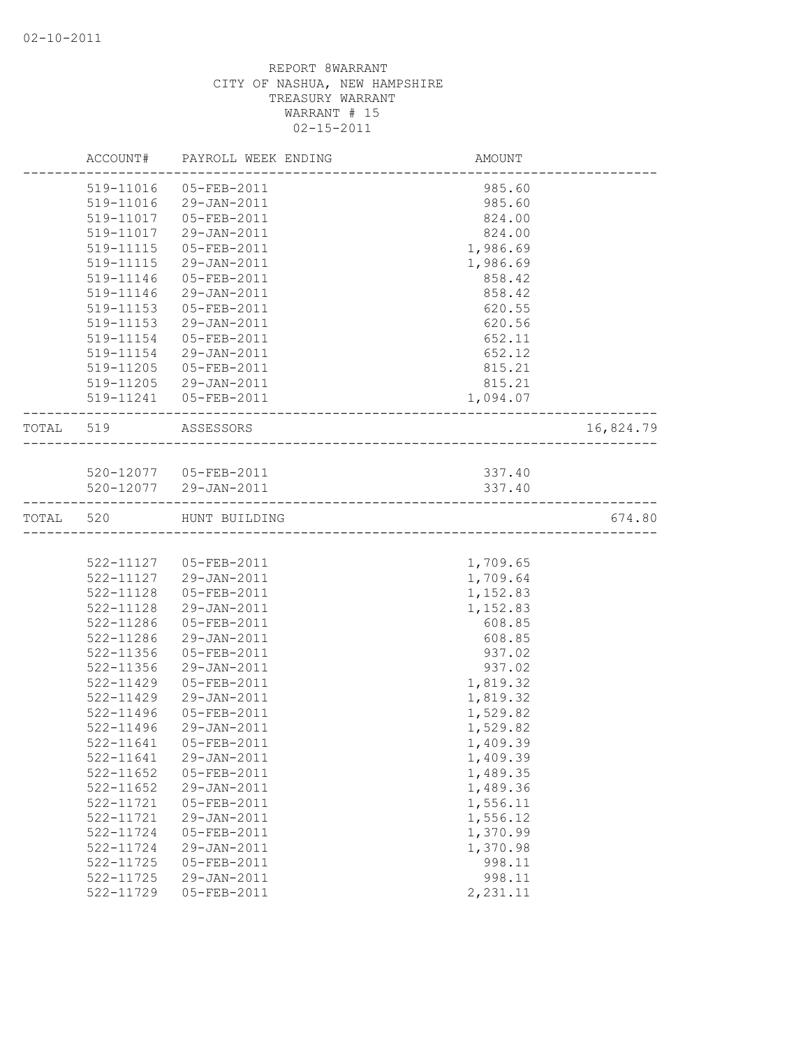|           |               | ACCOUNT# PAYROLL WEEK ENDING | AMOUNT   |           |
|-----------|---------------|------------------------------|----------|-----------|
|           |               | 519-11016 05-FEB-2011        | 985.60   |           |
|           | 519-11016     | 29-JAN-2011                  | 985.60   |           |
|           | 519-11017     | 05-FEB-2011                  | 824.00   |           |
|           | 519-11017     | 29-JAN-2011                  | 824.00   |           |
|           | 519-11115     | 05-FEB-2011                  | 1,986.69 |           |
|           | 519-11115     | 29-JAN-2011                  | 1,986.69 |           |
|           | 519-11146     | 05-FEB-2011                  | 858.42   |           |
|           | 519-11146     | 29-JAN-2011                  | 858.42   |           |
|           | 519-11153     | 05-FEB-2011                  | 620.55   |           |
|           | 519-11153     | 29-JAN-2011                  | 620.56   |           |
|           | 519-11154     | 05-FEB-2011                  | 652.11   |           |
|           | 519-11154     | 29-JAN-2011                  | 652.12   |           |
|           | 519-11205     | 05-FEB-2011                  | 815.21   |           |
|           | 519-11205     | 29-JAN-2011                  | 815.21   |           |
|           |               | 519-11241  05-FEB-2011       | 1,094.07 |           |
| TOTAL 519 |               | ASSESSORS                    |          | 16,824.79 |
|           |               |                              |          |           |
|           |               | 520-12077  05-FEB-2011       | 337.40   |           |
|           |               | 520-12077 29-JAN-2011        | 337.40   |           |
| TOTAL 520 |               | HUNT BUILDING                |          | 674.80    |
|           |               |                              |          |           |
|           |               | 522-11127  05-FEB-2011       | 1,709.65 |           |
|           |               | 522-11127 29-JAN-2011        | 1,709.64 |           |
|           | 522-11128     | 05-FEB-2011                  | 1,152.83 |           |
|           | 522-11128     | 29-JAN-2011                  | 1,152.83 |           |
|           | 522-11286     | 05-FEB-2011                  | 608.85   |           |
|           | 522-11286     | 29-JAN-2011                  | 608.85   |           |
|           | 522-11356     | 05-FEB-2011                  | 937.02   |           |
|           | 522-11356     | 29-JAN-2011                  | 937.02   |           |
|           | 522-11429     | 05-FEB-2011                  | 1,819.32 |           |
|           | 522-11429     | 29-JAN-2011                  | 1,819.32 |           |
|           | 522-11496     | 05-FEB-2011                  | 1,529.82 |           |
|           | 522-11496     | 29-JAN-2011                  | 1,529.82 |           |
|           | 522-11641     | 05-FEB-2011                  | 1,409.39 |           |
|           | 522-11641     | 29-JAN-2011                  | 1,409.39 |           |
|           | $522 - 11652$ | 05-FEB-2011                  | 1,489.35 |           |
|           | 522-11652     | 29-JAN-2011                  | 1,489.36 |           |
|           | 522-11721     | 05-FEB-2011                  | 1,556.11 |           |
|           | 522-11721     | 29-JAN-2011                  | 1,556.12 |           |
|           | 522-11724     | 05-FEB-2011                  | 1,370.99 |           |
|           | 522-11724     | 29-JAN-2011                  | 1,370.98 |           |
|           | 522-11725     | 05-FEB-2011                  | 998.11   |           |
|           | 522-11725     | 29-JAN-2011                  | 998.11   |           |
|           | 522-11729     | 05-FEB-2011                  | 2,231.11 |           |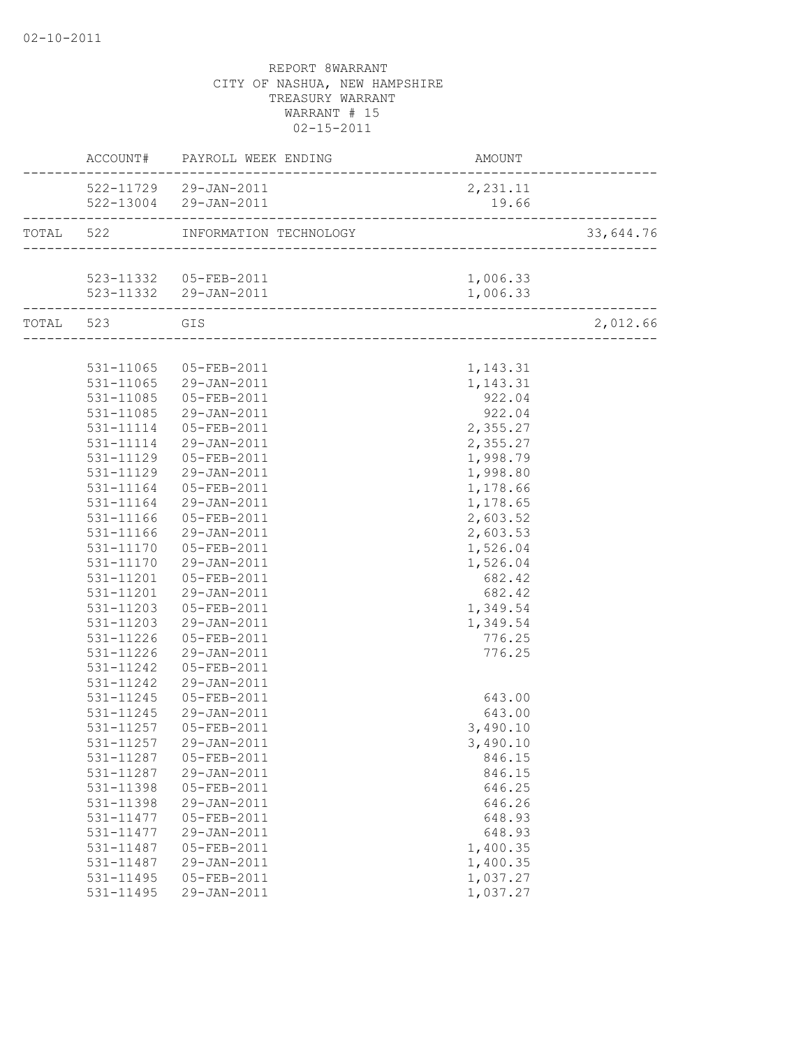|               | ACCOUNT# PAYROLL WEEK ENDING    | AMOUNT   |           |
|---------------|---------------------------------|----------|-----------|
|               | 522-11729 29-JAN-2011           | 2,231.11 |           |
|               | 522-13004 29-JAN-2011           | 19.66    |           |
|               |                                 |          | 33,644.76 |
|               |                                 |          |           |
|               | 523-11332  05-FEB-2011          | 1,006.33 |           |
|               | $523 - 11332$ $29 - JAN - 2011$ | 1,006.33 |           |
| TOTAL 523 GIS |                                 |          | 2,012.66  |
|               |                                 |          |           |
|               | 531-11065 05-FEB-2011           | 1,143.31 |           |
|               | 531-11065 29-JAN-2011           | 1,143.31 |           |
| 531-11085     | 05-FEB-2011                     | 922.04   |           |
| 531-11085     | 29-JAN-2011                     | 922.04   |           |
| 531-11114     | 05-FEB-2011                     | 2,355.27 |           |
| 531-11114     | 29-JAN-2011                     | 2,355.27 |           |
|               | 531-11129 05-FEB-2011           | 1,998.79 |           |
|               | 531-11129 29-JAN-2011           | 1,998.80 |           |
| 531-11164     | 05-FEB-2011                     | 1,178.66 |           |
|               | 531-11164 29-JAN-2011           | 1,178.65 |           |
| 531-11166     | 05-FEB-2011                     | 2,603.52 |           |
| 531-11166     | 29-JAN-2011                     | 2,603.53 |           |
|               | 531-11170  05-FEB-2011          | 1,526.04 |           |
|               | 531-11170 29-JAN-2011           | 1,526.04 |           |
|               | 531-11201  05-FEB-2011          | 682.42   |           |
|               | 531-11201 29-JAN-2011           | 682.42   |           |
|               | 531-11203  05-FEB-2011          | 1,349.54 |           |
| 531-11203     | 29-JAN-2011                     | 1,349.54 |           |
| 531-11226     | 05-FEB-2011                     | 776.25   |           |
| 531-11226     | 29-JAN-2011                     | 776.25   |           |
| 531-11242     | 05-FEB-2011                     |          |           |
| 531-11242     | 29-JAN-2011                     |          |           |
| 531-11245     | 05-FEB-2011                     | 643.00   |           |
| 531-11245     | 29-JAN-2011                     | 643.00   |           |
|               | 531-11257 05-FEB-2011           | 3,490.10 |           |
|               | 531-11257 29-JAN-2011           | 3,490.10 |           |
| 531-11287     | 05-FEB-2011                     | 846.15   |           |
| 531-11287     | 29-JAN-2011                     | 846.15   |           |
| 531-11398     | 05-FEB-2011                     | 646.25   |           |
| 531-11398     | 29-JAN-2011                     | 646.26   |           |
| 531-11477     | 05-FEB-2011                     | 648.93   |           |
| 531-11477     | 29-JAN-2011                     | 648.93   |           |
| 531-11487     | 05-FEB-2011                     | 1,400.35 |           |
| 531-11487     | 29-JAN-2011                     | 1,400.35 |           |
| 531-11495     | 05-FEB-2011                     | 1,037.27 |           |
| 531-11495     | 29-JAN-2011                     | 1,037.27 |           |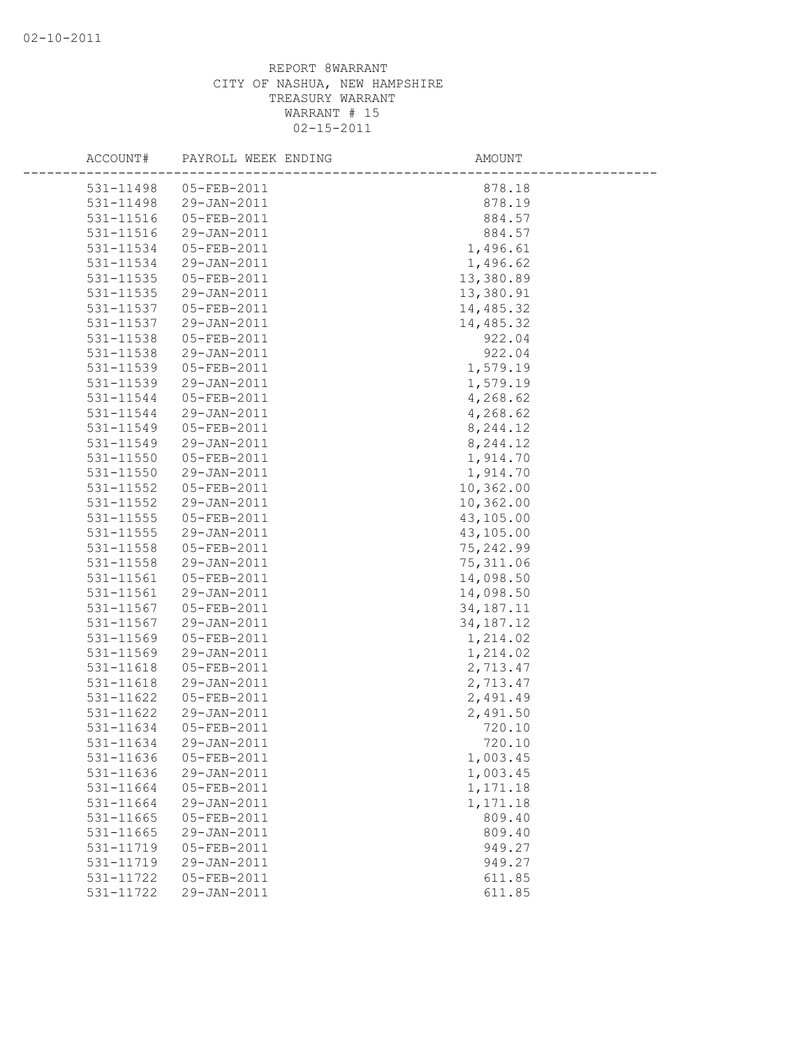| ACCOUNT#  | PAYROLL WEEK ENDING | AMOUNT      |
|-----------|---------------------|-------------|
| 531-11498 | $05 - FEB - 2011$   | 878.18      |
| 531-11498 | 29-JAN-2011         | 878.19      |
| 531-11516 | 05-FEB-2011         | 884.57      |
| 531-11516 | 29-JAN-2011         | 884.57      |
| 531-11534 | 05-FEB-2011         | 1,496.61    |
| 531-11534 | 29-JAN-2011         | 1,496.62    |
| 531-11535 | 05-FEB-2011         | 13,380.89   |
| 531-11535 | 29-JAN-2011         | 13,380.91   |
| 531-11537 | 05-FEB-2011         | 14,485.32   |
| 531-11537 | 29-JAN-2011         | 14,485.32   |
| 531-11538 | 05-FEB-2011         | 922.04      |
| 531-11538 | 29-JAN-2011         | 922.04      |
| 531-11539 | 05-FEB-2011         | 1,579.19    |
| 531-11539 | 29-JAN-2011         | 1,579.19    |
| 531-11544 | 05-FEB-2011         | 4,268.62    |
| 531-11544 | 29-JAN-2011         | 4,268.62    |
| 531-11549 | $05 - FEB - 2011$   | 8,244.12    |
| 531-11549 | 29-JAN-2011         | 8,244.12    |
| 531-11550 | 05-FEB-2011         | 1,914.70    |
| 531-11550 | 29-JAN-2011         | 1,914.70    |
| 531-11552 | 05-FEB-2011         | 10,362.00   |
| 531-11552 | 29-JAN-2011         | 10,362.00   |
| 531-11555 | 05-FEB-2011         | 43,105.00   |
| 531-11555 | 29-JAN-2011         | 43,105.00   |
| 531-11558 | 05-FEB-2011         | 75,242.99   |
| 531-11558 | 29-JAN-2011         | 75, 311.06  |
| 531-11561 | 05-FEB-2011         | 14,098.50   |
| 531-11561 | 29-JAN-2011         | 14,098.50   |
| 531-11567 | 05-FEB-2011         | 34, 187. 11 |
| 531-11567 | 29-JAN-2011         | 34, 187. 12 |
| 531-11569 | 05-FEB-2011         | 1,214.02    |
| 531-11569 | 29-JAN-2011         | 1,214.02    |
| 531-11618 | 05-FEB-2011         | 2,713.47    |
| 531-11618 | 29-JAN-2011         | 2,713.47    |
| 531-11622 | 05-FEB-2011         | 2,491.49    |
| 531-11622 | 29-JAN-2011         | 2,491.50    |
| 531-11634 | $05 - FEB - 2011$   | 720.10      |
| 531-11634 | 29-JAN-2011         | 720.10      |
| 531-11636 | 05-FEB-2011         | 1,003.45    |
| 531-11636 | 29-JAN-2011         | 1,003.45    |
| 531-11664 | 05-FEB-2011         | 1,171.18    |
| 531-11664 | 29-JAN-2011         | 1,171.18    |
| 531-11665 | 05-FEB-2011         | 809.40      |
| 531-11665 | 29-JAN-2011         | 809.40      |
| 531-11719 | 05-FEB-2011         | 949.27      |
| 531-11719 | 29-JAN-2011         | 949.27      |
| 531-11722 | 05-FEB-2011         | 611.85      |
| 531-11722 | 29-JAN-2011         | 611.85      |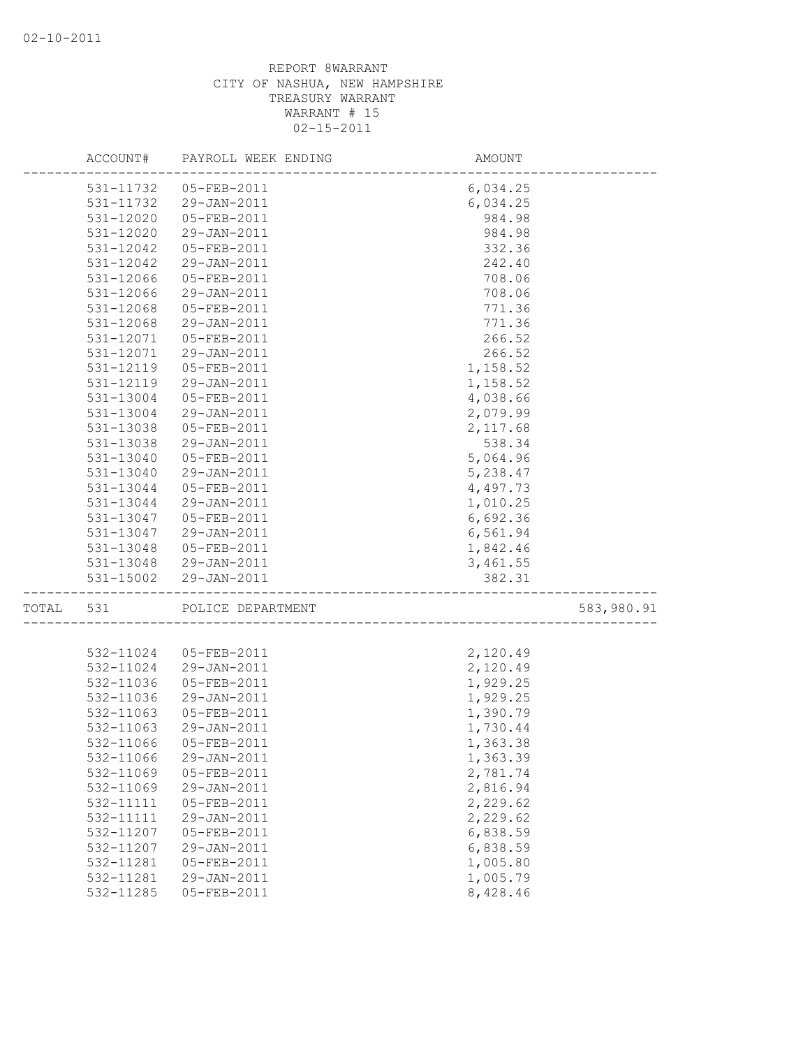|           | ACCOUNT# PAYROLL WEEK ENDING | AMOUNT                         |            |
|-----------|------------------------------|--------------------------------|------------|
|           | 531-11732  05-FEB-2011       | 6,034.25                       |            |
| 531-11732 | 29-JAN-2011                  | 6,034.25                       |            |
| 531-12020 | 05-FEB-2011                  | 984.98                         |            |
| 531-12020 | 29-JAN-2011                  | 984.98                         |            |
| 531-12042 | 05-FEB-2011                  | 332.36                         |            |
| 531-12042 | 29-JAN-2011                  | 242.40                         |            |
| 531-12066 | 05-FEB-2011                  | 708.06                         |            |
| 531-12066 | 29-JAN-2011                  | 708.06                         |            |
| 531-12068 | 05-FEB-2011                  | 771.36                         |            |
| 531-12068 | 29-JAN-2011                  | 771.36                         |            |
| 531-12071 | 05-FEB-2011                  | 266.52                         |            |
| 531-12071 | 29-JAN-2011                  | 266.52                         |            |
| 531-12119 | 05-FEB-2011                  | 1,158.52                       |            |
| 531-12119 | 29-JAN-2011                  | 1,158.52                       |            |
| 531-13004 | 05-FEB-2011                  | 4,038.66                       |            |
| 531-13004 | 29-JAN-2011                  | 2,079.99                       |            |
| 531-13038 | 05-FEB-2011                  | 2,117.68                       |            |
| 531-13038 | 29-JAN-2011                  | 538.34                         |            |
| 531-13040 | 05-FEB-2011                  | 5,064.96                       |            |
| 531-13040 | 29-JAN-2011                  | 5,238.47                       |            |
| 531-13044 | 05-FEB-2011                  | 4,497.73                       |            |
| 531-13044 | 29-JAN-2011                  | 1,010.25                       |            |
| 531-13047 | 05-FEB-2011                  | 6,692.36                       |            |
| 531-13047 | 29-JAN-2011                  | 6,561.94                       |            |
| 531-13048 | 05-FEB-2011                  | 1,842.46                       |            |
|           | 531-13048 29-JAN-2011        | 3,461.55                       |            |
| 531-15002 | 29-JAN-2011                  | 382.31                         |            |
| TOTAL 531 | POLICE DEPARTMENT            | :<br>------------------------- | 583,980.91 |
|           |                              |                                |            |
| 532-11024 | 05-FEB-2011                  | 2,120.49                       |            |
| 532-11024 | 29-JAN-2011                  | 2,120.49                       |            |
| 532-11036 | 05-FEB-2011                  | 1,929.25                       |            |
| 532-11036 | 29-JAN-2011                  | 1,929.25                       |            |
| 532-11063 | 05-FEB-2011                  | 1,390.79                       |            |
| 532-11063 | 29-JAN-2011                  | 1,730.44                       |            |
|           | 532-11066 05-FEB-2011        | 1,363.38                       |            |
| 532-11066 | 29-JAN-2011                  | 1,363.39                       |            |
| 532-11069 | 05-FEB-2011                  | 2,781.74                       |            |
| 532-11069 | 29-JAN-2011                  | 2,816.94                       |            |
| 532-11111 | 05-FEB-2011                  | 2,229.62                       |            |
| 532-11111 | 29-JAN-2011                  | 2,229.62                       |            |
| 532-11207 | 05-FEB-2011                  | 6,838.59                       |            |
| 532-11207 | 29-JAN-2011                  | 6,838.59                       |            |
| 532-11281 | 05-FEB-2011                  | 1,005.80                       |            |
| 532-11281 | 29-JAN-2011                  | 1,005.79                       |            |
| 532-11285 | 05-FEB-2011                  | 8,428.46                       |            |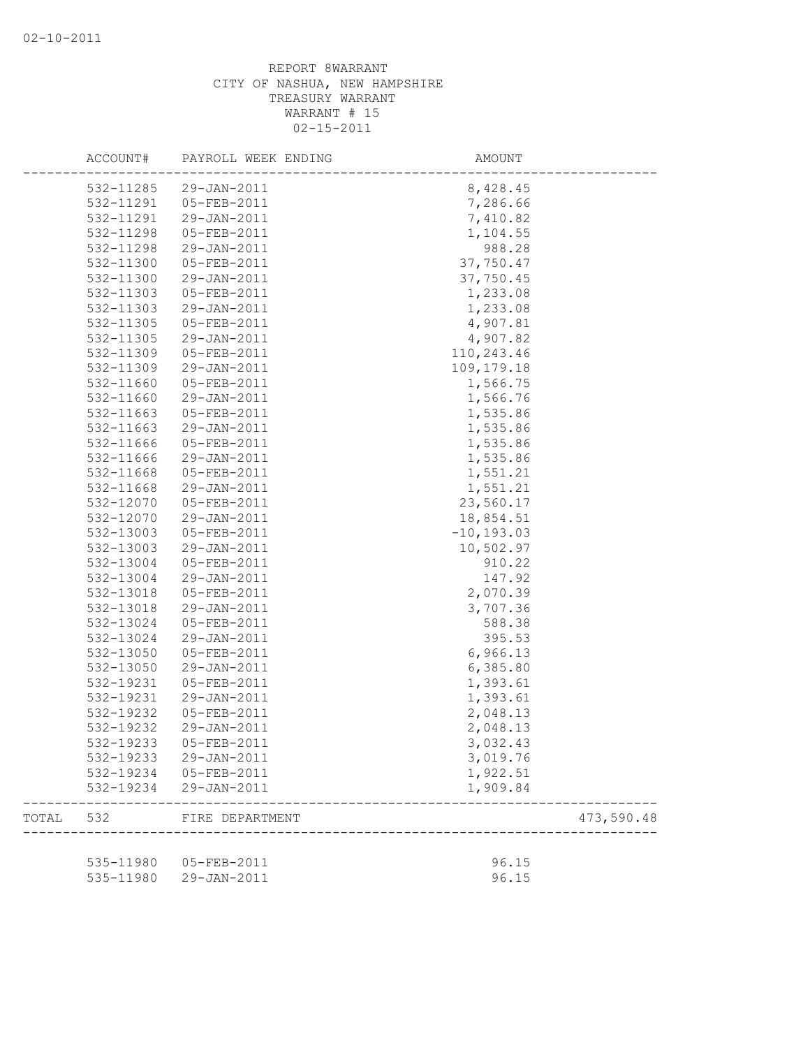|       | ACCOUNT#  | PAYROLL WEEK ENDING    | AMOUNT        |            |
|-------|-----------|------------------------|---------------|------------|
|       | 532-11285 | 29-JAN-2011            | 8,428.45      |            |
|       | 532-11291 | 05-FEB-2011            | 7,286.66      |            |
|       | 532-11291 | 29-JAN-2011            | 7,410.82      |            |
|       | 532-11298 | 05-FEB-2011            | 1,104.55      |            |
|       | 532-11298 | 29-JAN-2011            | 988.28        |            |
|       | 532-11300 | 05-FEB-2011            | 37,750.47     |            |
|       | 532-11300 | 29-JAN-2011            | 37,750.45     |            |
|       | 532-11303 | 05-FEB-2011            | 1,233.08      |            |
|       | 532-11303 | 29-JAN-2011            | 1,233.08      |            |
|       | 532-11305 | 05-FEB-2011            | 4,907.81      |            |
|       | 532-11305 | 29-JAN-2011            | 4,907.82      |            |
|       | 532-11309 | 05-FEB-2011            | 110,243.46    |            |
|       | 532-11309 | 29-JAN-2011            | 109, 179. 18  |            |
|       | 532-11660 | 05-FEB-2011            | 1,566.75      |            |
|       | 532-11660 | 29-JAN-2011            | 1,566.76      |            |
|       | 532-11663 | 05-FEB-2011            | 1,535.86      |            |
|       | 532-11663 | 29-JAN-2011            | 1,535.86      |            |
|       | 532-11666 | 05-FEB-2011            | 1,535.86      |            |
|       | 532-11666 | 29-JAN-2011            | 1,535.86      |            |
|       | 532-11668 | 05-FEB-2011            | 1,551.21      |            |
|       | 532-11668 | 29-JAN-2011            | 1,551.21      |            |
|       | 532-12070 | 05-FEB-2011            | 23,560.17     |            |
|       | 532-12070 | 29-JAN-2011            | 18,854.51     |            |
|       | 532-13003 | 05-FEB-2011            | $-10, 193.03$ |            |
|       | 532-13003 | 29-JAN-2011            | 10,502.97     |            |
|       | 532-13004 | 05-FEB-2011            | 910.22        |            |
|       | 532-13004 | 29-JAN-2011            | 147.92        |            |
|       | 532-13018 | 05-FEB-2011            | 2,070.39      |            |
|       | 532-13018 | 29-JAN-2011            | 3,707.36      |            |
|       | 532-13024 | 05-FEB-2011            | 588.38        |            |
|       | 532-13024 | 29-JAN-2011            | 395.53        |            |
|       | 532-13050 | 05-FEB-2011            | 6,966.13      |            |
|       | 532-13050 | 29-JAN-2011            | 6,385.80      |            |
|       | 532-19231 | 05-FEB-2011            | 1,393.61      |            |
|       | 532-19231 | 29-JAN-2011            | 1,393.61      |            |
|       | 532-19232 | 05-FEB-2011            | 2,048.13      |            |
|       | 532-19232 | 29-JAN-2011            | 2,048.13      |            |
|       | 532-19233 | 05-FEB-2011            | 3,032.43      |            |
|       | 532-19233 | 29-JAN-2011            | 3,019.76      |            |
|       |           | 532-19234 05-FEB-2011  | 1,922.51      |            |
|       | 532-19234 | 29-JAN-2011            | 1,909.84      |            |
| TOTAL | 532       | FIRE DEPARTMENT        |               | 473,590.48 |
|       |           |                        |               |            |
|       |           | 535-11980  05-FEB-2011 | 96.15         |            |
|       | 535-11980 | 29-JAN-2011            | 96.15         |            |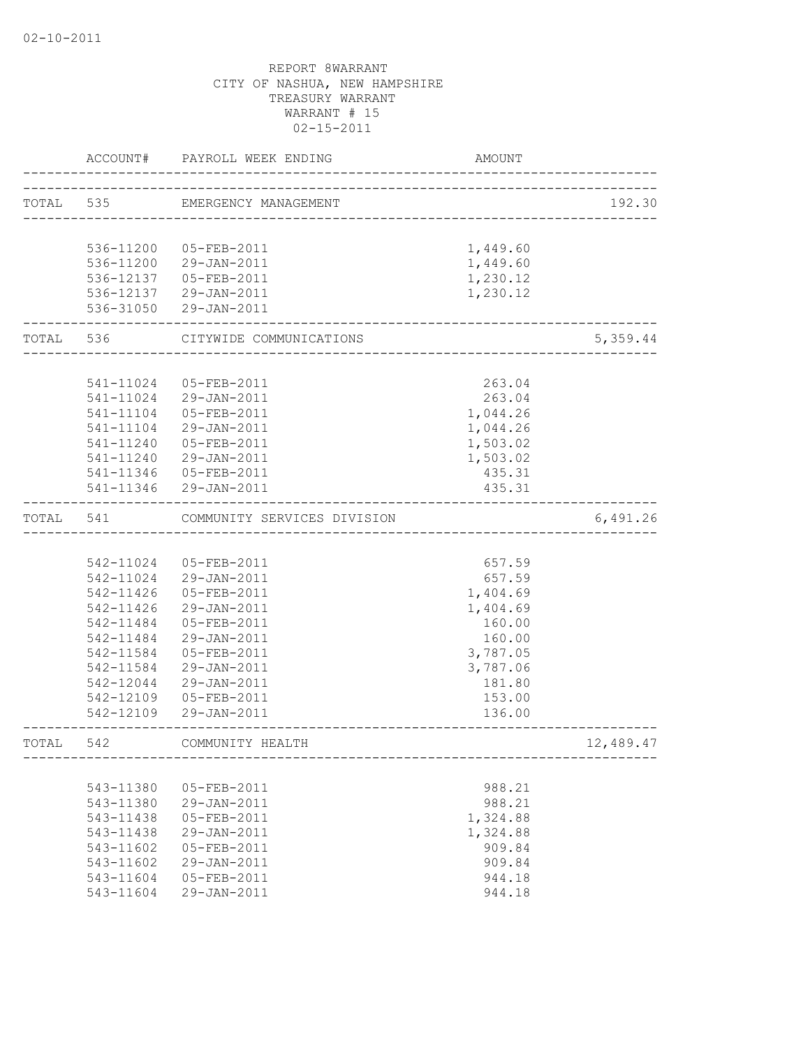|           | ACCOUNT#               | PAYROLL WEEK ENDING                | AMOUNT                                |           |
|-----------|------------------------|------------------------------------|---------------------------------------|-----------|
| TOTAL 535 |                        | EMERGENCY MANAGEMENT               | ------------------------------------- | 192.30    |
|           |                        |                                    |                                       |           |
|           | 536-11200              | 05-FEB-2011                        | 1,449.60                              |           |
|           |                        | 536-11200 29-JAN-2011              | 1,449.60                              |           |
|           |                        | 536-12137  05-FEB-2011             | 1,230.12                              |           |
|           |                        | 536-12137 29-JAN-2011              | 1,230.12                              |           |
|           |                        | 536-31050 29-JAN-2011              | ________________                      |           |
|           | TOTAL 536              | CITYWIDE COMMUNICATIONS            |                                       | 5,359.44  |
|           | 541-11024              | 05-FEB-2011                        | 263.04                                |           |
|           |                        | 29-JAN-2011                        |                                       |           |
|           | 541-11024<br>541-11104 | 05-FEB-2011                        | 263.04<br>1,044.26                    |           |
|           | 541-11104              | 29-JAN-2011                        |                                       |           |
|           | 541-11240              | 05-FEB-2011                        | 1,044.26<br>1,503.02                  |           |
|           |                        | 541-11240 29-JAN-2011              | 1,503.02                              |           |
|           |                        | 541-11346  05-FEB-2011             | 435.31                                |           |
|           |                        | 541-11346 29-JAN-2011              | 435.31                                |           |
| TOTAL     | 541                    | COMMUNITY SERVICES DIVISION        |                                       | 6,491.26  |
|           |                        | __________________________________ |                                       |           |
|           |                        | 542-11024 05-FEB-2011              | 657.59                                |           |
|           |                        | 542-11024 29-JAN-2011              | 657.59                                |           |
|           | 542-11426              | 05-FEB-2011                        | 1,404.69                              |           |
|           | 542-11426              | 29-JAN-2011                        | 1,404.69                              |           |
|           | 542-11484              | 05-FEB-2011                        | 160.00                                |           |
|           | 542-11484              | 29-JAN-2011                        | 160.00                                |           |
|           | 542-11584              | 05-FEB-2011                        | 3,787.05                              |           |
|           | 542-11584              | 29-JAN-2011                        | 3,787.06                              |           |
|           | 542-12044              | 29-JAN-2011                        | 181.80                                |           |
|           | 542-12109              | 05-FEB-2011                        | 153.00                                |           |
|           |                        | 542-12109 29-JAN-2011              | 136.00                                |           |
| TOTAL     | 542                    | COMMUNITY HEALTH                   |                                       | 12,489.47 |
|           |                        |                                    |                                       |           |
|           | 543-11380              | 05-FEB-2011                        | 988.21                                |           |
|           | 543-11380              | 29-JAN-2011                        | 988.21                                |           |
|           | 543-11438              | 05-FEB-2011                        | 1,324.88                              |           |
|           | 543-11438              | 29-JAN-2011                        | 1,324.88                              |           |
|           | $543 - 11602$          | 05-FEB-2011                        | 909.84                                |           |
|           | 543-11602              | 29-JAN-2011                        | 909.84                                |           |
|           | 543-11604              | 05-FEB-2011                        | 944.18                                |           |
|           | 543-11604              | 29-JAN-2011                        | 944.18                                |           |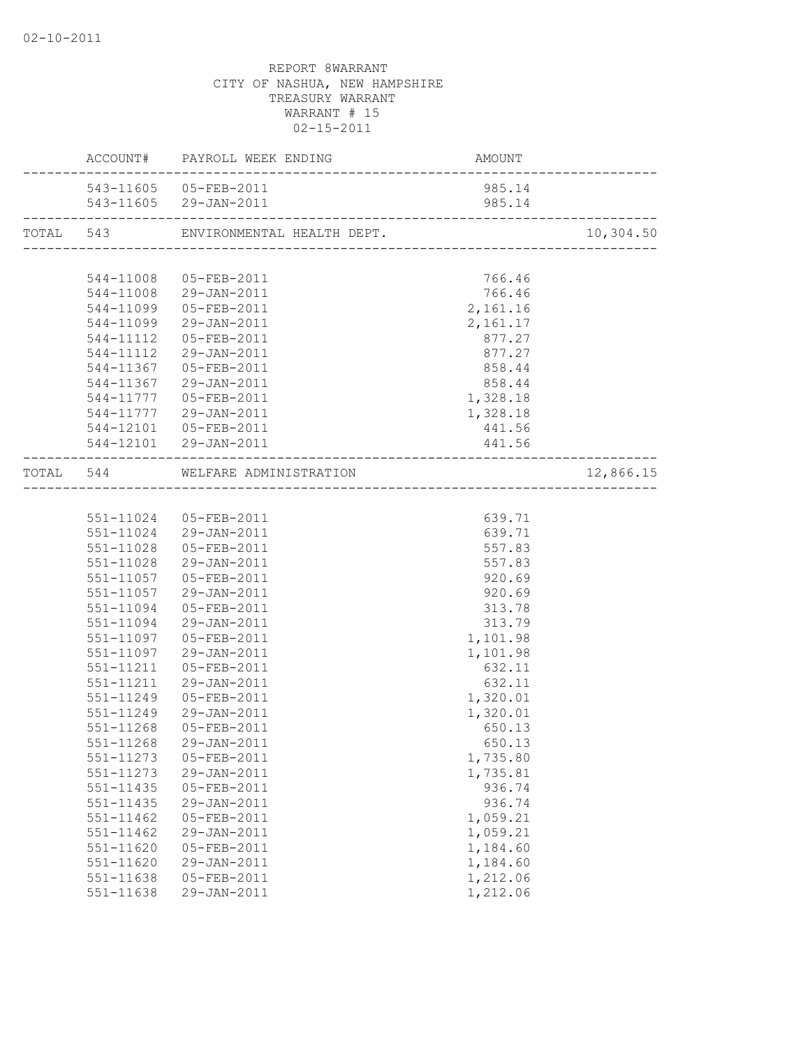|                        | ACCOUNT# PAYROLL WEEK ENDING         | <b>AMOUNT</b>        |           |
|------------------------|--------------------------------------|----------------------|-----------|
|                        | 543-11605 05-FEB-2011                | 985.14               |           |
|                        | 543-11605 29-JAN-2011                | 985.14               |           |
|                        | TOTAL 543 ENVIRONMENTAL HEALTH DEPT. |                      | 10,304.50 |
|                        |                                      |                      |           |
| 544-11008              | 05-FEB-2011                          | 766.46               |           |
|                        | 544-11008 29-JAN-2011                | 766.46               |           |
|                        | 544-11099 05-FEB-2011                | 2,161.16             |           |
|                        | 544-11099 29-JAN-2011                | 2,161.17             |           |
|                        | 544-11112  05-FEB-2011               | 877.27               |           |
|                        | 544-11112 29-JAN-2011                | 877.27               |           |
|                        | 544-11367 05-FEB-2011                | 858.44               |           |
|                        | 544-11367 29-JAN-2011                | 858.44               |           |
|                        | 544-11777  05-FEB-2011               | 1,328.18             |           |
|                        | 544-11777 29-JAN-2011                | 1,328.18             |           |
|                        | 544-12101  05-FEB-2011               | 441.56               |           |
|                        | 544-12101 29-JAN-2011                | 441.56               |           |
|                        | TOTAL 544 WELFARE ADMINISTRATION     |                      | 12,866.15 |
|                        |                                      |                      |           |
|                        | 551-11024 05-FEB-2011                | 639.71               |           |
|                        | 551-11024 29-JAN-2011                | 639.71               |           |
| 551-11028              | 05-FEB-2011                          | 557.83               |           |
|                        | 551-11028 29-JAN-2011                | 557.83               |           |
|                        | 551-11057 05-FEB-2011                | 920.69               |           |
|                        | 551-11057 29-JAN-2011                | 920.69               |           |
| 551-11094              | 05-FEB-2011                          | 313.78               |           |
|                        | 551-11094 29-JAN-2011                | 313.79               |           |
| 551-11097              | 05-FEB-2011                          | 1,101.98             |           |
| 551-11097              | 29-JAN-2011                          | 1,101.98             |           |
| 551-11211              | 05-FEB-2011                          | 632.11               |           |
| 551-11211              | 29-JAN-2011                          | 632.11               |           |
| 551-11249              | 05-FEB-2011                          | 1,320.01             |           |
| 551-11249              | 29-JAN-2011                          | 1,320.01             |           |
| 551-11268              | 05-FEB-2011                          | 650.13               |           |
|                        | 551-11268 29-JAN-2011                | 650.13               |           |
| 551-11273              | 05-FEB-2011                          | 1,735.80             |           |
| 551-11273              | 29-JAN-2011                          | 1,735.81             |           |
| 551-11435              | 05-FEB-2011                          | 936.74               |           |
| 551-11435              | 29-JAN-2011                          | 936.74               |           |
| $551 - 11462$          | 05-FEB-2011                          | 1,059.21             |           |
| 551-11462              | 29-JAN-2011                          | 1,059.21             |           |
| 551-11620              | 05-FEB-2011<br>29-JAN-2011           | 1,184.60<br>1,184.60 |           |
| 551-11620<br>551-11638 | 05-FEB-2011                          | 1,212.06             |           |
| 551-11638              | 29-JAN-2011                          | 1,212.06             |           |
|                        |                                      |                      |           |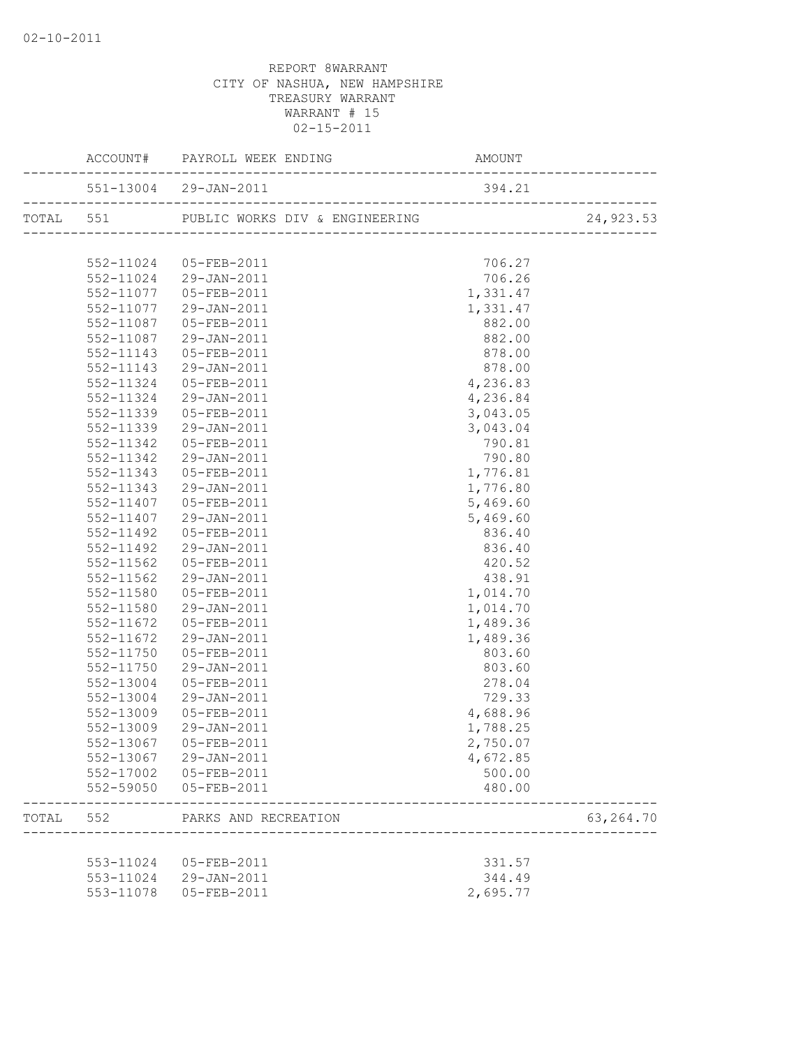|           | TOTAL 551 PUBLIC WORKS DIV & ENGINEERING (2011)         |          | 24,923.53   |
|-----------|---------------------------------------------------------|----------|-------------|
|           |                                                         |          |             |
|           | 552-11024 05-FEB-2011                                   | 706.27   |             |
|           | 552-11024 29-JAN-2011                                   | 706.26   |             |
|           | 552-11077 05-FEB-2011                                   | 1,331.47 |             |
|           | 552-11077 29-JAN-2011                                   | 1,331.47 |             |
|           | 552-11087  05-FEB-2011                                  | 882.00   |             |
|           | 552-11087 29-JAN-2011                                   | 882.00   |             |
|           | 552-11143  05-FEB-2011                                  | 878.00   |             |
|           | 552-11143 29-JAN-2011                                   | 878.00   |             |
| 552-11324 | 05-FEB-2011                                             | 4,236.83 |             |
| 552-11324 | 29-JAN-2011                                             | 4,236.84 |             |
| 552-11339 | 05-FEB-2011                                             | 3,043.05 |             |
| 552-11339 | 29-JAN-2011                                             | 3,043.04 |             |
| 552-11342 | 05-FEB-2011                                             | 790.81   |             |
| 552-11342 | 29-JAN-2011                                             | 790.80   |             |
| 552-11343 | 05-FEB-2011                                             | 1,776.81 |             |
| 552-11343 | 29-JAN-2011                                             | 1,776.80 |             |
| 552-11407 | 05-FEB-2011                                             | 5,469.60 |             |
|           | 552-11407 29-JAN-2011                                   | 5,469.60 |             |
| 552-11492 | 05-FEB-2011                                             | 836.40   |             |
| 552-11492 | 29-JAN-2011                                             | 836.40   |             |
| 552-11562 | 05-FEB-2011                                             | 420.52   |             |
| 552-11562 | 29-JAN-2011                                             | 438.91   |             |
| 552-11580 | 05-FEB-2011                                             | 1,014.70 |             |
| 552-11580 | 29-JAN-2011                                             | 1,014.70 |             |
|           |                                                         |          |             |
|           | 552-11672  05-FEB-2011                                  | 1,489.36 |             |
| 552-11672 | 29-JAN-2011                                             | 1,489.36 |             |
| 552-11750 | 05-FEB-2011                                             | 803.60   |             |
| 552-11750 | 29-JAN-2011                                             | 803.60   |             |
| 552-13004 | 05-FEB-2011                                             | 278.04   |             |
| 552-13004 | 29-JAN-2011                                             | 729.33   |             |
| 552-13009 | 05-FEB-2011                                             | 4,688.96 |             |
| 552-13009 | 29-JAN-2011                                             | 1,788.25 |             |
|           | 552-13067 05-FEB-2011                                   | 2,750.07 |             |
|           | 552-13067 29-JAN-2011                                   | 4,672.85 |             |
|           | 552-17002 05-FEB-2011                                   | 500.00   |             |
|           | 552-59050 05-FEB-2011                                   | 480.00   |             |
|           | TOTAL 552 PARKS AND RECREATION<br>--------------------- |          | 63, 264. 70 |
|           |                                                         |          |             |
|           | 553-11024 05-FEB-2011                                   | 331.57   |             |
|           | 553-11024 29-JAN-2011                                   | 344.49   |             |
|           | 553-11078  05-FEB-2011                                  | 2,695.77 |             |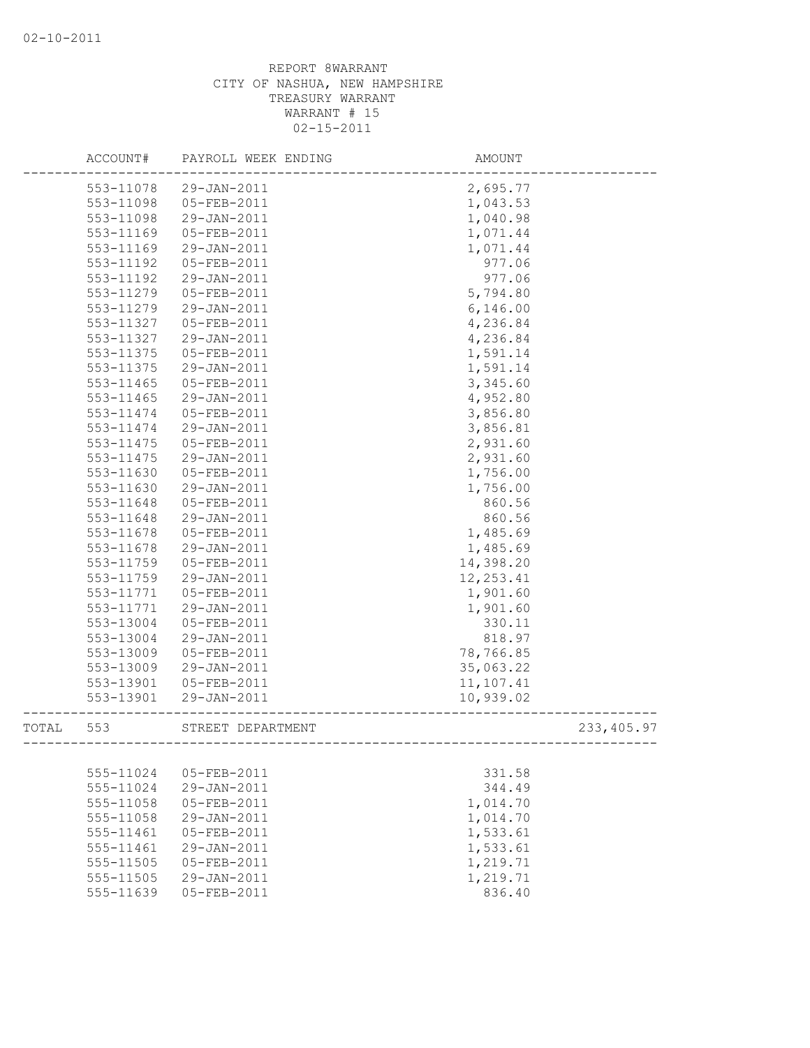|       | ACCOUNT#      | PAYROLL WEEK ENDING | AMOUNT     |             |
|-------|---------------|---------------------|------------|-------------|
|       | 553-11078     | 29-JAN-2011         | 2,695.77   |             |
|       | 553-11098     | 05-FEB-2011         | 1,043.53   |             |
|       | 553-11098     | 29-JAN-2011         | 1,040.98   |             |
|       | $553 - 11169$ | 05-FEB-2011         | 1,071.44   |             |
|       | 553-11169     | 29-JAN-2011         | 1,071.44   |             |
|       | 553-11192     | 05-FEB-2011         | 977.06     |             |
|       | 553-11192     | 29-JAN-2011         | 977.06     |             |
|       | 553-11279     | 05-FEB-2011         | 5,794.80   |             |
|       | 553-11279     | 29-JAN-2011         | 6,146.00   |             |
|       | 553-11327     | 05-FEB-2011         | 4,236.84   |             |
|       | 553-11327     | 29-JAN-2011         | 4,236.84   |             |
|       | 553-11375     | 05-FEB-2011         | 1,591.14   |             |
|       | 553-11375     | 29-JAN-2011         | 1,591.14   |             |
|       | 553-11465     | 05-FEB-2011         | 3,345.60   |             |
|       | 553-11465     | 29-JAN-2011         | 4,952.80   |             |
|       | 553-11474     | 05-FEB-2011         | 3,856.80   |             |
|       | 553-11474     | 29-JAN-2011         | 3,856.81   |             |
|       | 553-11475     | 05-FEB-2011         | 2,931.60   |             |
|       | 553-11475     | 29-JAN-2011         | 2,931.60   |             |
|       | 553-11630     | 05-FEB-2011         | 1,756.00   |             |
|       | 553-11630     | 29-JAN-2011         | 1,756.00   |             |
|       | 553-11648     | 05-FEB-2011         | 860.56     |             |
|       | 553-11648     | 29-JAN-2011         | 860.56     |             |
|       | 553-11678     | 05-FEB-2011         | 1,485.69   |             |
|       | 553-11678     | 29-JAN-2011         | 1,485.69   |             |
|       | 553-11759     | 05-FEB-2011         | 14,398.20  |             |
|       | 553-11759     | 29-JAN-2011         | 12, 253.41 |             |
|       | 553-11771     | 05-FEB-2011         | 1,901.60   |             |
|       | 553-11771     | 29-JAN-2011         | 1,901.60   |             |
|       | 553-13004     | 05-FEB-2011         | 330.11     |             |
|       | 553-13004     | 29-JAN-2011         | 818.97     |             |
|       | 553-13009     | 05-FEB-2011         | 78,766.85  |             |
|       | 553-13009     | 29-JAN-2011         | 35,063.22  |             |
|       | 553-13901     | 05-FEB-2011         | 11,107.41  |             |
|       | 553-13901     | 29-JAN-2011         | 10,939.02  |             |
| TOTAL | 553           | STREET DEPARTMENT   |            | 233, 405.97 |
|       |               |                     |            |             |
|       | 555-11024     | 05-FEB-2011         | 331.58     |             |
|       | 555-11024     | 29-JAN-2011         | 344.49     |             |
|       | 555-11058     | 05-FEB-2011         | 1,014.70   |             |
|       | 555-11058     | 29-JAN-2011         | 1,014.70   |             |
|       | 555-11461     | $05 - FEB - 2011$   | 1,533.61   |             |
|       | 555-11461     | 29-JAN-2011         | 1,533.61   |             |
|       | 555-11505     | 05-FEB-2011         | 1,219.71   |             |
|       | 555-11505     | 29-JAN-2011         | 1,219.71   |             |
|       | 555-11639     | 05-FEB-2011         | 836.40     |             |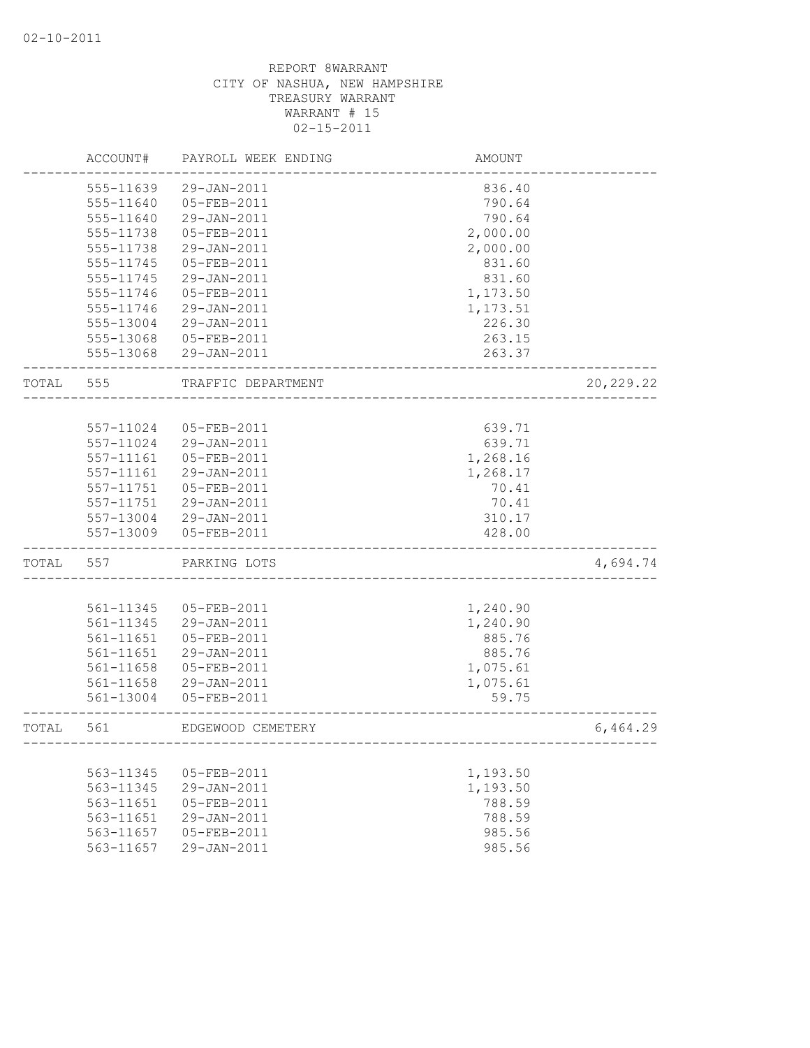|       | ACCOUNT#      | PAYROLL WEEK ENDING | AMOUNT               |             |
|-------|---------------|---------------------|----------------------|-------------|
|       | 555-11639     | 29-JAN-2011         | 836.40               |             |
|       | 555-11640     | 05-FEB-2011         | 790.64               |             |
|       | 555-11640     | 29-JAN-2011         | 790.64               |             |
|       | 555-11738     | 05-FEB-2011         | 2,000.00             |             |
|       | 555-11738     | 29-JAN-2011         | 2,000.00             |             |
|       | 555-11745     | 05-FEB-2011         | 831.60               |             |
|       | 555-11745     | 29-JAN-2011         | 831.60               |             |
|       | 555-11746     | 05-FEB-2011         | 1,173.50             |             |
|       | 555-11746     | 29-JAN-2011         | 1,173.51             |             |
|       | 555-13004     | 29-JAN-2011         | 226.30               |             |
|       | 555-13068     | 05-FEB-2011         | 263.15               |             |
|       | 555-13068     | 29-JAN-2011         | 263.37               |             |
| TOTAL | 555           | TRAFFIC DEPARTMENT  |                      | 20, 229. 22 |
|       |               |                     |                      |             |
|       | 557-11024     | 05-FEB-2011         | 639.71               |             |
|       | 557-11024     | 29-JAN-2011         | 639.71               |             |
|       | 557-11161     | 05-FEB-2011         | 1,268.16             |             |
|       | 557-11161     | 29-JAN-2011         | 1,268.17             |             |
|       | 557-11751     | 05-FEB-2011         | 70.41                |             |
|       | 557-11751     | 29-JAN-2011         | 70.41                |             |
|       | 557-13004     | 29-JAN-2011         | 310.17               |             |
|       | 557-13009     | 05-FEB-2011         | 428.00               |             |
| TOTAL | 557           | PARKING LOTS        |                      | 4,694.74    |
|       |               |                     |                      |             |
|       | 561-11345     | 05-FEB-2011         | 1,240.90             |             |
|       | 561-11345     | 29-JAN-2011         | 1,240.90             |             |
|       | 561-11651     | 05-FEB-2011         | 885.76               |             |
|       | 561-11651     | 29-JAN-2011         | 885.76               |             |
|       | 561-11658     | 05-FEB-2011         | 1,075.61             |             |
|       | $561 - 11658$ | 29-JAN-2011         | 1,075.61             |             |
|       | 561-13004     | 05-FEB-2011         | 59.75                |             |
| TOTAL | 561           | EDGEWOOD CEMETERY   | ____________________ | 6,464.29    |
|       |               |                     |                      |             |
|       | 563-11345     | 05-FEB-2011         | 1,193.50             |             |
|       | 563-11345     | 29-JAN-2011         | 1,193.50             |             |
|       | 563-11651     | 05-FEB-2011         | 788.59               |             |
|       | 563-11651     | 29-JAN-2011         | 788.59               |             |
|       | 563-11657     | 05-FEB-2011         | 985.56               |             |
|       | 563-11657     | 29-JAN-2011         | 985.56               |             |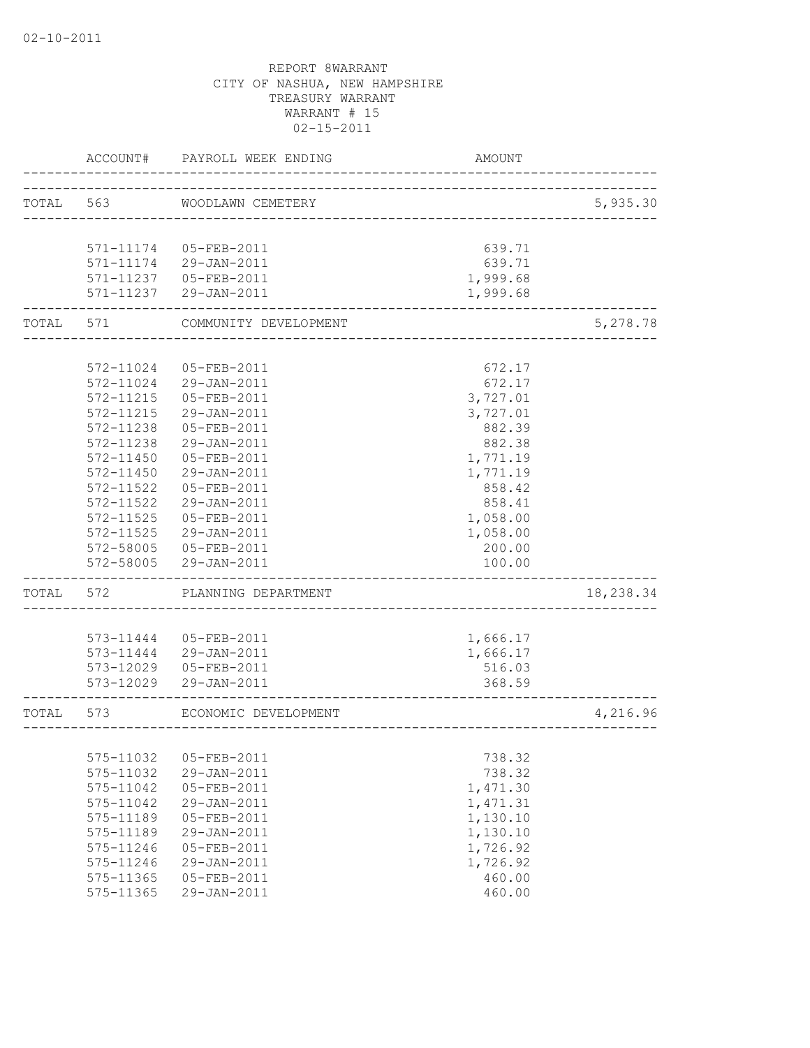|       | ACCOUNT#  | PAYROLL WEEK ENDING    | <b>AMOUNT</b>                  |           |
|-------|-----------|------------------------|--------------------------------|-----------|
| TOTAL | 563       | WOODLAWN CEMETERY      |                                | 5,935.30  |
|       |           |                        | ______________________________ |           |
|       |           |                        |                                |           |
|       |           | 571-11174 05-FEB-2011  | 639.71                         |           |
|       |           | 571-11174 29-JAN-2011  | 639.71                         |           |
|       |           | 571-11237  05-FEB-2011 | 1,999.68                       |           |
|       |           | 571-11237 29-JAN-2011  | 1,999.68                       |           |
| TOTAL | 571       | COMMUNITY DEVELOPMENT  |                                | 5,278.78  |
|       |           |                        |                                |           |
|       | 572-11024 | 05-FEB-2011            | 672.17                         |           |
|       | 572-11024 | 29-JAN-2011            | 672.17                         |           |
|       | 572-11215 | 05-FEB-2011            | 3,727.01                       |           |
|       | 572-11215 | 29-JAN-2011            | 3,727.01                       |           |
|       | 572-11238 | 05-FEB-2011            | 882.39                         |           |
|       | 572-11238 | 29-JAN-2011            | 882.38                         |           |
|       | 572-11450 | $05 - FEB - 2011$      | 1,771.19                       |           |
|       | 572-11450 | 29-JAN-2011            | 1,771.19                       |           |
|       | 572-11522 | $05 - FEB - 2011$      | 858.42                         |           |
|       | 572-11522 | 29-JAN-2011            | 858.41                         |           |
|       | 572-11525 | 05-FEB-2011            | 1,058.00                       |           |
|       | 572-11525 | 29-JAN-2011            | 1,058.00                       |           |
|       | 572-58005 | 05-FEB-2011            | 200.00                         |           |
|       | 572-58005 | 29-JAN-2011            | 100.00                         |           |
| TOTAL | 572       | PLANNING DEPARTMENT    |                                | 18,238.34 |
|       |           |                        |                                |           |
|       | 573-11444 | 05-FEB-2011            | 1,666.17                       |           |
|       |           | 573-11444 29-JAN-2011  | 1,666.17                       |           |
|       | 573-12029 | 05-FEB-2011            | 516.03                         |           |
|       |           | 573-12029 29-JAN-2011  | 368.59                         |           |
| TOTAL | 573       | ECONOMIC DEVELOPMENT   |                                | 4,216.96  |
|       |           |                        | _________________________      |           |
|       | 575-11032 | 05-FEB-2011            | 738.32                         |           |
|       | 575-11032 | 29-JAN-2011            | 738.32                         |           |
|       | 575-11042 | 05-FEB-2011            | 1,471.30                       |           |
|       | 575-11042 | 29-JAN-2011            | 1,471.31                       |           |
|       | 575-11189 | 05-FEB-2011            | 1,130.10                       |           |
|       | 575-11189 | 29-JAN-2011            | 1,130.10                       |           |
|       | 575-11246 | 05-FEB-2011            | 1,726.92                       |           |
|       | 575-11246 | 29-JAN-2011            | 1,726.92                       |           |
|       | 575-11365 | 05-FEB-2011            | 460.00                         |           |
|       | 575-11365 | 29-JAN-2011            | 460.00                         |           |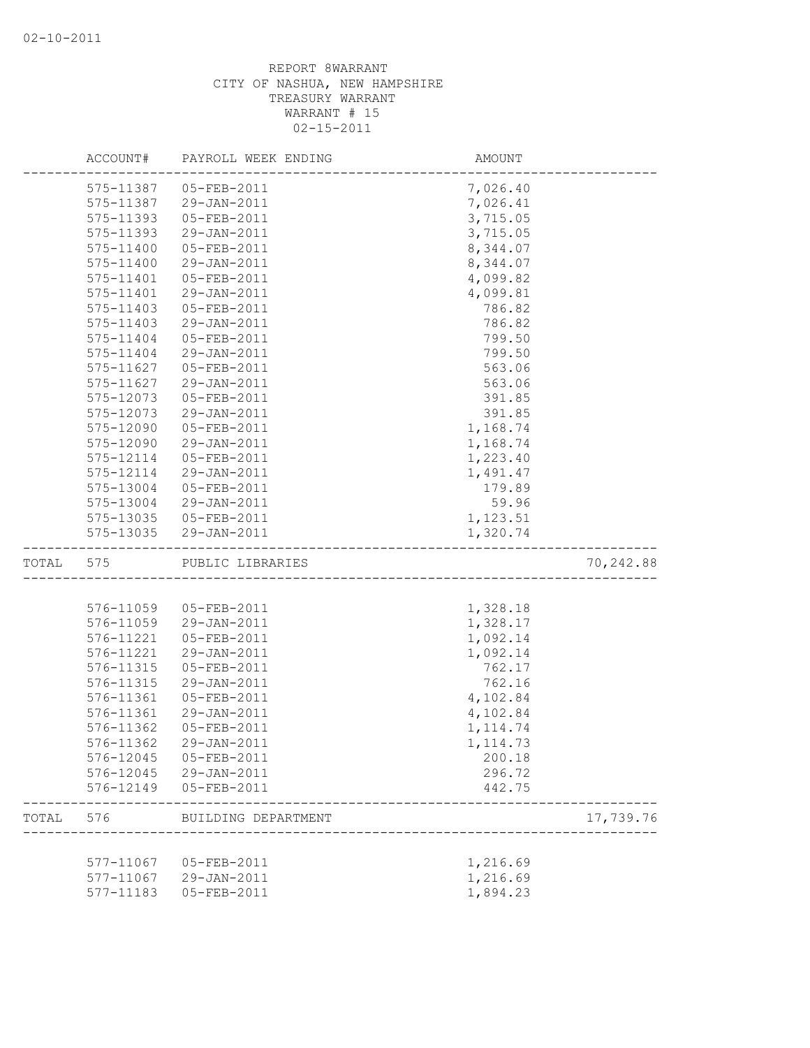|       | ACCOUNT#  | PAYROLL WEEK ENDING    | AMOUNT                |           |
|-------|-----------|------------------------|-----------------------|-----------|
|       | 575-11387 | 05-FEB-2011            | 7,026.40              |           |
|       | 575-11387 | 29-JAN-2011            | 7,026.41              |           |
|       | 575-11393 | 05-FEB-2011            | 3,715.05              |           |
|       | 575-11393 | 29-JAN-2011            | 3,715.05              |           |
|       | 575-11400 | 05-FEB-2011            | 8,344.07              |           |
|       | 575-11400 | 29-JAN-2011            | 8,344.07              |           |
|       | 575-11401 | 05-FEB-2011            | 4,099.82              |           |
|       | 575-11401 | 29-JAN-2011            | 4,099.81              |           |
|       | 575-11403 | 05-FEB-2011            | 786.82                |           |
|       | 575-11403 | 29-JAN-2011            | 786.82                |           |
|       | 575-11404 | 05-FEB-2011            | 799.50                |           |
|       | 575-11404 | 29-JAN-2011            | 799.50                |           |
|       | 575-11627 | 05-FEB-2011            | 563.06                |           |
|       | 575-11627 | 29-JAN-2011            | 563.06                |           |
|       | 575-12073 | 05-FEB-2011            | 391.85                |           |
|       | 575-12073 | 29-JAN-2011            | 391.85                |           |
|       | 575-12090 | 05-FEB-2011            | 1,168.74              |           |
|       | 575-12090 | 29-JAN-2011            | 1,168.74              |           |
|       | 575-12114 | 05-FEB-2011            | 1,223.40              |           |
|       | 575-12114 | 29-JAN-2011            | 1,491.47              |           |
|       | 575-13004 | 05-FEB-2011            | 179.89                |           |
|       | 575-13004 | 29-JAN-2011            | 59.96                 |           |
|       | 575-13035 | 05-FEB-2011            | 1,123.51              |           |
|       | 575-13035 | 29-JAN-2011            | 1,320.74              |           |
| TOTAL | 575       | PUBLIC LIBRARIES       |                       | 70,242.88 |
|       |           |                        |                       |           |
|       | 576-11059 | 05-FEB-2011            | 1,328.18              |           |
|       | 576-11059 | 29-JAN-2011            | 1,328.17              |           |
|       | 576-11221 | 05-FEB-2011            | 1,092.14              |           |
|       | 576-11221 | 29-JAN-2011            | 1,092.14              |           |
|       | 576-11315 | 05-FEB-2011            | 762.17                |           |
|       | 576-11315 | 29-JAN-2011            | 762.16                |           |
|       | 576-11361 | 05-FEB-2011            | 4,102.84              |           |
|       | 576-11361 | 29-JAN-2011            | 4,102.84              |           |
|       | 576-11362 | 05-FEB-2011            | 1, 114.74             |           |
|       | 576-11362 | 29-JAN-2011            | 1, 114.73             |           |
|       |           | 576-12045  05-FEB-2011 | 200.18                |           |
|       |           | 576-12045 29-JAN-2011  | 296.72                |           |
|       |           | 576-12149  05-FEB-2011 | 442.75                |           |
| TOTAL | 576       | BUILDING DEPARTMENT    | _____________________ | 17,739.76 |
|       |           |                        |                       |           |
|       |           | 577-11067 05-FEB-2011  | 1,216.69              |           |
|       |           | 577-11067 29-JAN-2011  | 1,216.69              |           |
|       | 577-11183 | 05-FEB-2011            | 1,894.23              |           |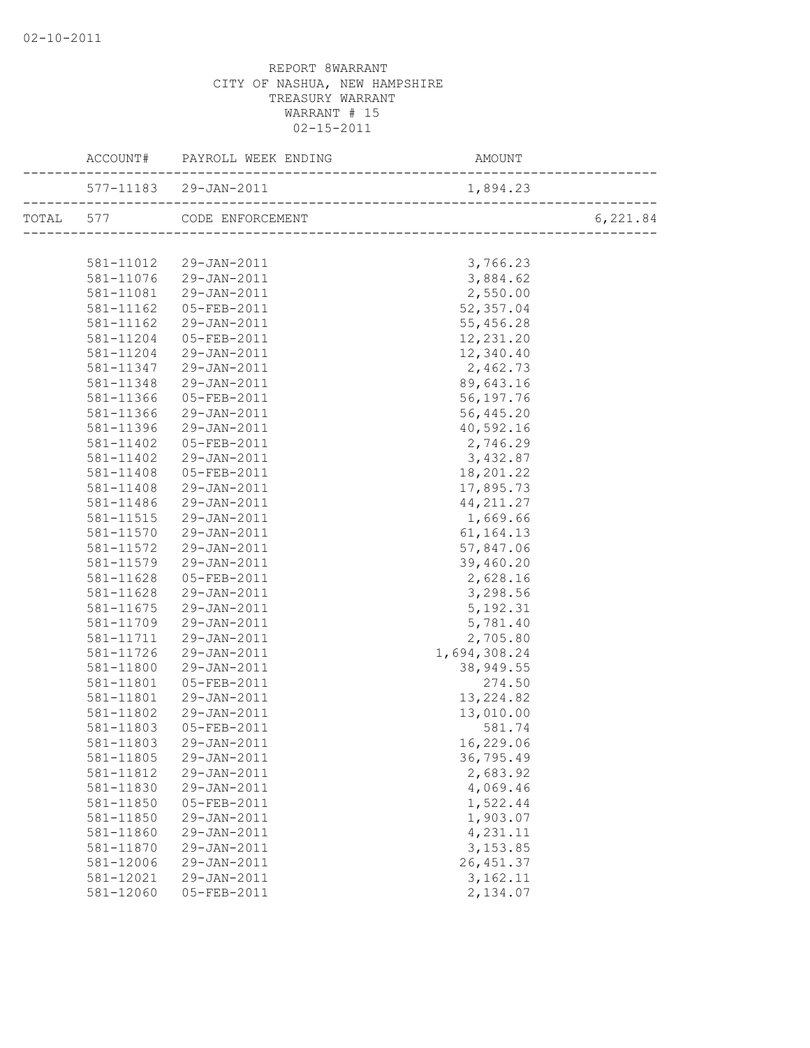|           | ACCOUNT# PAYROLL WEEK ENDING                   | AMOUNT       |          |
|-----------|------------------------------------------------|--------------|----------|
|           |                                                |              |          |
|           | TOTAL 577 CODE ENFORCEMENT                     |              | 6,221.84 |
|           |                                                |              |          |
|           | 581-11012 29-JAN-2011<br>581-11076 29-JAN-2011 | 3,766.23     |          |
|           |                                                | 3,884.62     |          |
| 581-11081 | $29 - JAN - 2011$                              | 2,550.00     |          |
| 581-11162 | 05-FEB-2011                                    | 52,357.04    |          |
| 581-11162 | 29-JAN-2011                                    | 55,456.28    |          |
| 581-11204 | 05-FEB-2011                                    | 12,231.20    |          |
| 581-11204 | 29-JAN-2011                                    | 12,340.40    |          |
| 581-11347 | 29-JAN-2011                                    | 2,462.73     |          |
| 581-11348 | 29-JAN-2011                                    | 89,643.16    |          |
| 581-11366 | 05-FEB-2011                                    | 56,197.76    |          |
| 581-11366 | 29-JAN-2011                                    | 56,445.20    |          |
| 581-11396 | 29-JAN-2011                                    | 40,592.16    |          |
| 581-11402 | 05-FEB-2011                                    | 2,746.29     |          |
| 581-11402 | 29-JAN-2011                                    | 3,432.87     |          |
| 581-11408 | 05-FEB-2011                                    | 18,201.22    |          |
| 581-11408 | 29-JAN-2011                                    | 17,895.73    |          |
| 581-11486 | 29-JAN-2011                                    | 44, 211.27   |          |
| 581-11515 | $29 - JAN - 2011$                              | 1,669.66     |          |
| 581-11570 | 29-JAN-2011                                    | 61, 164. 13  |          |
| 581-11572 | 29-JAN-2011                                    | 57,847.06    |          |
| 581-11579 | 29-JAN-2011                                    | 39,460.20    |          |
| 581-11628 | 05-FEB-2011                                    | 2,628.16     |          |
| 581-11628 | 29-JAN-2011                                    | 3,298.56     |          |
| 581-11675 | 29-JAN-2011                                    | 5, 192.31    |          |
| 581-11709 | 29-JAN-2011                                    | 5,781.40     |          |
| 581-11711 | 29-JAN-2011                                    | 2,705.80     |          |
| 581-11726 | 29-JAN-2011                                    | 1,694,308.24 |          |
| 581-11800 | 29-JAN-2011                                    | 38,949.55    |          |
| 581-11801 | 05-FEB-2011                                    | 274.50       |          |
| 581-11801 | 29-JAN-2011                                    | 13, 224.82   |          |
| 581-11802 | 29-JAN-2011                                    | 13,010.00    |          |
| 581-11803 | 05-FEB-2011                                    | 581.74       |          |
|           | 581-11803 29-JAN-2011                          | 16,229.06    |          |
| 581-11805 | 29-JAN-2011                                    | 36,795.49    |          |
| 581-11812 | 29-JAN-2011                                    | 2,683.92     |          |
| 581-11830 | 29-JAN-2011                                    | 4,069.46     |          |
| 581-11850 | 05-FEB-2011                                    | 1,522.44     |          |
| 581-11850 | 29-JAN-2011                                    | 1,903.07     |          |
| 581-11860 | 29-JAN-2011                                    | 4,231.11     |          |
| 581-11870 | 29-JAN-2011                                    | 3,153.85     |          |
| 581-12006 | 29-JAN-2011                                    | 26, 451.37   |          |
| 581-12021 | 29-JAN-2011                                    | 3,162.11     |          |
| 581-12060 | 05-FEB-2011                                    | 2,134.07     |          |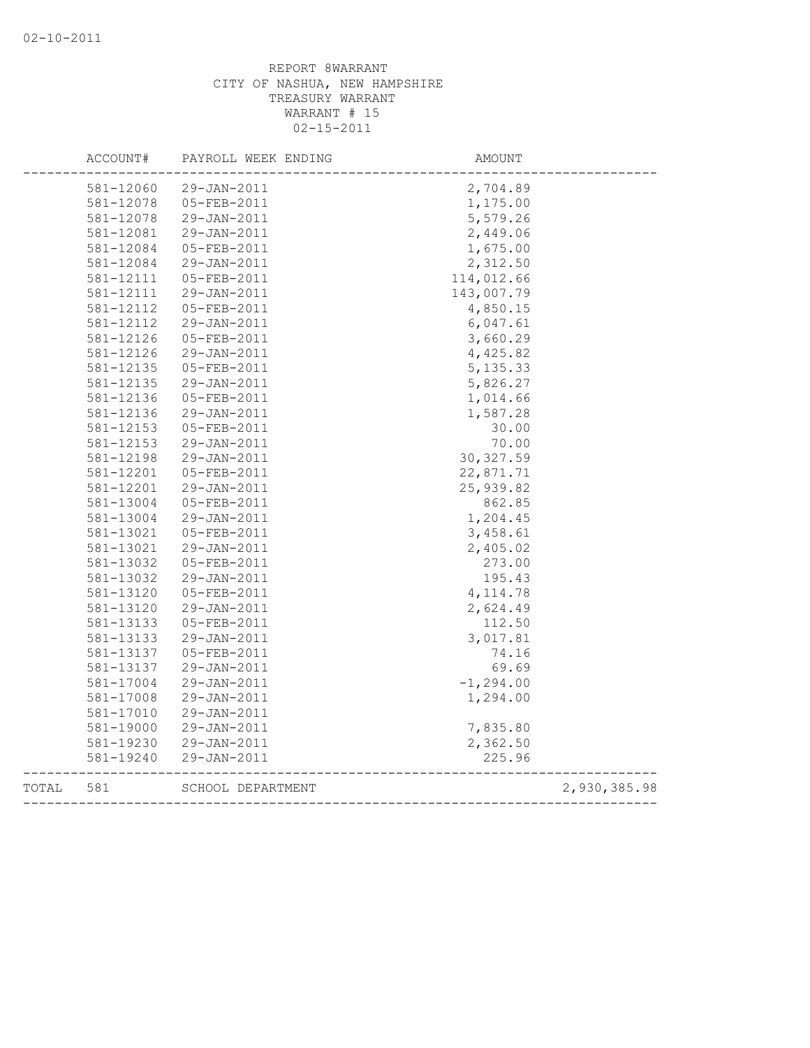|       | ACCOUNT#  | PAYROLL WEEK ENDING | AMOUNT       |              |
|-------|-----------|---------------------|--------------|--------------|
|       | 581-12060 | 29-JAN-2011         | 2,704.89     |              |
|       | 581-12078 | 05-FEB-2011         | 1,175.00     |              |
|       | 581-12078 | 29-JAN-2011         | 5,579.26     |              |
|       | 581-12081 | 29-JAN-2011         | 2,449.06     |              |
|       | 581-12084 | 05-FEB-2011         | 1,675.00     |              |
|       | 581-12084 | 29-JAN-2011         | 2,312.50     |              |
|       | 581-12111 | 05-FEB-2011         | 114,012.66   |              |
|       | 581-12111 | 29-JAN-2011         | 143,007.79   |              |
|       | 581-12112 | 05-FEB-2011         | 4,850.15     |              |
|       | 581-12112 | 29-JAN-2011         | 6,047.61     |              |
|       | 581-12126 | 05-FEB-2011         | 3,660.29     |              |
|       | 581-12126 | 29-JAN-2011         | 4,425.82     |              |
|       | 581-12135 | 05-FEB-2011         | 5, 135.33    |              |
|       | 581-12135 | 29-JAN-2011         | 5,826.27     |              |
|       | 581-12136 | 05-FEB-2011         | 1,014.66     |              |
|       | 581-12136 | 29-JAN-2011         | 1,587.28     |              |
|       | 581-12153 | 05-FEB-2011         | 30.00        |              |
|       | 581-12153 | 29-JAN-2011         | 70.00        |              |
|       | 581-12198 | 29-JAN-2011         | 30, 327.59   |              |
|       | 581-12201 | 05-FEB-2011         | 22,871.71    |              |
|       | 581-12201 | 29-JAN-2011         | 25, 939.82   |              |
|       | 581-13004 | 05-FEB-2011         | 862.85       |              |
|       | 581-13004 | 29-JAN-2011         | 1,204.45     |              |
|       | 581-13021 | 05-FEB-2011         | 3,458.61     |              |
|       | 581-13021 | 29-JAN-2011         | 2,405.02     |              |
|       | 581-13032 | 05-FEB-2011         | 273.00       |              |
|       | 581-13032 | 29-JAN-2011         | 195.43       |              |
|       | 581-13120 | 05-FEB-2011         | 4, 114.78    |              |
|       | 581-13120 | 29-JAN-2011         | 2,624.49     |              |
|       | 581-13133 | 05-FEB-2011         | 112.50       |              |
|       | 581-13133 | 29-JAN-2011         | 3,017.81     |              |
|       | 581-13137 | 05-FEB-2011         | 74.16        |              |
|       | 581-13137 | 29-JAN-2011         | 69.69        |              |
|       | 581-17004 | 29-JAN-2011         | $-1, 294.00$ |              |
|       | 581-17008 | 29-JAN-2011         | 1,294.00     |              |
|       | 581-17010 | 29-JAN-2011         |              |              |
|       | 581-19000 | 29-JAN-2011         | 7,835.80     |              |
|       | 581-19230 | 29-JAN-2011         | 2,362.50     |              |
|       | 581-19240 | 29-JAN-2011         | 225.96       |              |
| TOTAL | 581       | SCHOOL DEPARTMENT   |              | 2,930,385.98 |
|       |           |                     |              |              |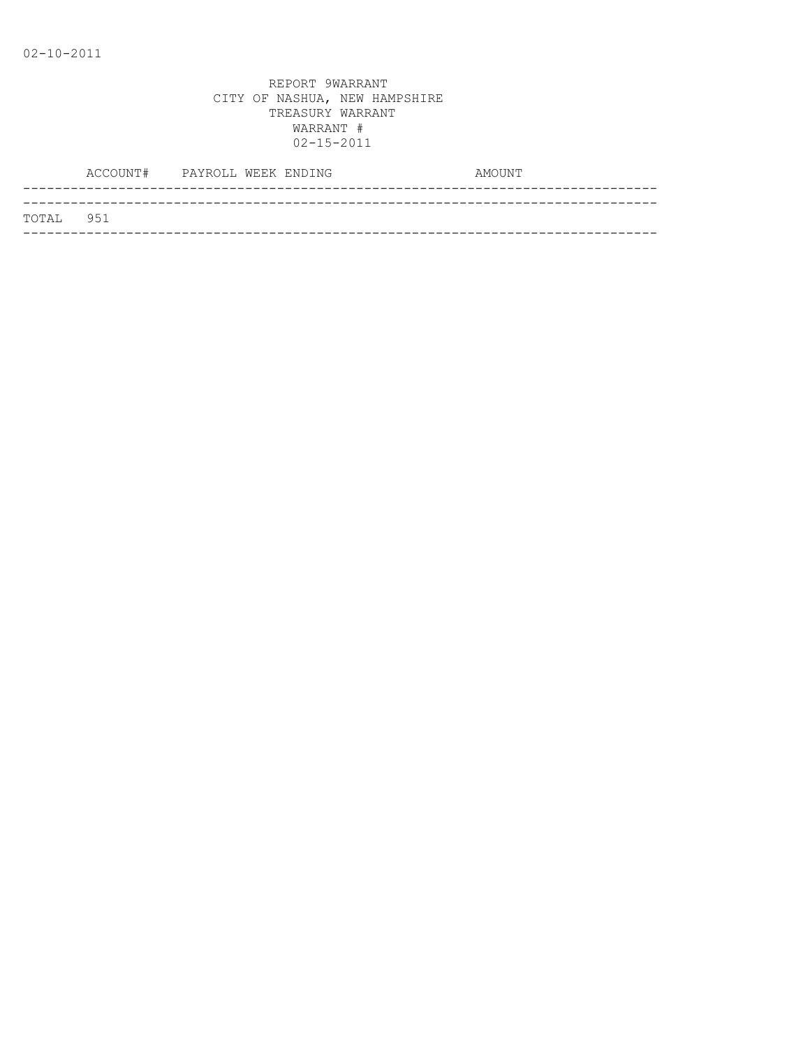| TOTAL 951 |  |
|-----------|--|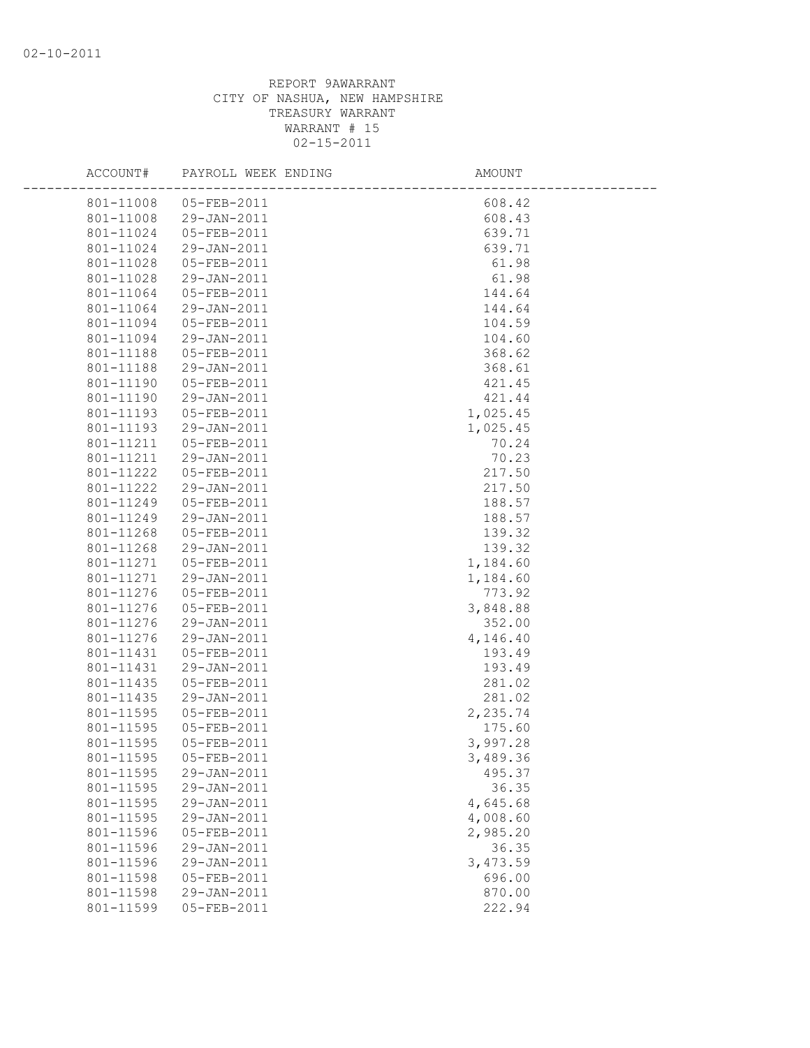| ACCOUNT#               | PAYROLL WEEK ENDING        | AMOUNT            |  |
|------------------------|----------------------------|-------------------|--|
| 801-11008              | 05-FEB-2011                | 608.42            |  |
| 801-11008              | 29-JAN-2011                | 608.43            |  |
| 801-11024              | 05-FEB-2011                | 639.71            |  |
| 801-11024              | 29-JAN-2011                | 639.71            |  |
| 801-11028              | 05-FEB-2011                | 61.98             |  |
| 801-11028              | 29-JAN-2011                | 61.98             |  |
| 801-11064              | 05-FEB-2011                | 144.64            |  |
| 801-11064              | 29-JAN-2011                | 144.64            |  |
| 801-11094              | 05-FEB-2011                | 104.59            |  |
| 801-11094              | 29-JAN-2011                | 104.60            |  |
| 801-11188              | 05-FEB-2011                | 368.62            |  |
| 801-11188              | 29-JAN-2011                | 368.61            |  |
| 801-11190              | 05-FEB-2011                | 421.45            |  |
| 801-11190              | 29-JAN-2011                | 421.44            |  |
| 801-11193              | 05-FEB-2011                | 1,025.45          |  |
| 801-11193              | 29-JAN-2011                | 1,025.45          |  |
| 801-11211              | 05-FEB-2011                | 70.24             |  |
| 801-11211              | 29-JAN-2011                | 70.23             |  |
| 801-11222              | 05-FEB-2011                | 217.50            |  |
| 801-11222              | 29-JAN-2011                | 217.50            |  |
| 801-11249              | 05-FEB-2011                | 188.57            |  |
| 801-11249              | 29-JAN-2011                | 188.57            |  |
| 801-11268              | 05-FEB-2011                | 139.32            |  |
| 801-11268              | 29-JAN-2011                | 139.32            |  |
| 801-11271              | 05-FEB-2011                | 1,184.60          |  |
| 801-11271              | 29-JAN-2011                | 1,184.60          |  |
| 801-11276              | 05-FEB-2011                | 773.92            |  |
| 801-11276              | 05-FEB-2011                | 3,848.88          |  |
| 801-11276              | 29-JAN-2011                | 352.00            |  |
| 801-11276              | 29-JAN-2011                | 4,146.40          |  |
| 801-11431              | 05-FEB-2011                | 193.49            |  |
| 801-11431              | 29-JAN-2011                | 193.49            |  |
| 801-11435              | 05-FEB-2011                | 281.02            |  |
| 801-11435              | 29-JAN-2011                | 281.02            |  |
| 801-11595              | 05-FEB-2011                | 2,235.74          |  |
| 801-11595              | 05-FEB-2011<br>05-FEB-2011 | 175.60            |  |
| 801-11595              |                            | 3,997.28          |  |
|                        | 801-11595  05-FEB-2011     | 3,489.36          |  |
| 801-11595              | 29-JAN-2011                | 495.37            |  |
| 801-11595              | 29-JAN-2011<br>29-JAN-2011 | 36.35<br>4,645.68 |  |
| 801-11595<br>801-11595 | 29-JAN-2011                | 4,008.60          |  |
| 801-11596              | 05-FEB-2011                | 2,985.20          |  |
| 801-11596              | 29-JAN-2011                | 36.35             |  |
| 801-11596              | 29-JAN-2011                | 3,473.59          |  |
| 801-11598              | 05-FEB-2011                | 696.00            |  |
| 801-11598              | 29-JAN-2011                | 870.00            |  |
| 801-11599              | 05-FEB-2011                | 222.94            |  |
|                        |                            |                   |  |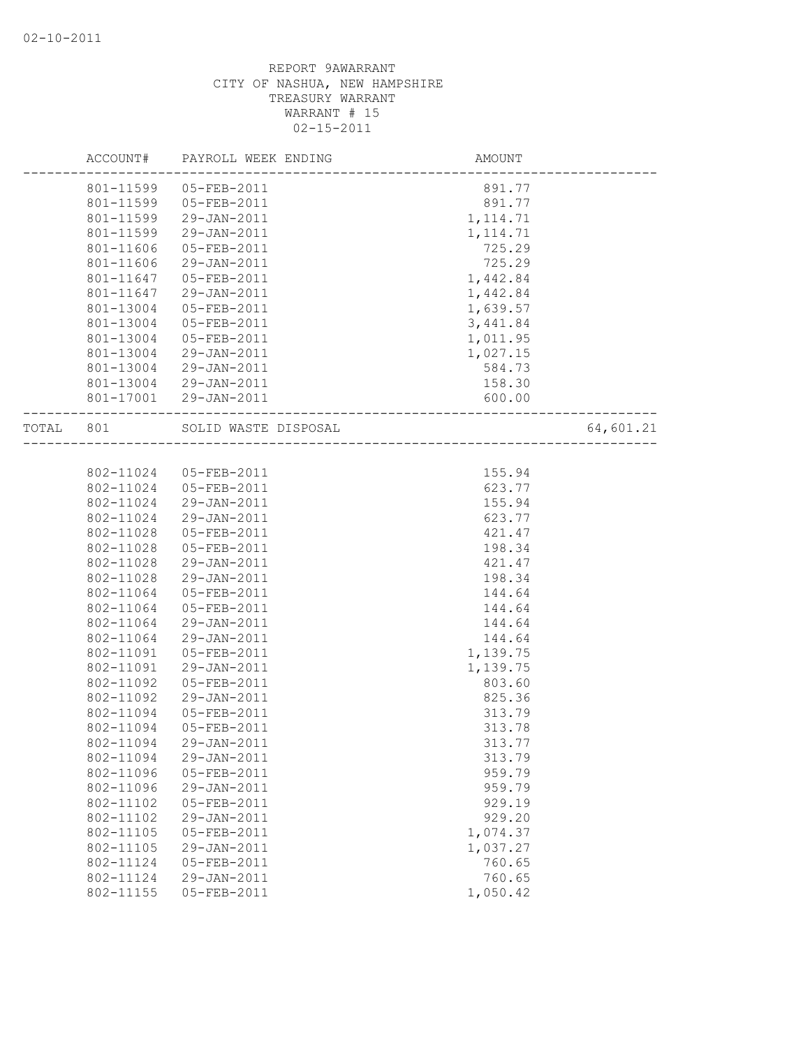|           | ACCOUNT#  | PAYROLL WEEK ENDING  | AMOUNT                      |           |
|-----------|-----------|----------------------|-----------------------------|-----------|
|           | 801-11599 | 05-FEB-2011          | 891.77                      |           |
|           | 801-11599 | 05-FEB-2011          | 891.77                      |           |
|           | 801-11599 | 29-JAN-2011          | 1, 114.71                   |           |
|           | 801-11599 | 29-JAN-2011          | 1, 114.71                   |           |
|           | 801-11606 | 05-FEB-2011          | 725.29                      |           |
|           | 801-11606 | 29-JAN-2011          | 725.29                      |           |
|           | 801-11647 | 05-FEB-2011          | 1,442.84                    |           |
|           | 801-11647 | 29-JAN-2011          | 1,442.84                    |           |
|           | 801-13004 | 05-FEB-2011          | 1,639.57                    |           |
|           | 801-13004 | 05-FEB-2011          | 3,441.84                    |           |
|           | 801-13004 | 05-FEB-2011          | 1,011.95                    |           |
|           | 801-13004 | 29-JAN-2011          | 1,027.15                    |           |
|           | 801-13004 | 29-JAN-2011          | 584.73                      |           |
|           | 801-13004 | 29-JAN-2011          | 158.30                      |           |
|           | 801-17001 | 29-JAN-2011          | 600.00                      |           |
| TOTAL 801 |           | SOLID WASTE DISPOSAL | --------------------------- | 64,601.21 |
|           |           |                      |                             |           |
|           | 802-11024 | 05-FEB-2011          | 155.94                      |           |
|           | 802-11024 | 05-FEB-2011          | 623.77                      |           |
|           | 802-11024 | 29-JAN-2011          | 155.94                      |           |
|           | 802-11024 | 29-JAN-2011          | 623.77                      |           |
|           | 802-11028 | 05-FEB-2011          | 421.47                      |           |
|           | 802-11028 | 05-FEB-2011          | 198.34                      |           |
|           | 802-11028 | 29-JAN-2011          | 421.47                      |           |
|           | 802-11028 | 29-JAN-2011          | 198.34                      |           |
|           | 802-11064 | 05-FEB-2011          | 144.64                      |           |
|           | 802-11064 | 05-FEB-2011          | 144.64                      |           |
|           | 802-11064 | 29-JAN-2011          | 144.64                      |           |
|           | 802-11064 | 29-JAN-2011          | 144.64                      |           |
|           | 802-11091 | 05-FEB-2011          | 1,139.75                    |           |
|           | 802-11091 | 29-JAN-2011          | 1,139.75                    |           |
|           | 802-11092 | 05-FEB-2011          | 803.60                      |           |
|           | 802-11092 | 29-JAN-2011          | 825.36                      |           |
|           | 802-11094 | 05-FEB-2011          | 313.79                      |           |
|           | 802-11094 | 05-FEB-2011          | 313.78                      |           |
|           | 802-11094 | 29-JAN-2011          | 313.77                      |           |
|           | 802-11094 | 29-JAN-2011          | 313.79                      |           |
|           | 802-11096 | 05-FEB-2011          | 959.79                      |           |
|           | 802-11096 | 29-JAN-2011          | 959.79                      |           |
|           | 802-11102 | 05-FEB-2011          | 929.19                      |           |
|           | 802-11102 | 29-JAN-2011          | 929.20                      |           |
|           | 802-11105 | 05-FEB-2011          | 1,074.37                    |           |
|           | 802-11105 | $29 - JAN - 2011$    | 1,037.27                    |           |
|           | 802-11124 | 05-FEB-2011          | 760.65                      |           |
|           | 802-11124 | 29-JAN-2011          | 760.65                      |           |
|           | 802-11155 | 05-FEB-2011          | 1,050.42                    |           |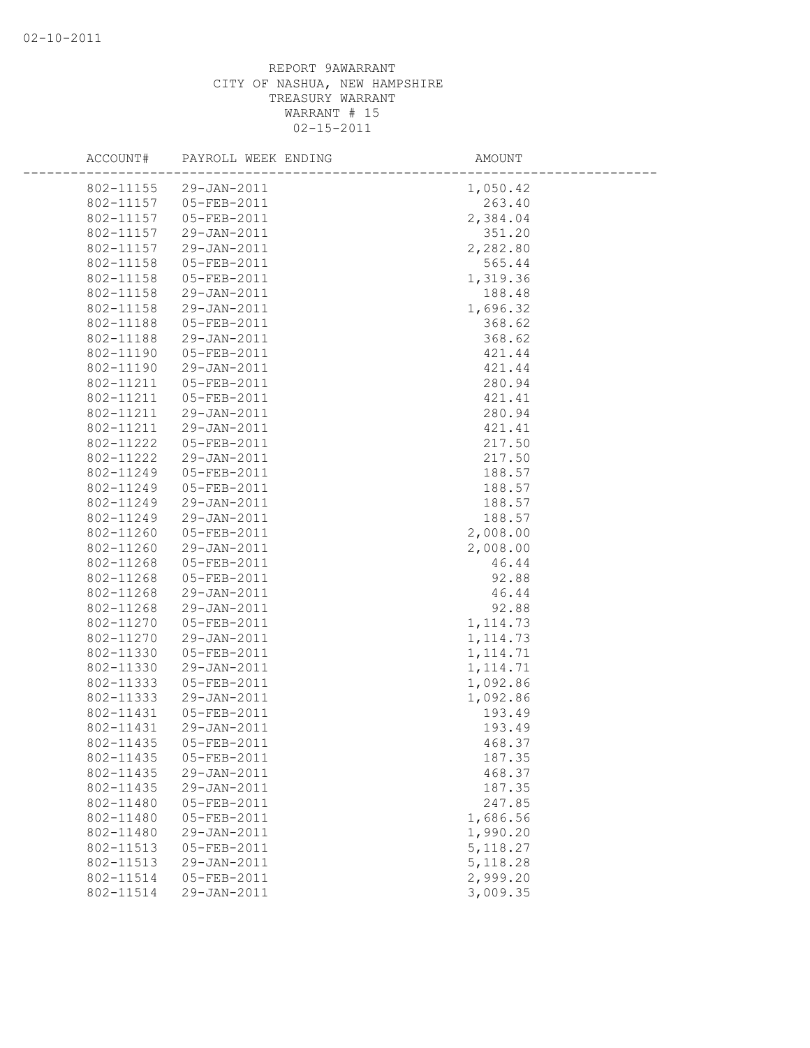| ACCOUNT#  | PAYROLL WEEK ENDING | AMOUNT    |
|-----------|---------------------|-----------|
| 802-11155 | 29-JAN-2011         | 1,050.42  |
| 802-11157 | 05-FEB-2011         | 263.40    |
| 802-11157 | 05-FEB-2011         | 2,384.04  |
| 802-11157 | 29-JAN-2011         | 351.20    |
| 802-11157 | 29-JAN-2011         | 2,282.80  |
| 802-11158 | 05-FEB-2011         | 565.44    |
| 802-11158 | 05-FEB-2011         | 1,319.36  |
| 802-11158 | 29-JAN-2011         | 188.48    |
| 802-11158 | 29-JAN-2011         | 1,696.32  |
| 802-11188 | 05-FEB-2011         | 368.62    |
| 802-11188 | 29-JAN-2011         | 368.62    |
| 802-11190 | 05-FEB-2011         | 421.44    |
| 802-11190 | 29-JAN-2011         | 421.44    |
| 802-11211 | 05-FEB-2011         | 280.94    |
| 802-11211 | 05-FEB-2011         | 421.41    |
| 802-11211 | 29-JAN-2011         | 280.94    |
| 802-11211 | 29-JAN-2011         | 421.41    |
| 802-11222 | 05-FEB-2011         | 217.50    |
| 802-11222 | 29-JAN-2011         | 217.50    |
| 802-11249 | 05-FEB-2011         | 188.57    |
| 802-11249 | 05-FEB-2011         | 188.57    |
| 802-11249 | 29-JAN-2011         | 188.57    |
| 802-11249 | 29-JAN-2011         | 188.57    |
| 802-11260 | 05-FEB-2011         | 2,008.00  |
| 802-11260 | 29-JAN-2011         | 2,008.00  |
| 802-11268 | 05-FEB-2011         | 46.44     |
| 802-11268 | 05-FEB-2011         | 92.88     |
| 802-11268 | 29-JAN-2011         | 46.44     |
| 802-11268 | 29-JAN-2011         | 92.88     |
| 802-11270 | 05-FEB-2011         | 1, 114.73 |
| 802-11270 | 29-JAN-2011         | 1, 114.73 |
| 802-11330 | 05-FEB-2011         | 1, 114.71 |
| 802-11330 | 29-JAN-2011         | 1, 114.71 |
| 802-11333 | 05-FEB-2011         | 1,092.86  |
| 802-11333 | 29-JAN-2011         | 1,092.86  |
| 802-11431 | 05-FEB-2011         | 193.49    |
| 802-11431 | 29-JAN-2011         | 193.49    |
| 802-11435 | 05-FEB-2011         | 468.37    |
| 802-11435 | 05-FEB-2011         | 187.35    |
| 802-11435 | 29-JAN-2011         | 468.37    |
| 802-11435 | 29-JAN-2011         | 187.35    |
| 802-11480 | 05-FEB-2011         | 247.85    |
| 802-11480 | 05-FEB-2011         | 1,686.56  |
| 802-11480 | 29-JAN-2011         | 1,990.20  |
| 802-11513 | 05-FEB-2011         | 5, 118.27 |
| 802-11513 | 29-JAN-2011         | 5,118.28  |
| 802-11514 | 05-FEB-2011         | 2,999.20  |
| 802-11514 | 29-JAN-2011         | 3,009.35  |